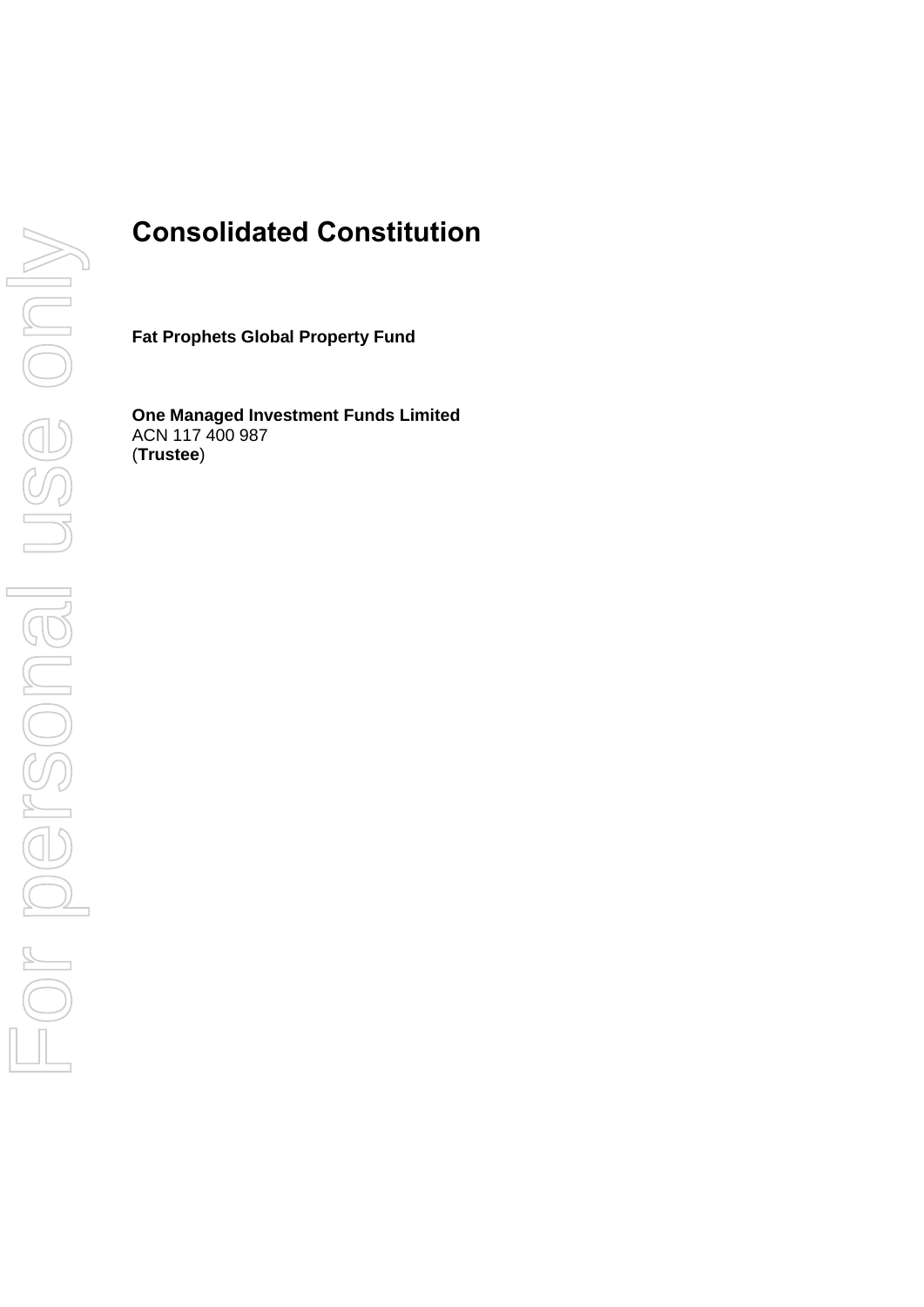# **Consolidated Constitution**

**Fat Prophets Global Property Fund**

**One Managed Investment Funds Limited** ACN 117 400 987 (**Trustee**)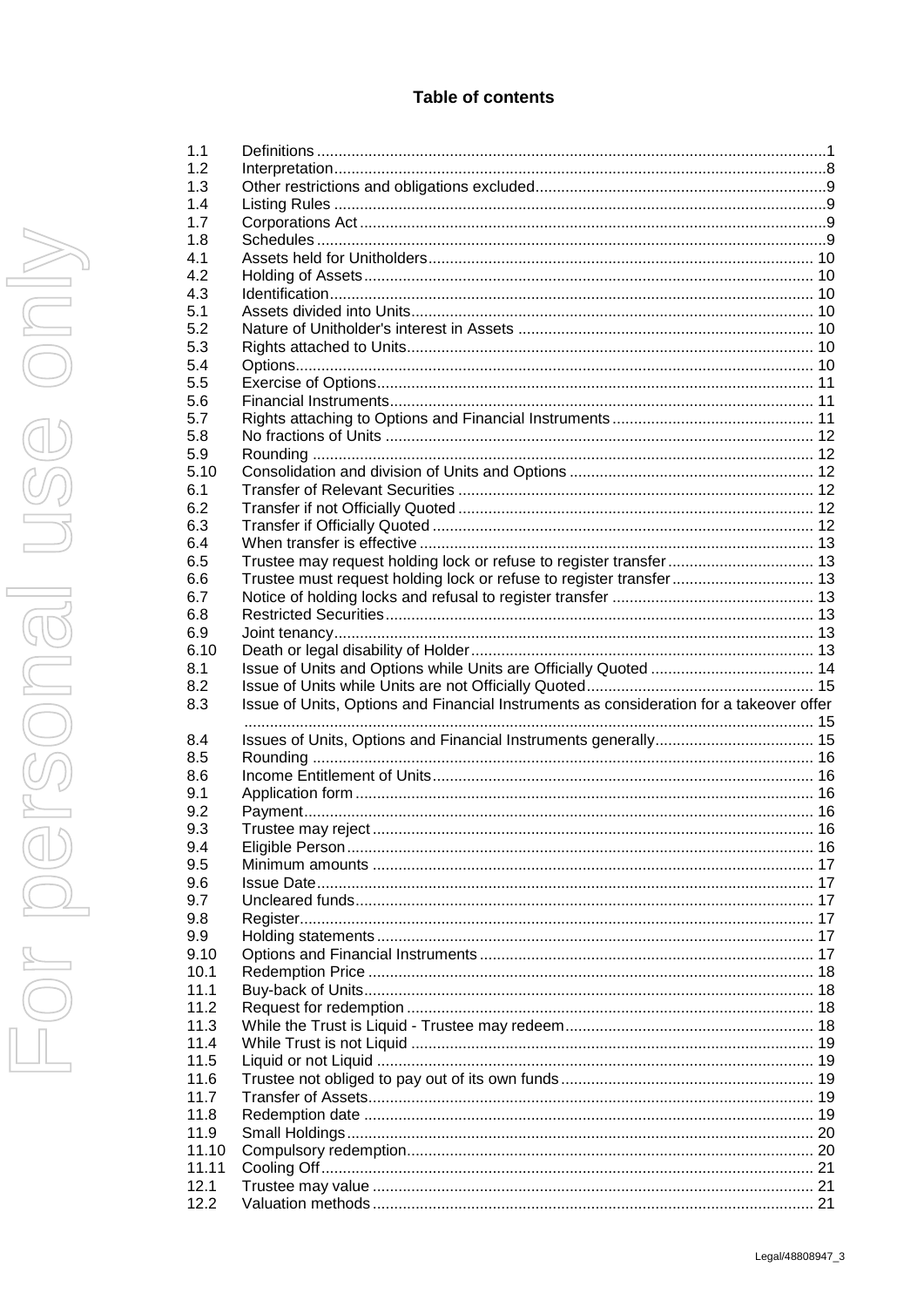| 1.1          |                                                                                         |  |
|--------------|-----------------------------------------------------------------------------------------|--|
| 1.2          |                                                                                         |  |
| 1.3          |                                                                                         |  |
| 1.4          |                                                                                         |  |
| 1.7          |                                                                                         |  |
| 1.8          |                                                                                         |  |
|              |                                                                                         |  |
| 4.1          |                                                                                         |  |
| 4.2          |                                                                                         |  |
| 4.3          |                                                                                         |  |
| 5.1          |                                                                                         |  |
| 5.2          |                                                                                         |  |
| 5.3          |                                                                                         |  |
| 5.4          |                                                                                         |  |
| 5.5          |                                                                                         |  |
| 5.6          |                                                                                         |  |
| 5.7          |                                                                                         |  |
|              |                                                                                         |  |
| 5.8          |                                                                                         |  |
| 5.9          |                                                                                         |  |
| 5.10         |                                                                                         |  |
| 6.1          |                                                                                         |  |
| 6.2          |                                                                                         |  |
| 6.3          |                                                                                         |  |
| 6.4          |                                                                                         |  |
| 6.5          | Trustee may request holding lock or refuse to register transfer 13                      |  |
| 6.6          | Trustee must request holding lock or refuse to register transfer 13                     |  |
| 6.7          |                                                                                         |  |
|              |                                                                                         |  |
| 6.8          |                                                                                         |  |
| 6.9          |                                                                                         |  |
| 6.10         |                                                                                         |  |
| 8.1          |                                                                                         |  |
|              |                                                                                         |  |
| 8.2          |                                                                                         |  |
| 8.3          |                                                                                         |  |
|              | Issue of Units, Options and Financial Instruments as consideration for a takeover offer |  |
|              |                                                                                         |  |
| 8.4          |                                                                                         |  |
| 8.5          |                                                                                         |  |
| 8.6          |                                                                                         |  |
| 9.1          |                                                                                         |  |
| 9.2          |                                                                                         |  |
| 9.3          |                                                                                         |  |
| 9.4          |                                                                                         |  |
| 9.5          |                                                                                         |  |
| 9.6          |                                                                                         |  |
| 9.7          |                                                                                         |  |
|              |                                                                                         |  |
| 9.8          |                                                                                         |  |
| 9.9          |                                                                                         |  |
| 9.10         |                                                                                         |  |
| 10.1         |                                                                                         |  |
| 11.1         |                                                                                         |  |
| 11.2         |                                                                                         |  |
| 11.3         |                                                                                         |  |
| 11.4         |                                                                                         |  |
| 11.5         |                                                                                         |  |
| 11.6         |                                                                                         |  |
| 11.7         |                                                                                         |  |
| 11.8         |                                                                                         |  |
|              |                                                                                         |  |
| 11.9         |                                                                                         |  |
| 11.10        |                                                                                         |  |
| 11.11        |                                                                                         |  |
| 12.1<br>12.2 |                                                                                         |  |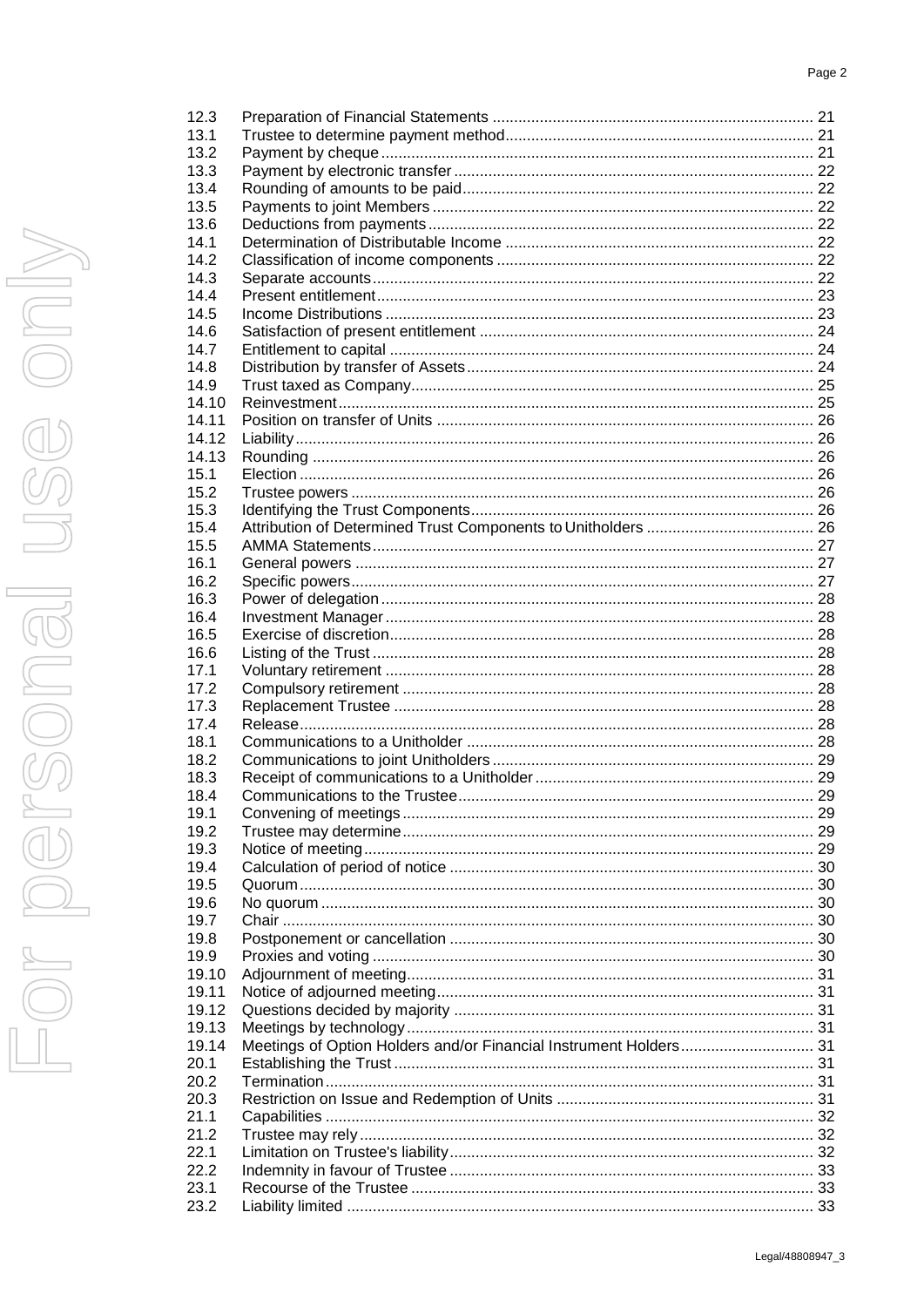| 12.3  |                                                                   |  |
|-------|-------------------------------------------------------------------|--|
| 13.1  |                                                                   |  |
| 13.2  |                                                                   |  |
| 13.3  |                                                                   |  |
| 13.4  |                                                                   |  |
| 13.5  |                                                                   |  |
| 13.6  |                                                                   |  |
| 14.1  |                                                                   |  |
| 14.2  |                                                                   |  |
| 14.3  |                                                                   |  |
| 14.4  |                                                                   |  |
| 14.5  |                                                                   |  |
| 14.6  |                                                                   |  |
| 14.7  |                                                                   |  |
| 14.8  |                                                                   |  |
| 14.9  |                                                                   |  |
| 14.10 |                                                                   |  |
| 14.11 |                                                                   |  |
| 14.12 |                                                                   |  |
| 14.13 |                                                                   |  |
| 15.1  |                                                                   |  |
| 15.2  |                                                                   |  |
| 15.3  |                                                                   |  |
| 15.4  |                                                                   |  |
| 15.5  |                                                                   |  |
| 16.1  |                                                                   |  |
| 16.2  |                                                                   |  |
| 16.3  |                                                                   |  |
| 16.4  |                                                                   |  |
| 16.5  |                                                                   |  |
| 16.6  |                                                                   |  |
| 17.1  |                                                                   |  |
| 17.2  |                                                                   |  |
| 17.3  |                                                                   |  |
| 17.4  |                                                                   |  |
| 18.1  |                                                                   |  |
| 18.2  |                                                                   |  |
| 18.3  |                                                                   |  |
| 18.4  |                                                                   |  |
| 19.1  |                                                                   |  |
| 19.2  |                                                                   |  |
| 19.3  |                                                                   |  |
| 19.4  |                                                                   |  |
| 19.5  |                                                                   |  |
| 19.6  |                                                                   |  |
| 19.7  |                                                                   |  |
| 19.8  |                                                                   |  |
| 19.9  |                                                                   |  |
| 19.10 |                                                                   |  |
| 19.11 |                                                                   |  |
| 19.12 |                                                                   |  |
| 19.13 |                                                                   |  |
| 19.14 | Meetings of Option Holders and/or Financial Instrument Holders 31 |  |
| 20.1  |                                                                   |  |
| 20.2  |                                                                   |  |
| 20.3  |                                                                   |  |
| 21.1  |                                                                   |  |
| 21.2  |                                                                   |  |
| 22.1  |                                                                   |  |
| 22.2  |                                                                   |  |
| 23.1  |                                                                   |  |
| 23.2  |                                                                   |  |
|       |                                                                   |  |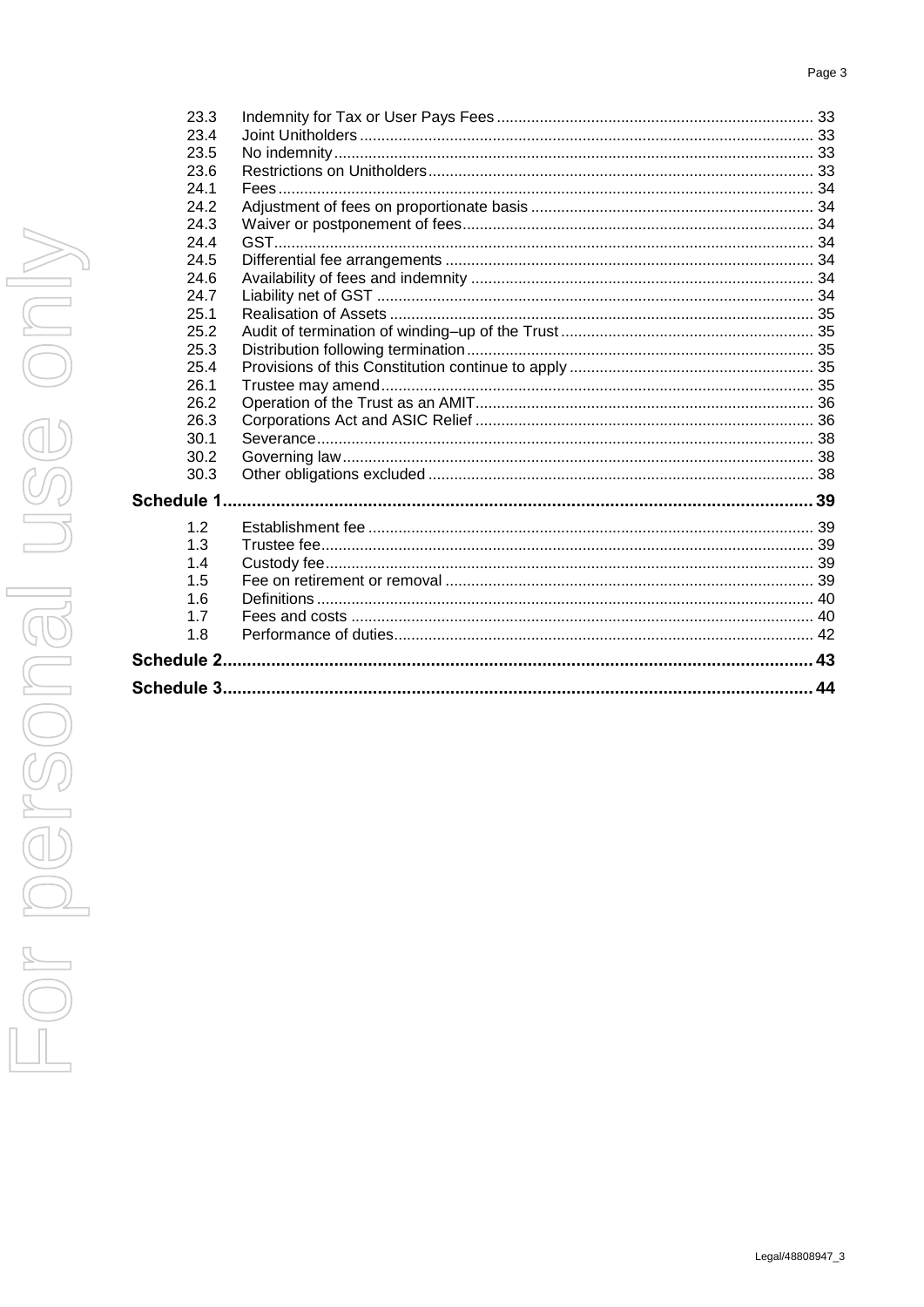#### Page 3

| 23.3 |  |    |
|------|--|----|
| 23.4 |  |    |
| 23.5 |  |    |
| 23.6 |  |    |
| 24.1 |  |    |
| 24.2 |  |    |
| 24.3 |  |    |
| 24.4 |  |    |
| 24.5 |  |    |
| 24.6 |  |    |
| 24.7 |  |    |
| 25.1 |  |    |
| 25.2 |  |    |
| 25.3 |  |    |
| 25.4 |  |    |
| 26.1 |  |    |
| 26.2 |  |    |
| 26.3 |  |    |
| 30.1 |  |    |
| 30.2 |  |    |
| 30.3 |  |    |
|      |  |    |
| 1.2  |  |    |
| 1.3  |  |    |
| 1.4  |  |    |
| 1.5  |  |    |
| 1.6  |  |    |
| 1.7  |  |    |
| 1.8  |  |    |
|      |  | 43 |
|      |  |    |
|      |  |    |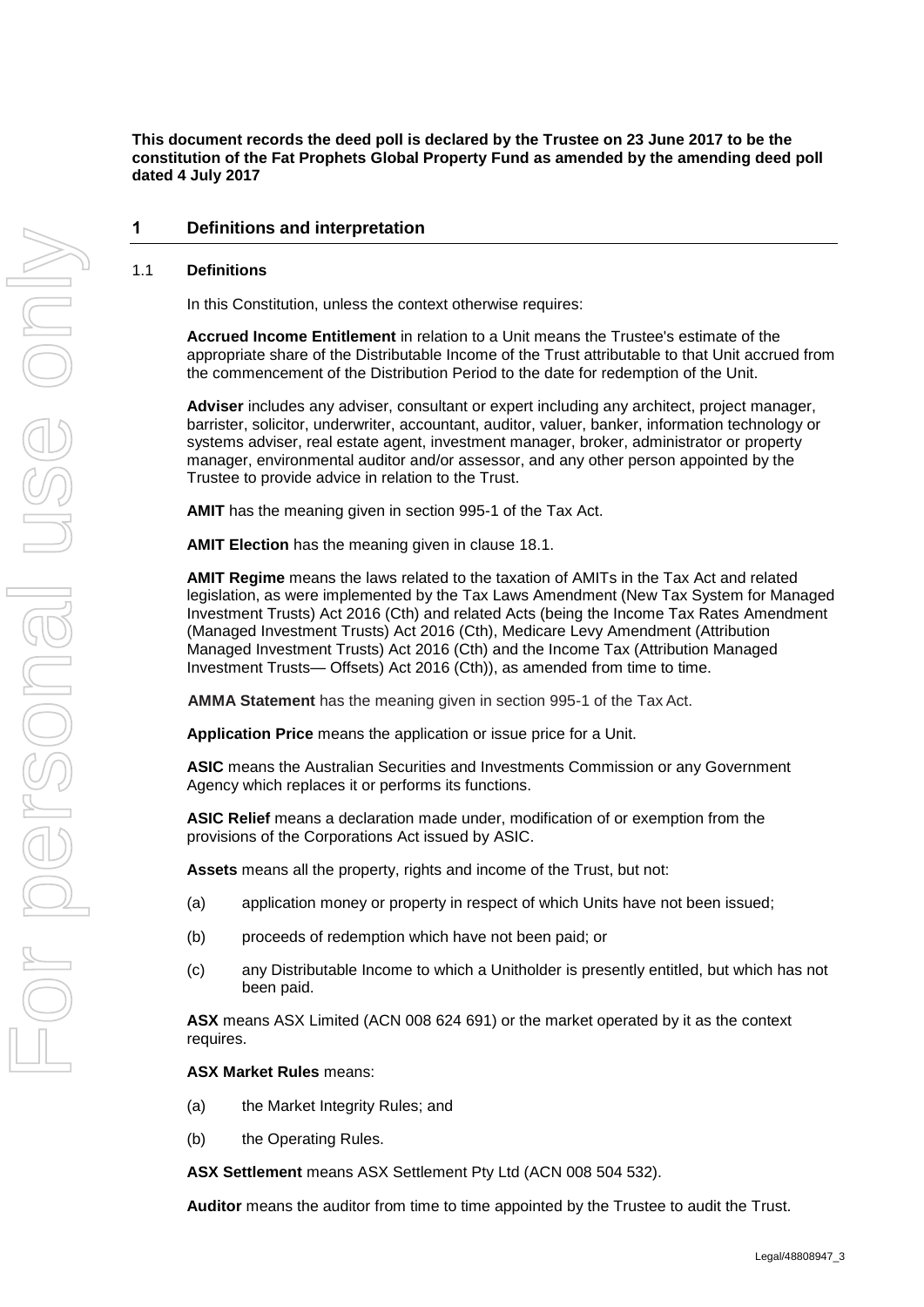**This document records the deed poll is declared by the Trustee on 23 June 2017 to be the constitution of the Fat Prophets Global Property Fund as amended by the amending deed poll dated 4 July 2017**

### **1 Definitions and interpretation**

#### <span id="page-4-0"></span>1.1 **Definitions**

In this Constitution, unless the context otherwise requires:

**Accrued Income Entitlement** in relation to a Unit means the Trustee's estimate of the appropriate share of the Distributable Income of the Trust attributable to that Unit accrued from the commencement of the Distribution Period to the date for redemption of the Unit.

**Adviser** includes any adviser, consultant or expert including any architect, project manager, barrister, solicitor, underwriter, accountant, auditor, valuer, banker, information technology or systems adviser, real estate agent, investment manager, broker, administrator or property manager, environmental auditor and/or assessor, and any other person appointed by the Trustee to provide advice in relation to the Trust.

**AMIT** has the meaning given in section 995-1 of the Tax Act.

**AMIT Election** has the meaning given in clause 18.1.

**AMIT Regime** means the laws related to the taxation of AMITs in the Tax Act and related legislation, as were implemented by the Tax Laws Amendment (New Tax System for Managed Investment Trusts) Act 2016 (Cth) and related Acts (being the Income Tax Rates Amendment (Managed Investment Trusts) Act 2016 (Cth), Medicare Levy Amendment (Attribution Managed Investment Trusts) Act 2016 (Cth) and the Income Tax (Attribution Managed Investment Trusts— Offsets) Act 2016 (Cth)), as amended from time to time.

**AMMA Statement** has the meaning given in section 995-1 of the Tax Act.

**Application Price** means the application or issue price for a Unit.

**ASIC** means the Australian Securities and Investments Commission or any Government Agency which replaces it or performs its functions.

**ASIC Relief** means a declaration made under, modification of or exemption from the provisions of the Corporations Act issued by ASIC.

**Assets** means all the property, rights and income of the Trust, but not:

- (a) application money or property in respect of which Units have not been issued;
- (b) proceeds of redemption which have not been paid; or
- (c) any Distributable Income to which a Unitholder is presently entitled, but which has not been paid.

**ASX** means ASX Limited (ACN 008 624 691) or the market operated by it as the context requires.

**ASX Market Rules** means:

- (a) the Market Integrity Rules; and
- (b) the Operating Rules.

**ASX Settlement** means ASX Settlement Pty Ltd (ACN 008 504 532).

**Auditor** means the auditor from time to time appointed by the Trustee to audit the Trust.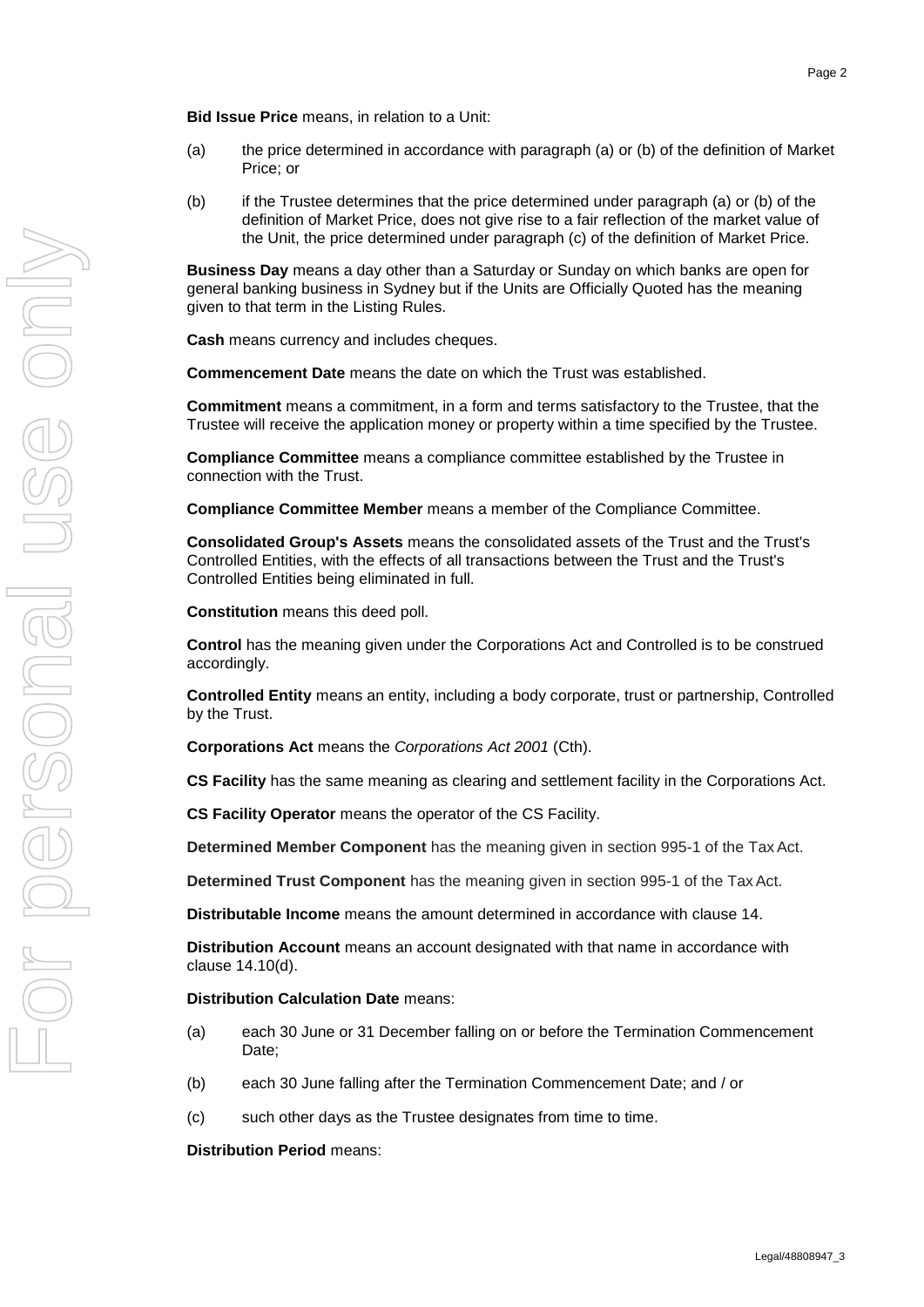**Bid Issue Price** means, in relation to a Unit:

- (a) the price determined in accordance with paragraph (a) or (b) of the definition of Market Price; or
- (b) if the Trustee determines that the price determined under paragraph (a) or (b) of the definition of Market Price, does not give rise to a fair reflection of the market value of the Unit, the price determined under paragraph (c) of the definition of Market Price.

**Business Day** means a day other than a Saturday or Sunday on which banks are open for general banking business in Sydney but if the Units are Officially Quoted has the meaning given to that term in the Listing Rules.

**Cash** means currency and includes cheques.

**Commencement Date** means the date on which the Trust was established.

**Commitment** means a commitment, in a form and terms satisfactory to the Trustee, that the Trustee will receive the application money or property within a time specified by the Trustee.

**Compliance Committee** means a compliance committee established by the Trustee in connection with the Trust.

**Compliance Committee Member** means a member of the Compliance Committee.

**Consolidated Group's Assets** means the consolidated assets of the Trust and the Trust's Controlled Entities, with the effects of all transactions between the Trust and the Trust's Controlled Entities being eliminated in full.

**Constitution** means this deed poll.

**Control** has the meaning given under the Corporations Act and Controlled is to be construed accordingly.

**Controlled Entity** means an entity, including a body corporate, trust or partnership, Controlled by the Trust.

**Corporations Act** means the *Corporations Act 2001* (Cth).

**CS Facility** has the same meaning as clearing and settlement facility in the Corporations Act.

**CS Facility Operator** means the operator of the CS Facility.

**Determined Member Component** has the meaning given in section 995-1 of the Tax Act.

**Determined Trust Component** has the meaning given in section 995-1 of the TaxAct.

**Distributable Income** means the amount determined in accordance with clause [14.](#page-25-7)

**Distribution Account** means an account designated with that name in accordance with clause [14.10\(d\).](#page-28-2)

#### **Distribution Calculation Date** means:

- (a) each 30 June or 31 December falling on or before the Termination Commencement Date;
- (b) each 30 June falling after the Termination Commencement Date; and / or
- (c) such other days as the Trustee designates from time to time.

**Distribution Period** means: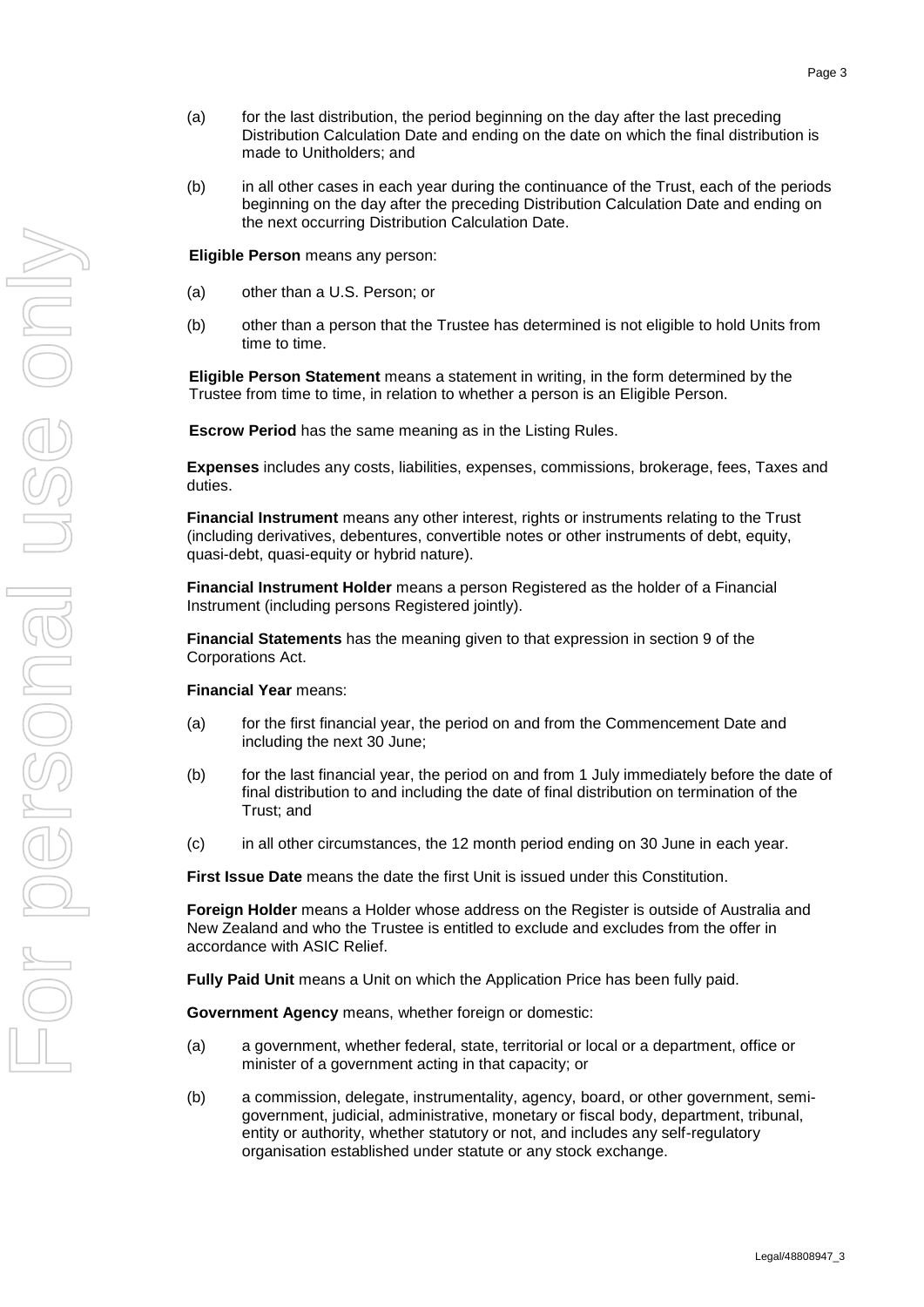- (a) for the last distribution, the period beginning on the day after the last preceding Distribution Calculation Date and ending on the date on which the final distribution is made to Unitholders; and
- (b) in all other cases in each year during the continuance of the Trust, each of the periods beginning on the day after the preceding Distribution Calculation Date and ending on the next occurring Distribution Calculation Date.

**Eligible Person** means any person:

- (a) other than a U.S. Person; or
- (b) other than a person that the Trustee has determined is not eligible to hold Units from time to time.

**Eligible Person Statement** means a statement in writing, in the form determined by the Trustee from time to time, in relation to whether a person is an Eligible Person.

**Escrow Period** has the same meaning as in the Listing Rules.

**Expenses** includes any costs, liabilities, expenses, commissions, brokerage, fees, Taxes and duties.

**Financial Instrument** means any other interest, rights or instruments relating to the Trust (including derivatives, debentures, convertible notes or other instruments of debt, equity, quasi-debt, quasi-equity or hybrid nature).

**Financial Instrument Holder** means a person Registered as the holder of a Financial Instrument (including persons Registered jointly).

**Financial Statements** has the meaning given to that expression in section 9 of the Corporations Act.

#### **Financial Year** means:

- (a) for the first financial year, the period on and from the Commencement Date and including the next 30 June;
- (b) for the last financial year, the period on and from 1 July immediately before the date of final distribution to and including the date of final distribution on termination of the Trust; and
- (c) in all other circumstances, the 12 month period ending on 30 June in each year.

**First Issue Date** means the date the first Unit is issued under this Constitution.

**Foreign Holder** means a Holder whose address on the Register is outside of Australia and New Zealand and who the Trustee is entitled to exclude and excludes from the offer in accordance with ASIC Relief.

**Fully Paid Unit** means a Unit on which the Application Price has been fully paid.

**Government Agency** means, whether foreign or domestic:

- (a) a government, whether federal, state, territorial or local or a department, office or minister of a government acting in that capacity; or
- (b) a commission, delegate, instrumentality, agency, board, or other government, semigovernment, judicial, administrative, monetary or fiscal body, department, tribunal, entity or authority, whether statutory or not, and includes any self-regulatory organisation established under statute or any stock exchange.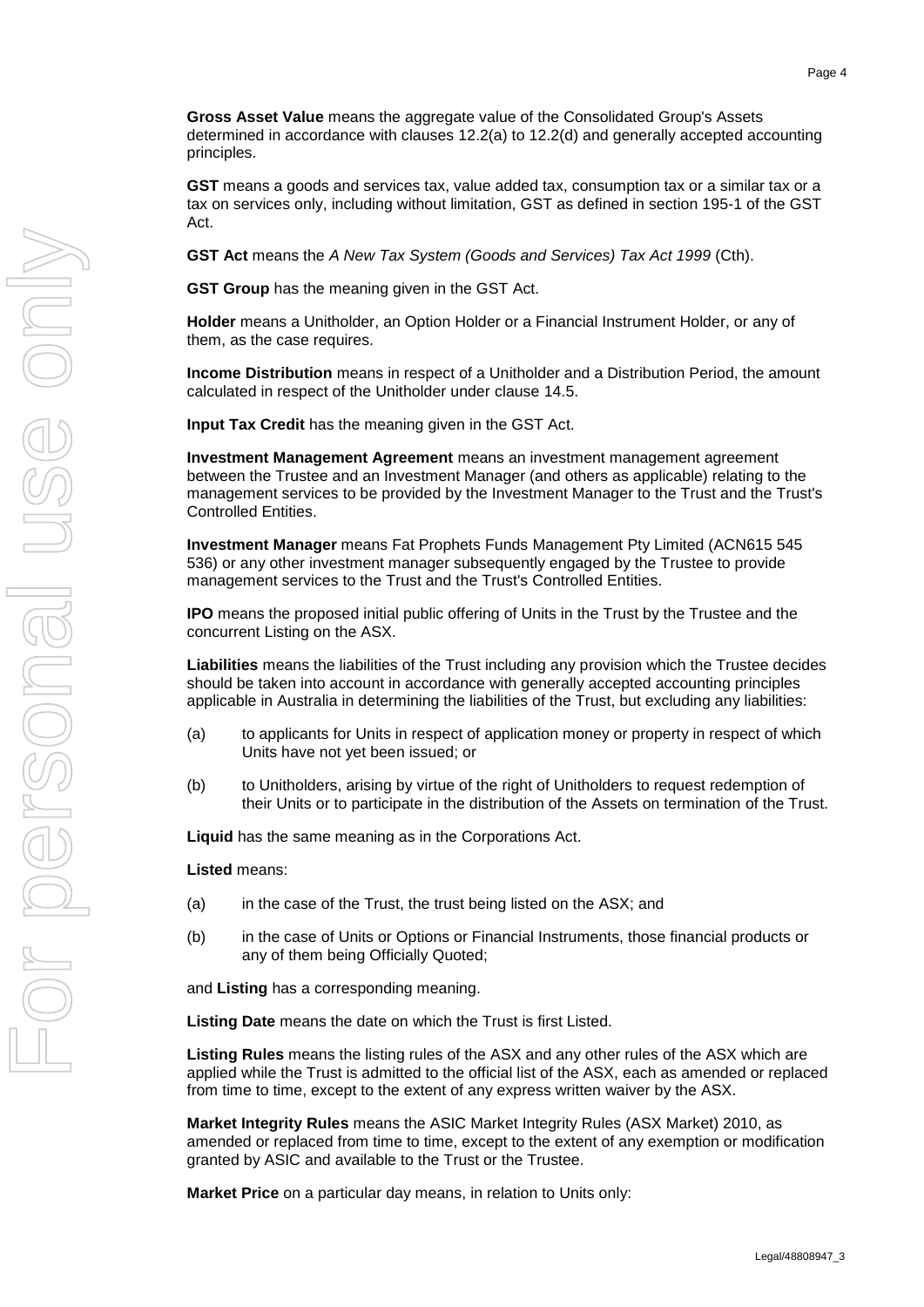**Gross Asset Value** means the aggregate value of the Consolidated Group's Assets determined in accordance with clauses [12.2\(a\)](#page-24-6) to [12.2\(d\)](#page-24-7) and generally accepted accounting principles.

**GST** means a goods and services tax, value added tax, consumption tax or a similar tax or a tax on services only, including without limitation, GST as defined in section 195-1 of the GST Act.

**GST Act** means the *A New Tax System (Goods and Services) Tax Act 1999* (Cth).

**GST Group** has the meaning given in the GST Act.

**Holder** means a Unitholder, an Option Holder or a Financial Instrument Holder, or any of them, as the case requires.

**Income Distribution** means in respect of a Unitholder and a Distribution Period, the amount calculated in respect of the Unitholder under clause [14.5.](#page-26-1)

**Input Tax Credit** has the meaning given in the GST Act.

**Investment Management Agreement** means an investment management agreement between the Trustee and an Investment Manager (and others as applicable) relating to the management services to be provided by the Investment Manager to the Trust and the Trust's Controlled Entities.

**Investment Manager** means Fat Prophets Funds Management Pty Limited (ACN615 545 536) or any other investment manager subsequently engaged by the Trustee to provide management services to the Trust and the Trust's Controlled Entities.

**IPO** means the proposed initial public offering of Units in the Trust by the Trustee and the concurrent Listing on the ASX.

**Liabilities** means the liabilities of the Trust including any provision which the Trustee decides should be taken into account in accordance with generally accepted accounting principles applicable in Australia in determining the liabilities of the Trust, but excluding any liabilities:

- (a) to applicants for Units in respect of application money or property in respect of which Units have not yet been issued; or
- (b) to Unitholders, arising by virtue of the right of Unitholders to request redemption of their Units or to participate in the distribution of the Assets on termination of the Trust.

**Liquid** has the same meaning as in the Corporations Act.

**Listed** means:

- (a) in the case of the Trust, the trust being listed on the ASX; and
- (b) in the case of Units or Options or Financial Instruments, those financial products or any of them being Officially Quoted;

and **Listing** has a corresponding meaning.

**Listing Date** means the date on which the Trust is first Listed.

**Listing Rules** means the listing rules of the ASX and any other rules of the ASX which are applied while the Trust is admitted to the official list of the ASX, each as amended or replaced from time to time, except to the extent of any express written waiver by the ASX.

**Market Integrity Rules** means the ASIC Market Integrity Rules (ASX Market) 2010, as amended or replaced from time to time, except to the extent of any exemption or modification granted by ASIC and available to the Trust or the Trustee.

**Market Price** on a particular day means, in relation to Units only: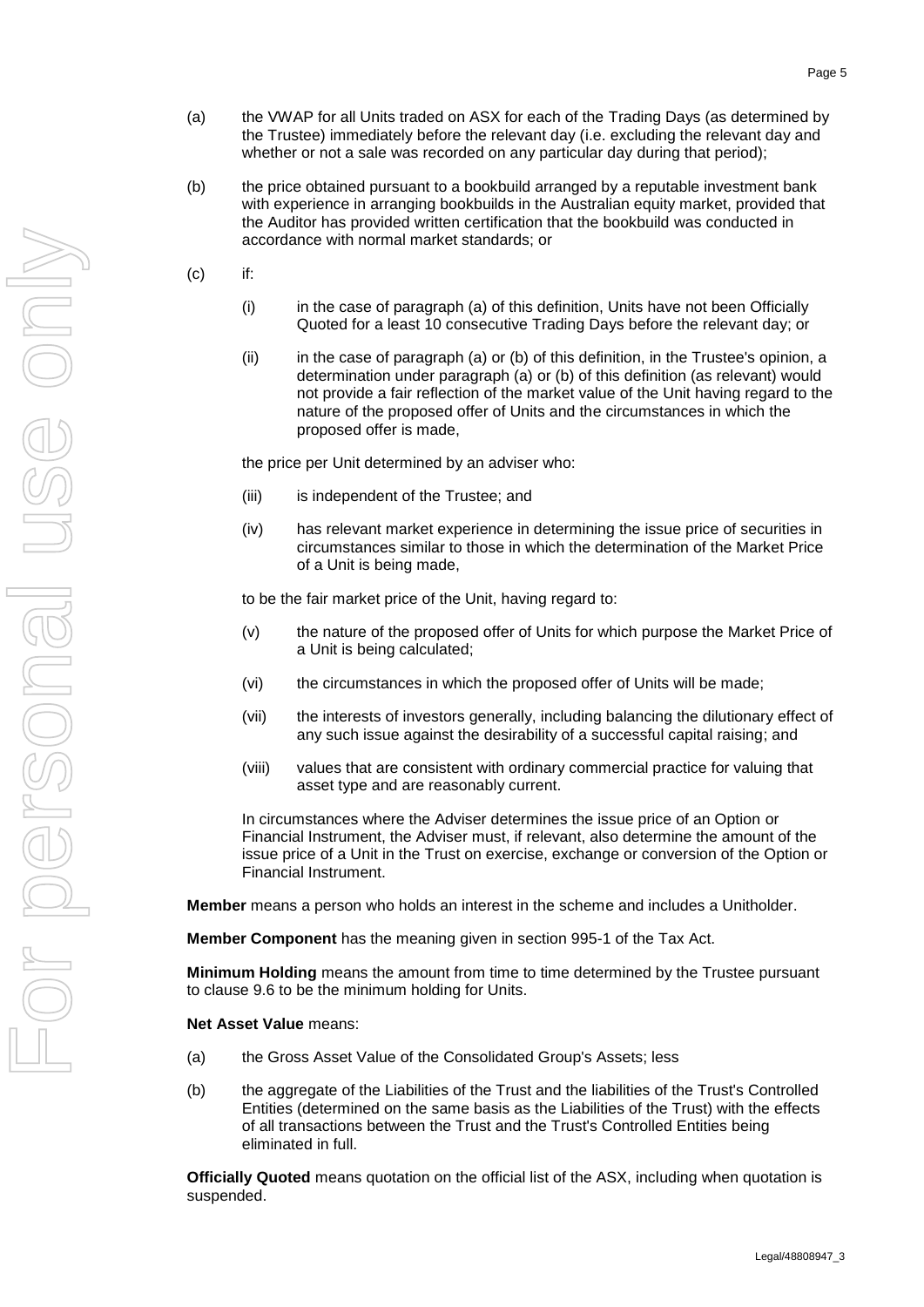- (a) the VWAP for all Units traded on ASX for each of the Trading Days (as determined by the Trustee) immediately before the relevant day (i.e. excluding the relevant day and whether or not a sale was recorded on any particular day during that period);
- (b) the price obtained pursuant to a bookbuild arranged by a reputable investment bank with experience in arranging bookbuilds in the Australian equity market, provided that the Auditor has provided written certification that the bookbuild was conducted in accordance with normal market standards; or
- (c) if:
	- (i) in the case of paragraph (a) of this definition, Units have not been Officially Quoted for a least 10 consecutive Trading Days before the relevant day; or
	- (ii) in the case of paragraph (a) or (b) of this definition, in the Trustee's opinion, a determination under paragraph (a) or (b) of this definition (as relevant) would not provide a fair reflection of the market value of the Unit having regard to the nature of the proposed offer of Units and the circumstances in which the proposed offer is made,

the price per Unit determined by an adviser who:

- (iii) is independent of the Trustee; and
- (iv) has relevant market experience in determining the issue price of securities in circumstances similar to those in which the determination of the Market Price of a Unit is being made,

to be the fair market price of the Unit, having regard to:

- (v) the nature of the proposed offer of Units for which purpose the Market Price of a Unit is being calculated;
- (vi) the circumstances in which the proposed offer of Units will be made;
- (vii) the interests of investors generally, including balancing the dilutionary effect of any such issue against the desirability of a successful capital raising; and
- (viii) values that are consistent with ordinary commercial practice for valuing that asset type and are reasonably current.

In circumstances where the Adviser determines the issue price of an Option or Financial Instrument, the Adviser must, if relevant, also determine the amount of the issue price of a Unit in the Trust on exercise, exchange or conversion of the Option or Financial Instrument.

**Member** means a person who holds an interest in the scheme and includes a Unitholder.

**Member Component** has the meaning given in section 995-1 of the Tax Act.

**Minimum Holding** means the amount from time to time determined by the Trustee pursuant to clause [9.6](#page-20-1) to be the minimum holding for Units.

**Net Asset Value** means:

- (a) the Gross Asset Value of the Consolidated Group's Assets; less
- (b) the aggregate of the Liabilities of the Trust and the liabilities of the Trust's Controlled Entities (determined on the same basis as the Liabilities of the Trust) with the effects of all transactions between the Trust and the Trust's Controlled Entities being eliminated in full.

**Officially Quoted** means quotation on the official list of the ASX, including when quotation is suspended.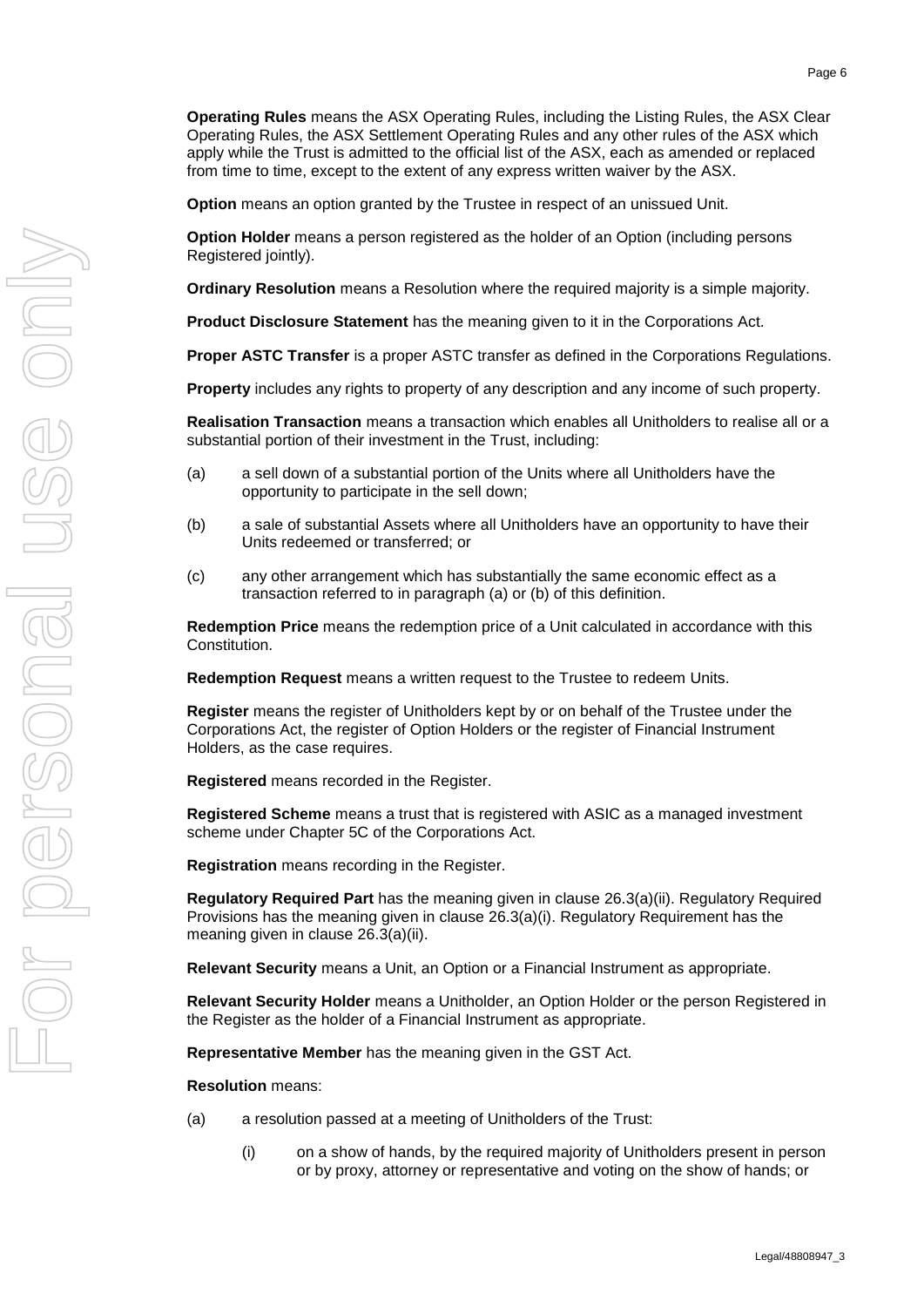**Operating Rules** means the ASX Operating Rules, including the Listing Rules, the ASX Clear Operating Rules, the ASX Settlement Operating Rules and any other rules of the ASX which apply while the Trust is admitted to the official list of the ASX, each as amended or replaced from time to time, except to the extent of any express written waiver by the ASX.

**Option** means an option granted by the Trustee in respect of an unissued Unit.

**Option Holder** means a person registered as the holder of an Option (including persons Registered jointly).

**Ordinary Resolution** means a Resolution where the required majority is a simple majority.

**Product Disclosure Statement** has the meaning given to it in the Corporations Act.

**Proper ASTC Transfer** is a proper ASTC transfer as defined in the Corporations Regulations.

**Property** includes any rights to property of any description and any income of such property.

**Realisation Transaction** means a transaction which enables all Unitholders to realise all or a substantial portion of their investment in the Trust, including:

- (a) a sell down of a substantial portion of the Units where all Unitholders have the opportunity to participate in the sell down;
- (b) a sale of substantial Assets where all Unitholders have an opportunity to have their Units redeemed or transferred; or
- (c) any other arrangement which has substantially the same economic effect as a transaction referred to in paragraph (a) or (b) of this definition.

**Redemption Price** means the redemption price of a Unit calculated in accordance with this Constitution.

**Redemption Request** means a written request to the Trustee to redeem Units.

**Register** means the register of Unitholders kept by or on behalf of the Trustee under the Corporations Act, the register of Option Holders or the register of Financial Instrument Holders, as the case requires.

**Registered** means recorded in the Register.

**Registered Scheme** means a trust that is registered with ASIC as a managed investment scheme under Chapter 5C of the Corporations Act.

**Registration** means recording in the Register.

**Regulatory Required Part** has the meaning given in clause [26.3\(a\)\(ii\).](#page-39-2) Regulatory Required Provisions has the meaning given in clause [26.3\(a\)\(i\).](#page-39-3) Regulatory Requirement has the meaning given in clause [26.3\(a\)\(ii\).](#page-39-2)

**Relevant Security** means a Unit, an Option or a Financial Instrument as appropriate.

**Relevant Security Holder** means a Unitholder, an Option Holder or the person Registered in the Register as the holder of a Financial Instrument as appropriate.

**Representative Member** has the meaning given in the GST Act.

**Resolution** means:

- (a) a resolution passed at a meeting of Unitholders of the Trust:
	- (i) on a show of hands, by the required majority of Unitholders present in person or by proxy, attorney or representative and voting on the show of hands; or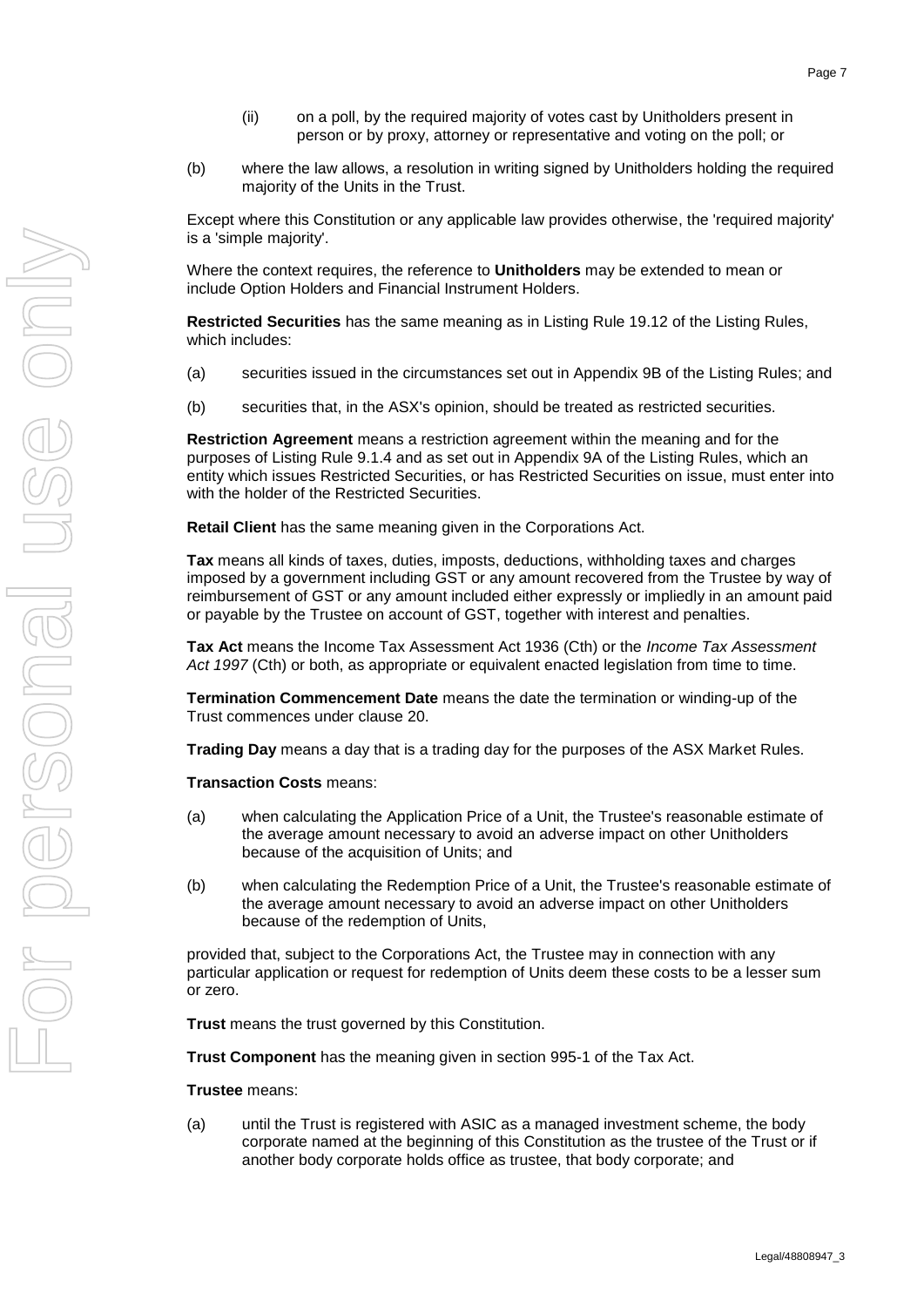- (ii) on a poll, by the required majority of votes cast by Unitholders present in person or by proxy, attorney or representative and voting on the poll; or
- (b) where the law allows, a resolution in writing signed by Unitholders holding the required majority of the Units in the Trust.

Except where this Constitution or any applicable law provides otherwise, the 'required majority' is a 'simple majority'.

Where the context requires, the reference to **Unitholders** may be extended to mean or include Option Holders and Financial Instrument Holders.

**Restricted Securities** has the same meaning as in Listing Rule 19.12 of the Listing Rules, which includes:

- (a) securities issued in the circumstances set out in Appendix 9B of the Listing Rules; and
- (b) securities that, in the ASX's opinion, should be treated as restricted securities.

**Restriction Agreement** means a restriction agreement within the meaning and for the purposes of Listing Rule 9.1.4 and as set out in Appendix 9A of the Listing Rules, which an entity which issues Restricted Securities, or has Restricted Securities on issue, must enter into with the holder of the Restricted Securities.

**Retail Client** has the same meaning given in the Corporations Act.

**Tax** means all kinds of taxes, duties, imposts, deductions, withholding taxes and charges imposed by a government including GST or any amount recovered from the Trustee by way of reimbursement of GST or any amount included either expressly or impliedly in an amount paid or payable by the Trustee on account of GST, together with interest and penalties.

**Tax Act** means the Income Tax Assessment Act 1936 (Cth) or the *Income Tax Assessment Act 1997* (Cth) or both, as appropriate or equivalent enacted legislation from time to time.

**Termination Commencement Date** means the date the termination or winding-up of the Trust commences under clause [20.](#page-34-8)

**Trading Day** means a day that is a trading day for the purposes of the ASX Market Rules.

**Transaction Costs** means:

- (a) when calculating the Application Price of a Unit, the Trustee's reasonable estimate of the average amount necessary to avoid an adverse impact on other Unitholders because of the acquisition of Units; and
- (b) when calculating the Redemption Price of a Unit, the Trustee's reasonable estimate of the average amount necessary to avoid an adverse impact on other Unitholders because of the redemption of Units,

provided that, subject to the Corporations Act, the Trustee may in connection with any particular application or request for redemption of Units deem these costs to be a lesser sum or zero.

**Trust** means the trust governed by this Constitution.

**Trust Component** has the meaning given in section 995-1 of the Tax Act.

#### **Trustee** means:

(a) until the Trust is registered with ASIC as a managed investment scheme, the body corporate named at the beginning of this Constitution as the trustee of the Trust or if another body corporate holds office as trustee, that body corporate; and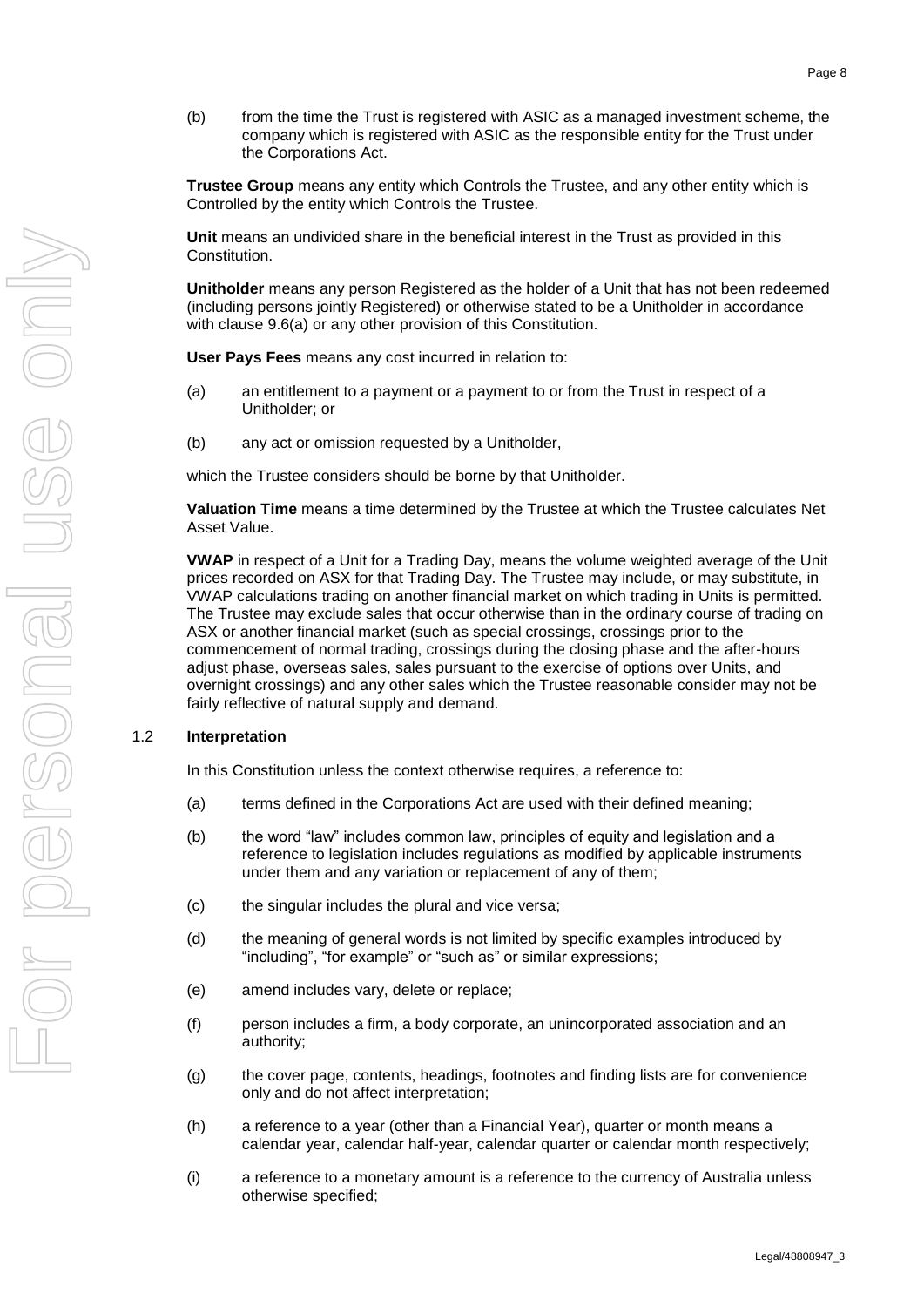(b) from the time the Trust is registered with ASIC as a managed investment scheme, the company which is registered with ASIC as the responsible entity for the Trust under the Corporations Act.

**Trustee Group** means any entity which Controls the Trustee, and any other entity which is Controlled by the entity which Controls the Trustee.

**Unit** means an undivided share in the beneficial interest in the Trust as provided in this Constitution.

**Unitholder** means any person Registered as the holder of a Unit that has not been redeemed (including persons jointly Registered) or otherwise stated to be a Unitholder in accordance with clause [9.6\(a\)](#page-20-6) or any other provision of this Constitution.

**User Pays Fees** means any cost incurred in relation to:

- (a) an entitlement to a payment or a payment to or from the Trust in respect of a Unitholder; or
- (b) any act or omission requested by a Unitholder,

which the Trustee considers should be borne by that Unitholder.

**Valuation Time** means a time determined by the Trustee at which the Trustee calculates Net Asset Value.

**VWAP** in respect of a Unit for a Trading Day, means the volume weighted average of the Unit prices recorded on ASX for that Trading Day. The Trustee may include, or may substitute, in VWAP calculations trading on another financial market on which trading in Units is permitted. The Trustee may exclude sales that occur otherwise than in the ordinary course of trading on ASX or another financial market (such as special crossings, crossings prior to the commencement of normal trading, crossings during the closing phase and the after-hours adjust phase, overseas sales, sales pursuant to the exercise of options over Units, and overnight crossings) and any other sales which the Trustee reasonable consider may not be fairly reflective of natural supply and demand.

### <span id="page-11-0"></span>1.2 **Interpretation**

In this Constitution unless the context otherwise requires, a reference to:

- (a) terms defined in the Corporations Act are used with their defined meaning;
- (b) the word "law" includes common law, principles of equity and legislation and a reference to legislation includes regulations as modified by applicable instruments under them and any variation or replacement of any of them;
- (c) the singular includes the plural and vice versa;
- (d) the meaning of general words is not limited by specific examples introduced by "including", "for example" or "such as" or similar expressions;
- (e) amend includes vary, delete or replace;
- (f) person includes a firm, a body corporate, an unincorporated association and an authority;
- (g) the cover page, contents, headings, footnotes and finding lists are for convenience only and do not affect interpretation;
- (h) a reference to a year (other than a Financial Year), quarter or month means a calendar year, calendar half-year, calendar quarter or calendar month respectively;
- (i) a reference to a monetary amount is a reference to the currency of Australia unless otherwise specified;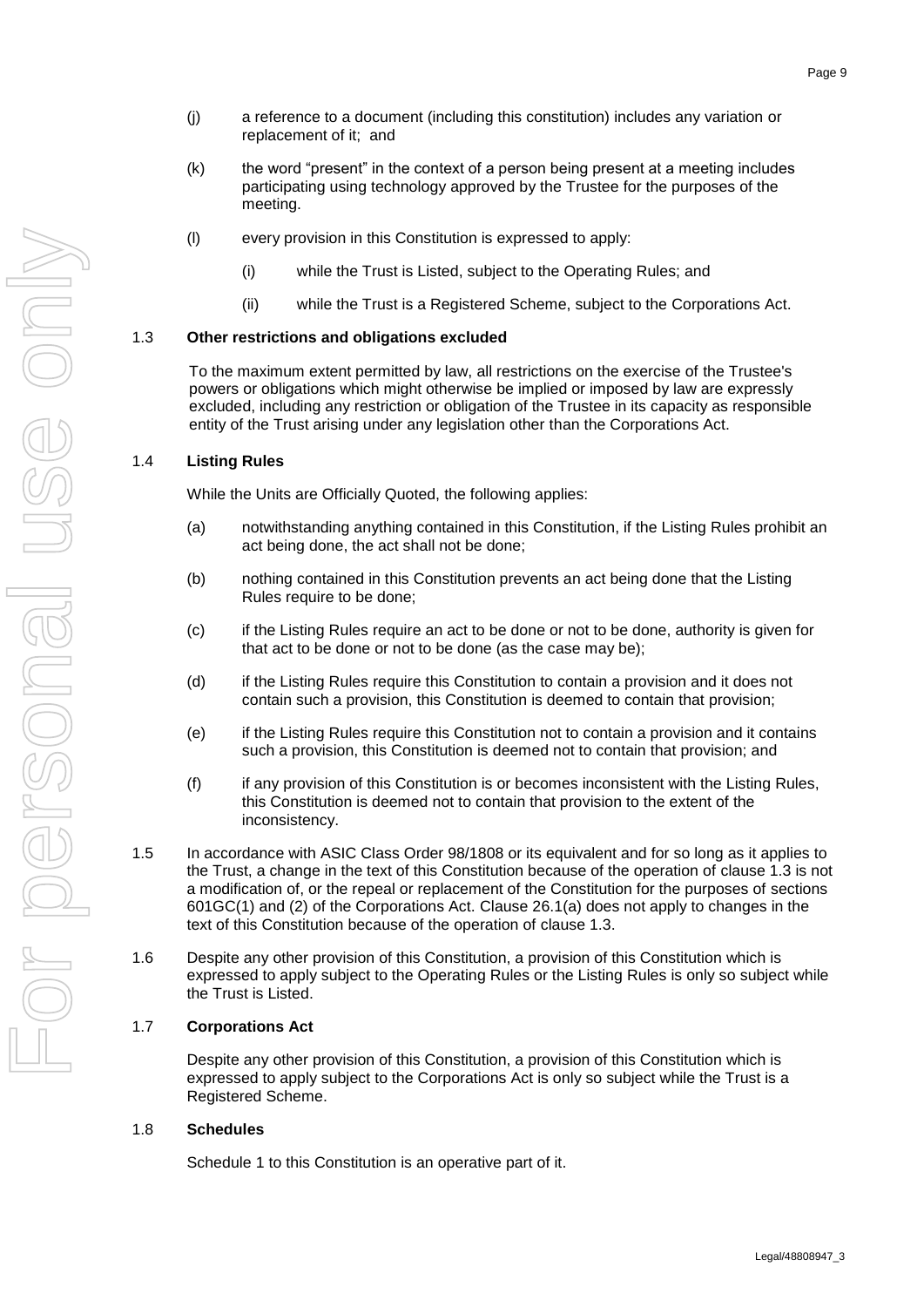- (j) a reference to a document (including this constitution) includes any variation or replacement of it; and
- (k) the word "present" in the context of a person being present at a meeting includes participating using technology approved by the Trustee for the purposes of the meeting.
- (l) every provision in this Constitution is expressed to apply:
	- (i) while the Trust is Listed, subject to the Operating Rules; and
	- (ii) while the Trust is a Registered Scheme, subject to the Corporations Act.

### <span id="page-12-0"></span>1.3 **Other restrictions and obligations excluded**

To the maximum extent permitted by law, all restrictions on the exercise of the Trustee's powers or obligations which might otherwise be implied or imposed by law are expressly excluded, including any restriction or obligation of the Trustee in its capacity as responsible entity of the Trust arising under any legislation other than the Corporations Act.

### <span id="page-12-1"></span>1.4 **Listing Rules**

While the Units are Officially Quoted, the following applies:

- (a) notwithstanding anything contained in this Constitution, if the Listing Rules prohibit an act being done, the act shall not be done;
- (b) nothing contained in this Constitution prevents an act being done that the Listing Rules require to be done;
- (c) if the Listing Rules require an act to be done or not to be done, authority is given for that act to be done or not to be done (as the case may be);
- (d) if the Listing Rules require this Constitution to contain a provision and it does not contain such a provision, this Constitution is deemed to contain that provision;
- (e) if the Listing Rules require this Constitution not to contain a provision and it contains such a provision, this Constitution is deemed not to contain that provision; and
- (f) if any provision of this Constitution is or becomes inconsistent with the Listing Rules, this Constitution is deemed not to contain that provision to the extent of the inconsistency.
- 1.5 In accordance with ASIC Class Order 98/1808 or its equivalent and for so long as it applies to the Trust, a change in the text of this Constitution because of the operation of clause [1.3](#page-12-0) is not a modification of, or the repeal or replacement of the Constitution for the purposes of sections 601GC(1) and (2) of the Corporations Act. Clause [26.1\(a\)](#page-38-5) does not apply to changes in the text of this Constitution because of the operation of clause [1.3.](#page-12-0)
- 1.6 Despite any other provision of this Constitution, a provision of this Constitution which is expressed to apply subject to the Operating Rules or the Listing Rules is only so subject while the Trust is Listed.

### <span id="page-12-2"></span>1.7 **Corporations Act**

Despite any other provision of this Constitution, a provision of this Constitution which is expressed to apply subject to the Corporations Act is only so subject while the Trust is a Registered Scheme.

### <span id="page-12-3"></span>1.8 **Schedules**

Schedule 1 to this Constitution is an operative part of it.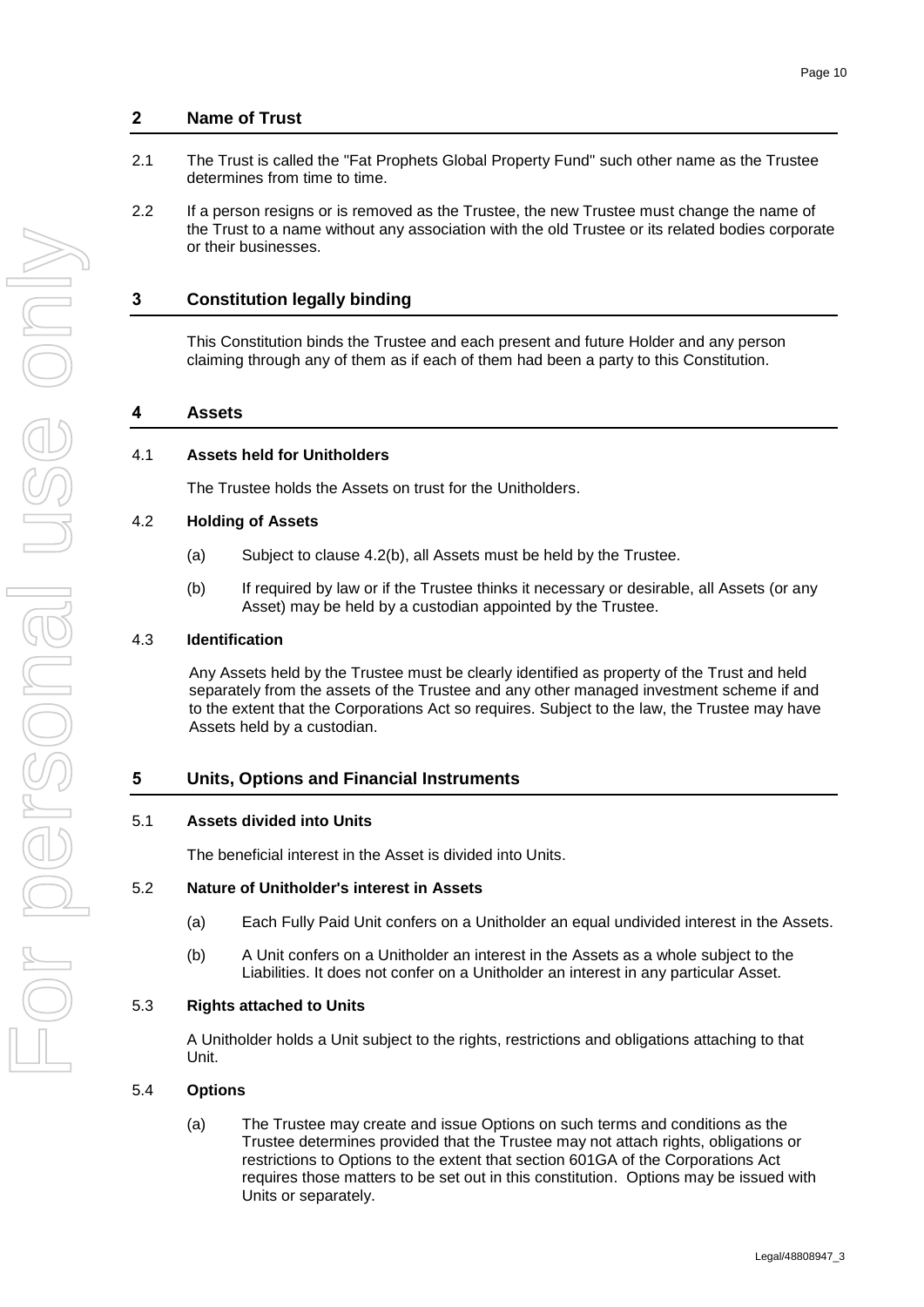### **2 Name of Trust**

- 2.1 The Trust is called the "Fat Prophets Global Property Fund" such other name as the Trustee determines from time to time.
- 2.2 If a person resigns or is removed as the Trustee, the new Trustee must change the name of the Trust to a name without any association with the old Trustee or its related bodies corporate or their businesses.

### **3 Constitution legally binding**

This Constitution binds the Trustee and each present and future Holder and any person claiming through any of them as if each of them had been a party to this Constitution.

#### **4 Assets**

### <span id="page-13-0"></span>4.1 **Assets held for Unitholders**

The Trustee holds the Assets on trust for the Unitholders.

#### <span id="page-13-1"></span>4.2 **Holding of Assets**

- (a) Subject to clause [4.2\(b\),](#page-13-7) all Assets must be held by the Trustee.
- (b) If required by law or if the Trustee thinks it necessary or desirable, all Assets (or any Asset) may be held by a custodian appointed by the Trustee.

### <span id="page-13-7"></span><span id="page-13-2"></span>4.3 **Identification**

Any Assets held by the Trustee must be clearly identified as property of the Trust and held separately from the assets of the Trustee and any other managed investment scheme if and to the extent that the Corporations Act so requires. Subject to the law, the Trustee may have Assets held by a custodian.

### **5 Units, Options and Financial Instruments**

#### <span id="page-13-3"></span>5.1 **Assets divided into Units**

The beneficial interest in the Asset is divided into Units.

#### <span id="page-13-4"></span>5.2 **Nature of Unitholder's interest in Assets**

- (a) Each Fully Paid Unit confers on a Unitholder an equal undivided interest in the Assets.
- (b) A Unit confers on a Unitholder an interest in the Assets as a whole subject to the Liabilities. It does not confer on a Unitholder an interest in any particular Asset.

#### <span id="page-13-5"></span>5.3 **Rights attached to Units**

A Unitholder holds a Unit subject to the rights, restrictions and obligations attaching to that Unit.

#### <span id="page-13-6"></span>5.4 **Options**

(a) The Trustee may create and issue Options on such terms and conditions as the Trustee determines provided that the Trustee may not attach rights, obligations or restrictions to Options to the extent that section 601GA of the Corporations Act requires those matters to be set out in this constitution. Options may be issued with Units or separately.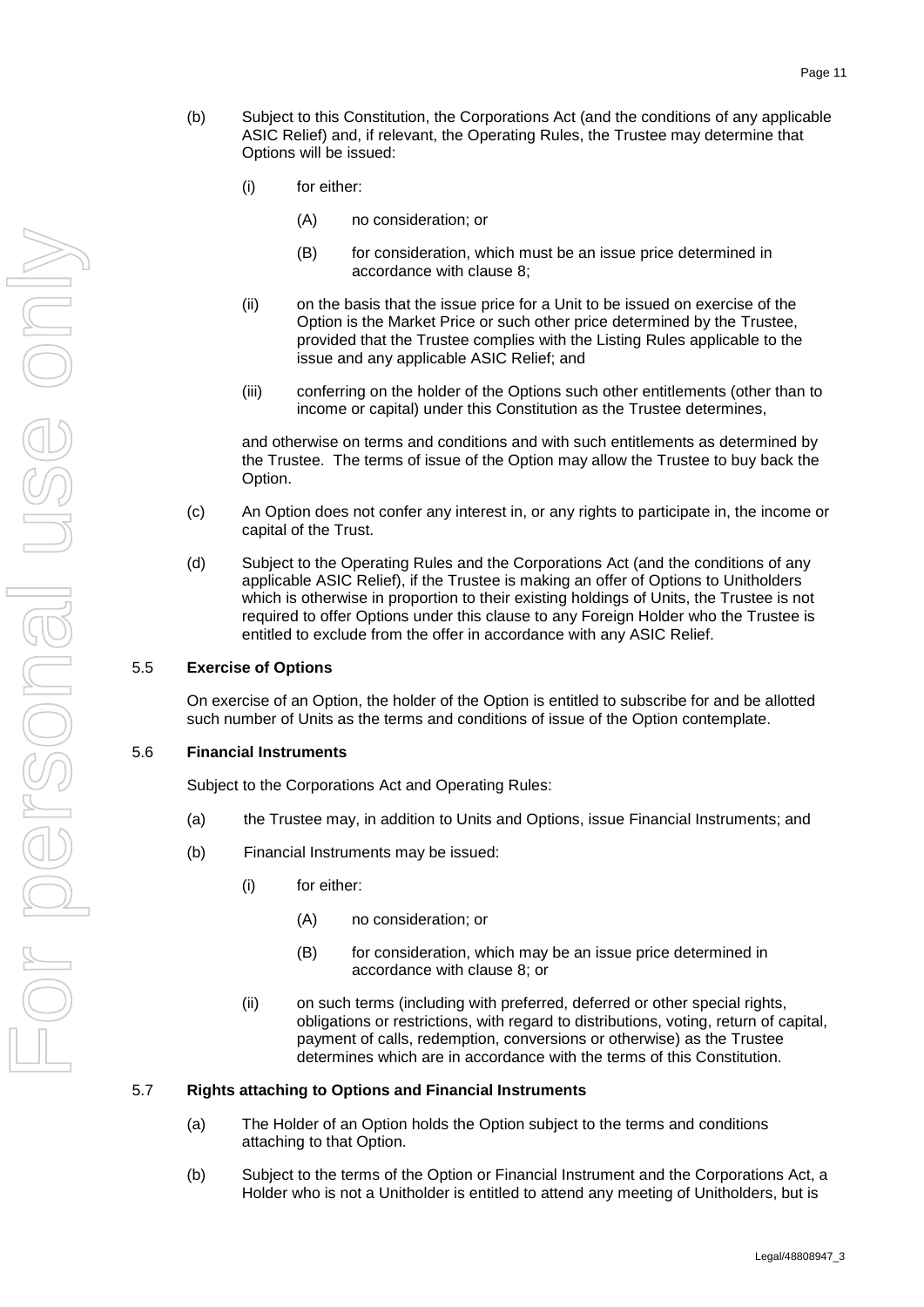- (b) Subject to this Constitution, the Corporations Act (and the conditions of any applicable ASIC Relief) and, if relevant, the Operating Rules, the Trustee may determine that Options will be issued:
	- (i) for either:
		- (A) no consideration; or
		- (B) for consideration, which must be an issue price determined in accordance with clause [8;](#page-17-1)
	- (ii) on the basis that the issue price for a Unit to be issued on exercise of the Option is the Market Price or such other price determined by the Trustee, provided that the Trustee complies with the Listing Rules applicable to the issue and any applicable ASIC Relief; and
	- (iii) conferring on the holder of the Options such other entitlements (other than to income or capital) under this Constitution as the Trustee determines,

<span id="page-14-3"></span>and otherwise on terms and conditions and with such entitlements as determined by the Trustee. The terms of issue of the Option may allow the Trustee to buy back the Option.

- (c) An Option does not confer any interest in, or any rights to participate in, the income or capital of the Trust.
- (d) Subject to the Operating Rules and the Corporations Act (and the conditions of any applicable ASIC Relief), if the Trustee is making an offer of Options to Unitholders which is otherwise in proportion to their existing holdings of Units, the Trustee is not required to offer Options under this clause to any Foreign Holder who the Trustee is entitled to exclude from the offer in accordance with any ASIC Relief.

### <span id="page-14-0"></span>5.5 **Exercise of Options**

On exercise of an Option, the holder of the Option is entitled to subscribe for and be allotted such number of Units as the terms and conditions of issue of the Option contemplate.

#### <span id="page-14-1"></span>5.6 **Financial Instruments**

Subject to the Corporations Act and Operating Rules:

- (a) the Trustee may, in addition to Units and Options, issue Financial Instruments; and
- (b) Financial Instruments may be issued:
	- (i) for either:
		- (A) no consideration; or
		- (B) for consideration, which may be an issue price determined in accordance with clause [8;](#page-17-1) or
	- (ii) on such terms (including with preferred, deferred or other special rights, obligations or restrictions, with regard to distributions, voting, return of capital, payment of calls, redemption, conversions or otherwise) as the Trustee determines which are in accordance with the terms of this Constitution.

#### <span id="page-14-2"></span>5.7 **Rights attaching to Options and Financial Instruments**

- (a) The Holder of an Option holds the Option subject to the terms and conditions attaching to that Option.
- (b) Subject to the terms of the Option or Financial Instrument and the Corporations Act, a Holder who is not a Unitholder is entitled to attend any meeting of Unitholders, but is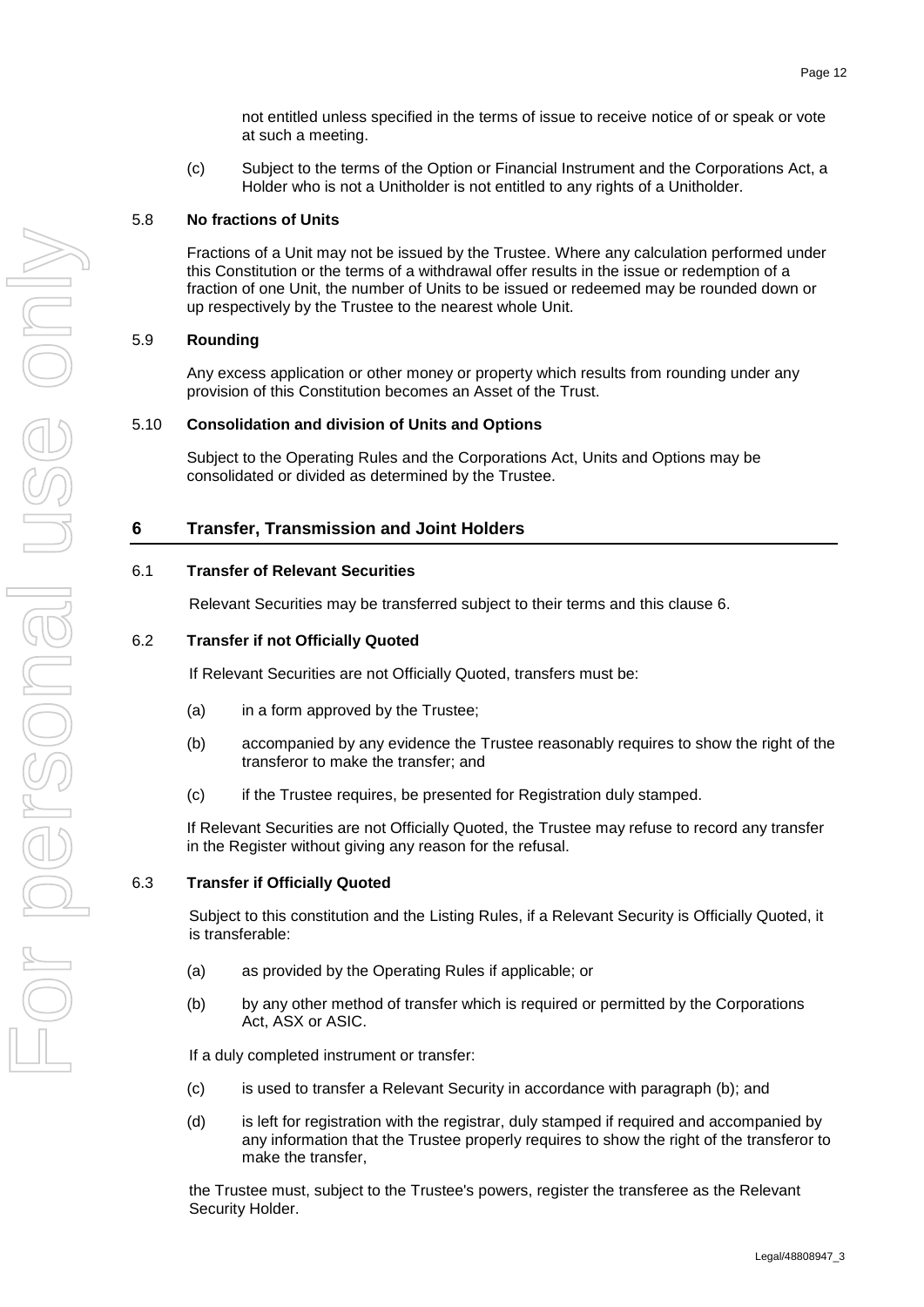not entitled unless specified in the terms of issue to receive notice of or speak or vote at such a meeting.

(c) Subject to the terms of the Option or Financial Instrument and the Corporations Act, a Holder who is not a Unitholder is not entitled to any rights of a Unitholder.

### <span id="page-15-0"></span>5.8 **No fractions of Units**

Fractions of a Unit may not be issued by the Trustee. Where any calculation performed under this Constitution or the terms of a withdrawal offer results in the issue or redemption of a fraction of one Unit, the number of Units to be issued or redeemed may be rounded down or up respectively by the Trustee to the nearest whole Unit.

### <span id="page-15-1"></span>5.9 **Rounding**

Any excess application or other money or property which results from rounding under any provision of this Constitution becomes an Asset of the Trust.

### <span id="page-15-2"></span>5.10 **Consolidation and division of Units and Options**

Subject to the Operating Rules and the Corporations Act, Units and Options may be consolidated or divided as determined by the Trustee.

### <span id="page-15-6"></span>**6 Transfer, Transmission and Joint Holders**

### <span id="page-15-3"></span>6.1 **Transfer of Relevant Securities**

Relevant Securities may be transferred subject to their terms and this clause [6.](#page-15-6)

### <span id="page-15-4"></span>6.2 **Transfer if not Officially Quoted**

If Relevant Securities are not Officially Quoted, transfers must be:

- (a) in a form approved by the Trustee;
- (b) accompanied by any evidence the Trustee reasonably requires to show the right of the transferor to make the transfer; and
- (c) if the Trustee requires, be presented for Registration duly stamped.

If Relevant Securities are not Officially Quoted, the Trustee may refuse to record any transfer in the Register without giving any reason for the refusal.

### <span id="page-15-5"></span>6.3 **Transfer if Officially Quoted**

Subject to this constitution and the Listing Rules, if a Relevant Security is Officially Quoted, it is transferable:

- (a) as provided by the Operating Rules if applicable; or
- <span id="page-15-7"></span>(b) by any other method of transfer which is required or permitted by the Corporations Act, ASX or ASIC.

If a duly completed instrument or transfer:

- (c) is used to transfer a Relevant Security in accordance with paragraph [\(b\);](#page-15-7) and
- (d) is left for registration with the registrar, duly stamped if required and accompanied by any information that the Trustee properly requires to show the right of the transferor to make the transfer,

the Trustee must, subject to the Trustee's powers, register the transferee as the Relevant Security Holder.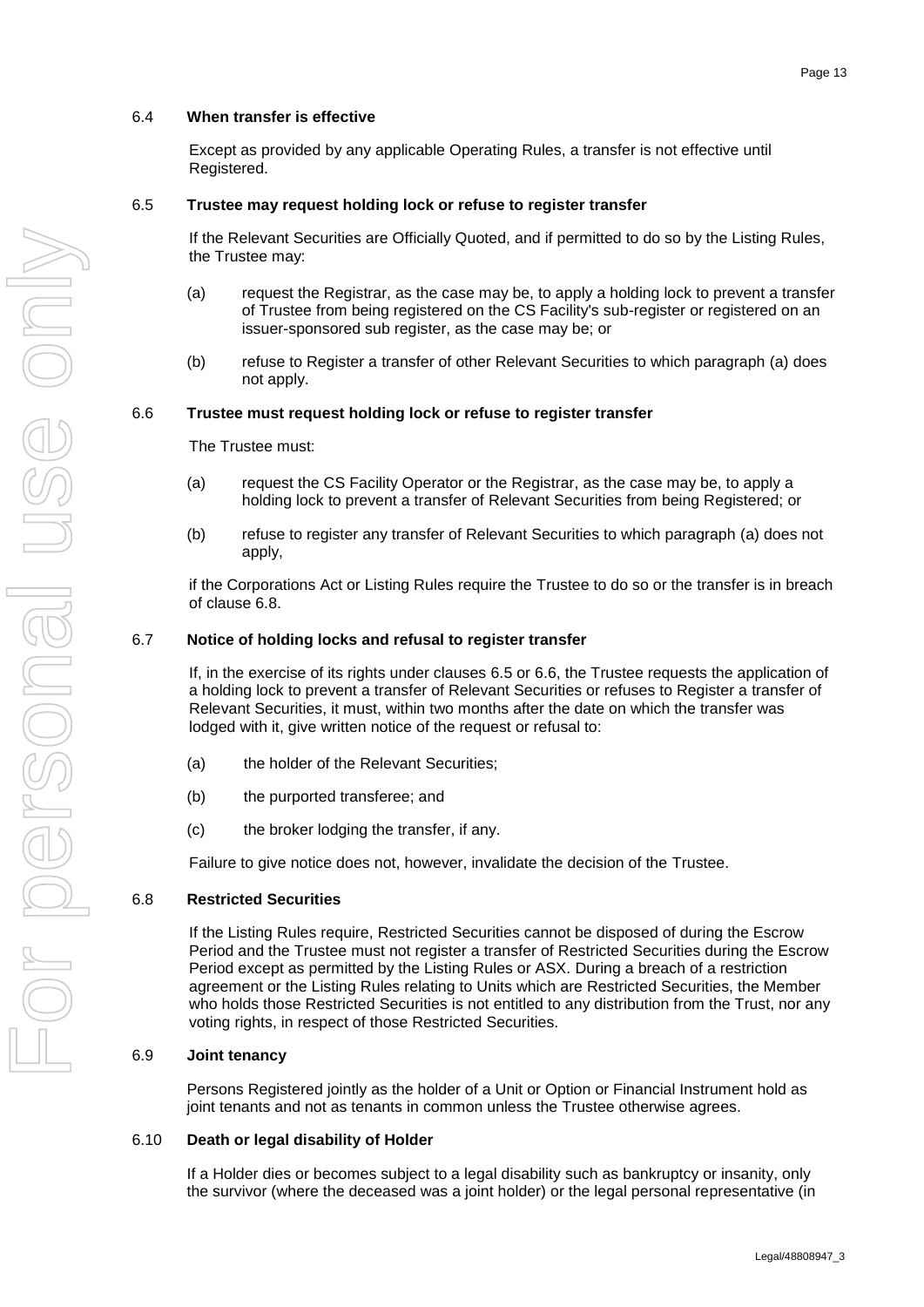### <span id="page-16-0"></span>6.4 **When transfer is effective**

Except as provided by any applicable Operating Rules, a transfer is not effective until Registered.

### <span id="page-16-1"></span>6.5 **Trustee may request holding lock or refuse to register transfer**

If the Relevant Securities are Officially Quoted, and if permitted to do so by the Listing Rules, the Trustee may:

- <span id="page-16-7"></span>(a) request the Registrar, as the case may be, to apply a holding lock to prevent a transfer of Trustee from being registered on the CS Facility's sub-register or registered on an issuer-sponsored sub register, as the case may be; or
- (b) refuse to Register a transfer of other Relevant Securities to which paragraph [\(a\)](#page-16-7) does not apply.

#### <span id="page-16-2"></span>6.6 **Trustee must request holding lock or refuse to register transfer**

The Trustee must:

- <span id="page-16-8"></span>(a) request the CS Facility Operator or the Registrar, as the case may be, to apply a holding lock to prevent a transfer of Relevant Securities from being Registered; or
- (b) refuse to register any transfer of Relevant Securities to which paragraph [\(a\)](#page-16-8) does not apply,

if the Corporations Act or Listing Rules require the Trustee to do so or the transfer is in breach of clause [6.8.](#page-16-4)

#### <span id="page-16-3"></span>6.7 **Notice of holding locks and refusal to register transfer**

If, in the exercise of its rights under clauses [6.5](#page-16-1) or [6.6,](#page-16-2) the Trustee requests the application of a holding lock to prevent a transfer of Relevant Securities or refuses to Register a transfer of Relevant Securities, it must, within two months after the date on which the transfer was lodged with it, give written notice of the request or refusal to:

- (a) the holder of the Relevant Securities;
- (b) the purported transferee; and
- (c) the broker lodging the transfer, if any.

Failure to give notice does not, however, invalidate the decision of the Trustee.

#### <span id="page-16-4"></span>6.8 **Restricted Securities**

If the Listing Rules require, Restricted Securities cannot be disposed of during the Escrow Period and the Trustee must not register a transfer of Restricted Securities during the Escrow Period except as permitted by the Listing Rules or ASX. During a breach of a restriction agreement or the Listing Rules relating to Units which are Restricted Securities, the Member who holds those Restricted Securities is not entitled to any distribution from the Trust, nor any voting rights, in respect of those Restricted Securities.

#### <span id="page-16-5"></span>6.9 **Joint tenancy**

Persons Registered jointly as the holder of a Unit or Option or Financial Instrument hold as joint tenants and not as tenants in common unless the Trustee otherwise agrees.

#### <span id="page-16-6"></span>6.10 **Death or legal disability of Holder**

If a Holder dies or becomes subject to a legal disability such as bankruptcy or insanity, only the survivor (where the deceased was a joint holder) or the legal personal representative (in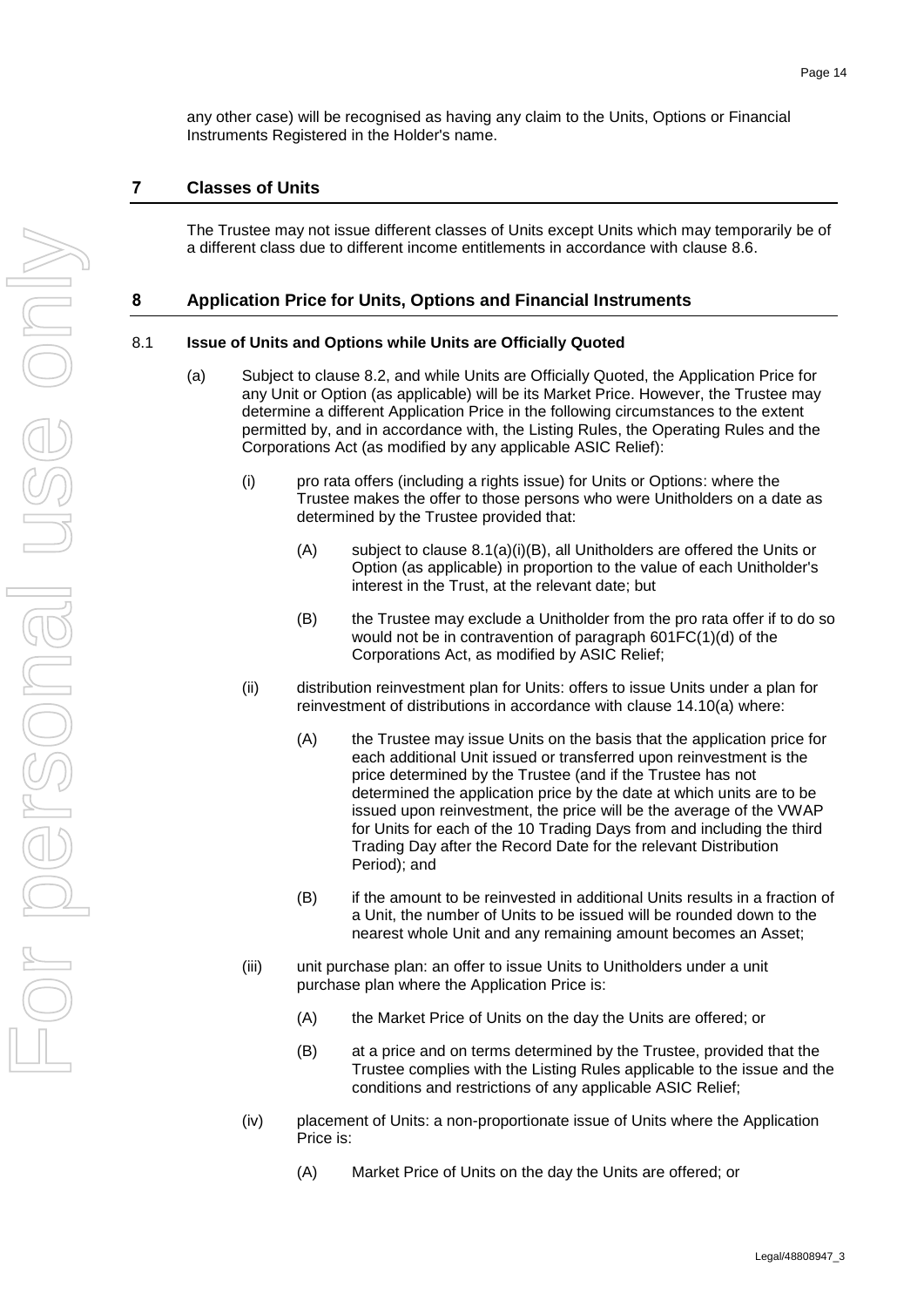any other case) will be recognised as having any claim to the Units, Options or Financial Instruments Registered in the Holder's name.

# **7 Classes of Units**

The Trustee may not issue different classes of Units except Units which may temporarily be of a different class due to different income entitlements in accordance with clause [8.6.](#page-19-1)

### <span id="page-17-1"></span>**8 Application Price for Units, Options and Financial Instruments**

#### <span id="page-17-0"></span>8.1 **Issue of Units and Options while Units are Officially Quoted**

- <span id="page-17-2"></span>(a) Subject to clause [8.2,](#page-18-0) and while Units are Officially Quoted, the Application Price for any Unit or Option (as applicable) will be its Market Price. However, the Trustee may determine a different Application Price in the following circumstances to the extent permitted by, and in accordance with, the Listing Rules, the Operating Rules and the Corporations Act (as modified by any applicable ASIC Relief):
	- (i) pro rata offers (including a rights issue) for Units or Options: where the Trustee makes the offer to those persons who were Unitholders on a date as determined by the Trustee provided that:
		- $(A)$  subject to clause [8.1\(a\)\(i\)\(B\),](#page-17-2) all Unitholders are offered the Units or Option (as applicable) in proportion to the value of each Unitholder's interest in the Trust, at the relevant date; but
		- (B) the Trustee may exclude a Unitholder from the pro rata offer if to do so would not be in contravention of paragraph 601FC(1)(d) of the Corporations Act, as modified by ASIC Relief;
	- (ii) distribution reinvestment plan for Units: offers to issue Units under a plan for reinvestment of distributions in accordance with clause [14.10\(a\)](#page-28-3) where:
		- (A) the Trustee may issue Units on the basis that the application price for each additional Unit issued or transferred upon reinvestment is the price determined by the Trustee (and if the Trustee has not determined the application price by the date at which units are to be issued upon reinvestment, the price will be the average of the VWAP for Units for each of the 10 Trading Days from and including the third Trading Day after the Record Date for the relevant Distribution Period); and
		- (B) if the amount to be reinvested in additional Units results in a fraction of a Unit, the number of Units to be issued will be rounded down to the nearest whole Unit and any remaining amount becomes an Asset;
	- (iii) unit purchase plan: an offer to issue Units to Unitholders under a unit purchase plan where the Application Price is:
		- (A) the Market Price of Units on the day the Units are offered; or
		- (B) at a price and on terms determined by the Trustee, provided that the Trustee complies with the Listing Rules applicable to the issue and the conditions and restrictions of any applicable ASIC Relief;
	- (iv) placement of Units: a non-proportionate issue of Units where the Application Price is:
		- (A) Market Price of Units on the day the Units are offered; or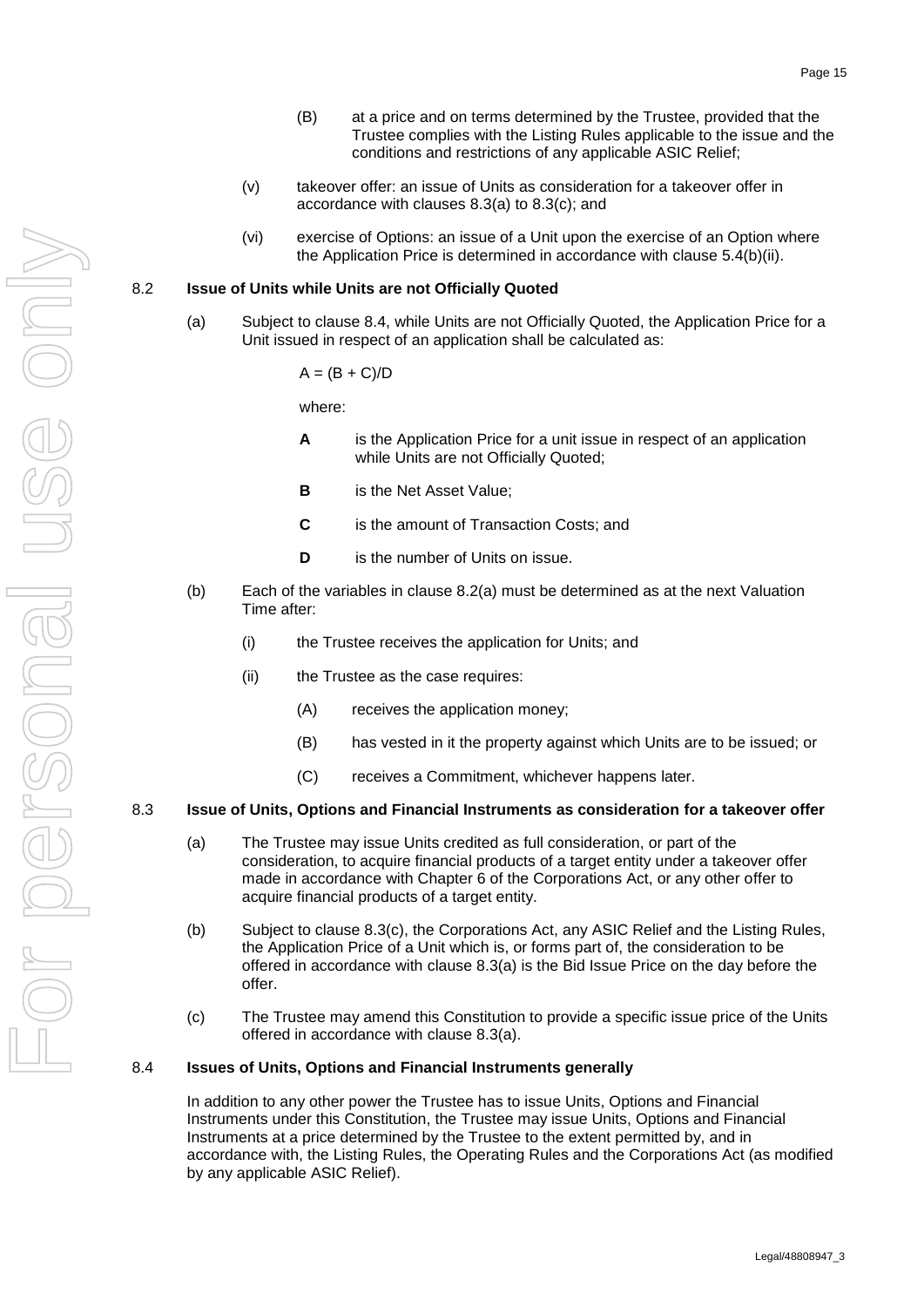- (B) at a price and on terms determined by the Trustee, provided that the Trustee complies with the Listing Rules applicable to the issue and the conditions and restrictions of any applicable ASIC Relief;
- (v) takeover offer: an issue of Units as consideration for a takeover offer in accordance with clauses [8.3\(a\)](#page-18-3) to [8.3\(c\);](#page-18-4) and
- (vi) exercise of Options: an issue of a Unit upon the exercise of an Option where the Application Price is determined in accordance with clause [5.4\(b\)\(ii\).](#page-14-3)

#### <span id="page-18-5"></span><span id="page-18-0"></span>8.2 **Issue of Units while Units are not Officially Quoted**

(a) Subject to clause [8.4,](#page-18-2) while Units are not Officially Quoted, the Application Price for a Unit issued in respect of an application shall be calculated as:

 $A = (B + C)/D$ 

where:

- **A** is the Application Price for a unit issue in respect of an application while Units are not Officially Quoted;
- **B** is the Net Asset Value;
- **C** is the amount of Transaction Costs; and
- **D** is the number of Units on issue.
- (b) Each of the variables in clause [8.2\(a\)](#page-18-5) must be determined as at the next Valuation Time after:
	- (i) the Trustee receives the application for Units; and
	- (ii) the Trustee as the case requires:
		- (A) receives the application money;
		- (B) has vested in it the property against which Units are to be issued; or
		- (C) receives a Commitment, whichever happens later.

#### <span id="page-18-3"></span><span id="page-18-1"></span>8.3 **Issue of Units, Options and Financial Instruments as consideration for a takeover offer**

- (a) The Trustee may issue Units credited as full consideration, or part of the consideration, to acquire financial products of a target entity under a takeover offer made in accordance with Chapter 6 of the Corporations Act, or any other offer to acquire financial products of a target entity.
- (b) Subject to clause [8.3\(c\),](#page-18-4) the Corporations Act, any ASIC Relief and the Listing Rules, the Application Price of a Unit which is, or forms part of, the consideration to be offered in accordance with clause [8.3\(a\)](#page-18-3) is the Bid Issue Price on the day before the offer.
- (c) The Trustee may amend this Constitution to provide a specific issue price of the Units offered in accordance with clause [8.3\(a\).](#page-18-3)

#### <span id="page-18-4"></span><span id="page-18-2"></span>8.4 **Issues of Units, Options and Financial Instruments generally**

In addition to any other power the Trustee has to issue Units, Options and Financial Instruments under this Constitution, the Trustee may issue Units, Options and Financial Instruments at a price determined by the Trustee to the extent permitted by, and in accordance with, the Listing Rules, the Operating Rules and the Corporations Act (as modified by any applicable ASIC Relief).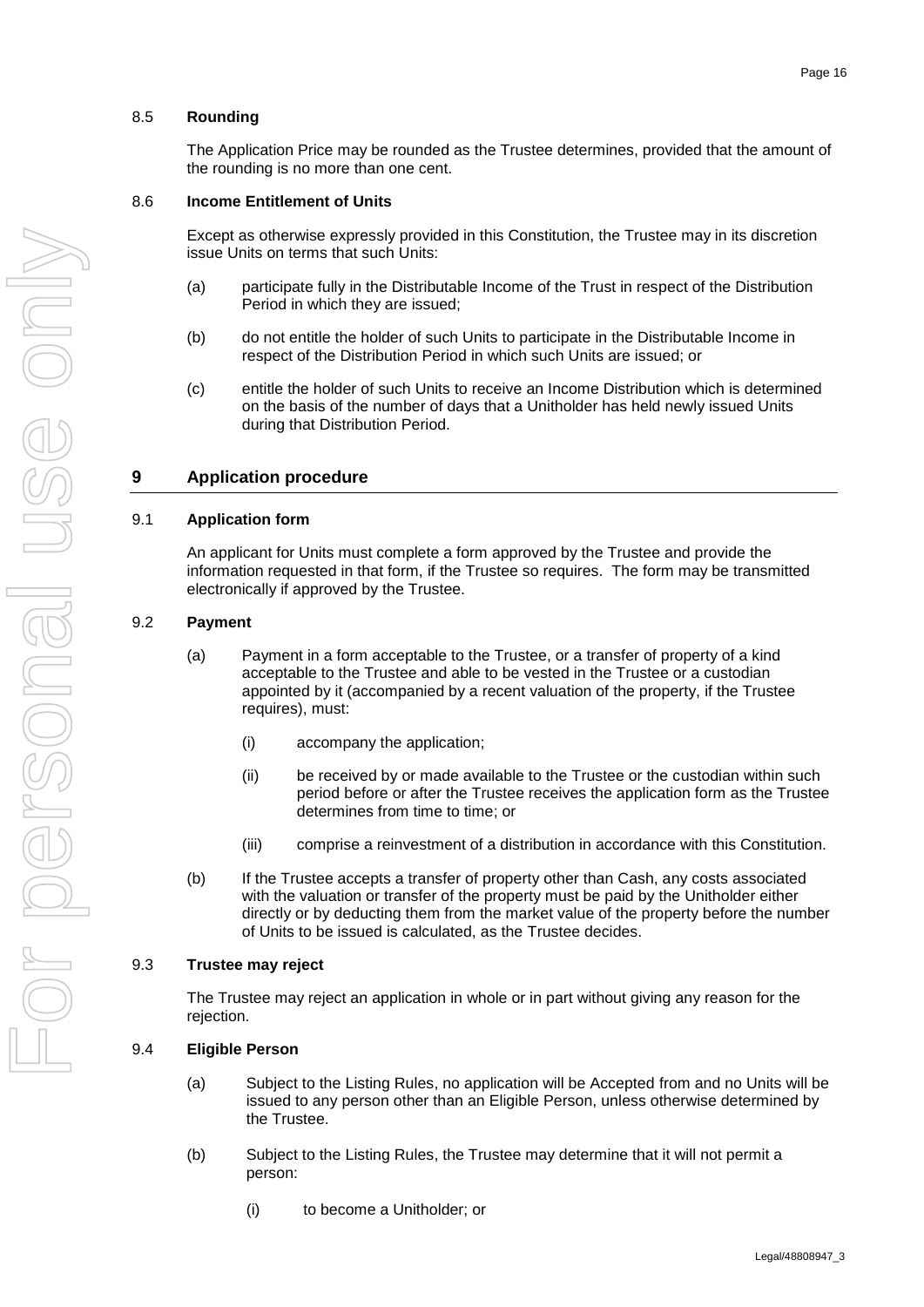### <span id="page-19-0"></span>8.5 **Rounding**

The Application Price may be rounded as the Trustee determines, provided that the amount of the rounding is no more than one cent.

### <span id="page-19-1"></span>8.6 **Income Entitlement of Units**

Except as otherwise expressly provided in this Constitution, the Trustee may in its discretion issue Units on terms that such Units:

- (a) participate fully in the Distributable Income of the Trust in respect of the Distribution Period in which they are issued;
- (b) do not entitle the holder of such Units to participate in the Distributable Income in respect of the Distribution Period in which such Units are issued; or
- <span id="page-19-7"></span>(c) entitle the holder of such Units to receive an Income Distribution which is determined on the basis of the number of days that a Unitholder has held newly issued Units during that Distribution Period.

# <span id="page-19-6"></span>**9 Application procedure**

### <span id="page-19-2"></span>9.1 **Application form**

An applicant for Units must complete a form approved by the Trustee and provide the information requested in that form, if the Trustee so requires. The form may be transmitted electronically if approved by the Trustee.

### <span id="page-19-3"></span>9.2 **Payment**

- (a) Payment in a form acceptable to the Trustee, or a transfer of property of a kind acceptable to the Trustee and able to be vested in the Trustee or a custodian appointed by it (accompanied by a recent valuation of the property, if the Trustee requires), must:
	- (i) accompany the application;
	- (ii) be received by or made available to the Trustee or the custodian within such period before or after the Trustee receives the application form as the Trustee determines from time to time; or
	- (iii) comprise a reinvestment of a distribution in accordance with this Constitution.
- (b) If the Trustee accepts a transfer of property other than Cash, any costs associated with the valuation or transfer of the property must be paid by the Unitholder either directly or by deducting them from the market value of the property before the number of Units to be issued is calculated, as the Trustee decides.

### <span id="page-19-4"></span>9.3 **Trustee may reject**

The Trustee may reject an application in whole or in part without giving any reason for the rejection.

### <span id="page-19-5"></span>9.4 **Eligible Person**

- (a) Subject to the Listing Rules, no application will be Accepted from and no Units will be issued to any person other than an Eligible Person, unless otherwise determined by the Trustee.
- (b) Subject to the Listing Rules, the Trustee may determine that it will not permit a person:
	- (i) to become a Unitholder; or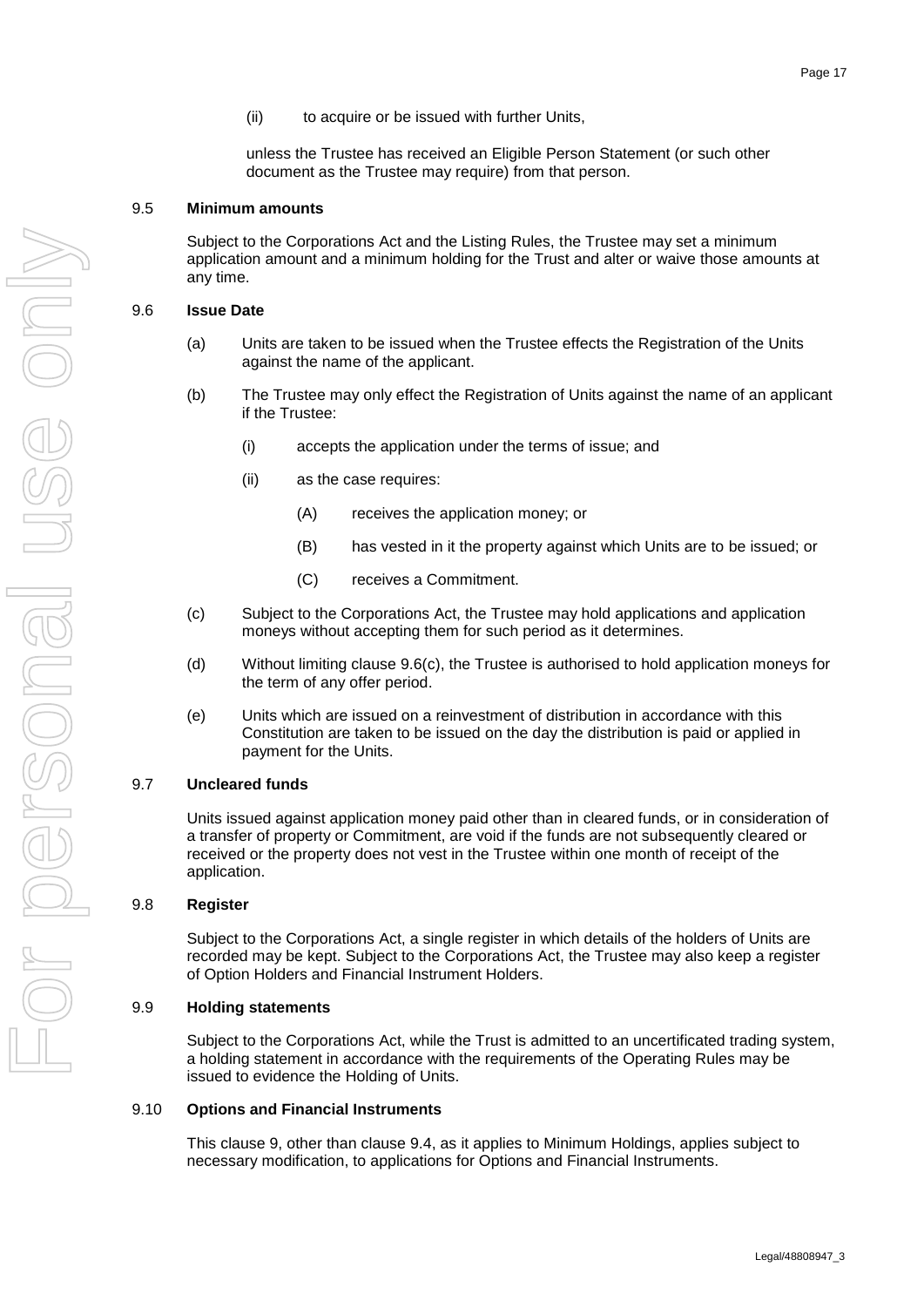(ii) to acquire or be issued with further Units,

unless the Trustee has received an Eligible Person Statement (or such other document as the Trustee may require) from that person.

#### <span id="page-20-0"></span>9.5 **Minimum amounts**

Subject to the Corporations Act and the Listing Rules, the Trustee may set a minimum application amount and a minimum holding for the Trust and alter or waive those amounts at any time.

#### <span id="page-20-6"></span><span id="page-20-1"></span>9.6 **Issue Date**

- (a) Units are taken to be issued when the Trustee effects the Registration of the Units against the name of the applicant.
- (b) The Trustee may only effect the Registration of Units against the name of an applicant if the Trustee:
	- (i) accepts the application under the terms of issue; and
	- (ii) as the case requires:
		- (A) receives the application money; or
		- (B) has vested in it the property against which Units are to be issued; or
		- (C) receives a Commitment.
- <span id="page-20-7"></span>(c) Subject to the Corporations Act, the Trustee may hold applications and application moneys without accepting them for such period as it determines.
- (d) Without limiting clause [9.6\(c\),](#page-20-7) the Trustee is authorised to hold application moneys for the term of any offer period.
- (e) Units which are issued on a reinvestment of distribution in accordance with this Constitution are taken to be issued on the day the distribution is paid or applied in payment for the Units.

### <span id="page-20-2"></span>9.7 **Uncleared funds**

Units issued against application money paid other than in cleared funds, or in consideration of a transfer of property or Commitment, are void if the funds are not subsequently cleared or received or the property does not vest in the Trustee within one month of receipt of the application.

### <span id="page-20-3"></span>9.8 **Register**

Subject to the Corporations Act, a single register in which details of the holders of Units are recorded may be kept. Subject to the Corporations Act, the Trustee may also keep a register of Option Holders and Financial Instrument Holders.

#### <span id="page-20-4"></span>9.9 **Holding statements**

Subject to the Corporations Act, while the Trust is admitted to an uncertificated trading system, a holding statement in accordance with the requirements of the Operating Rules may be issued to evidence the Holding of Units.

#### <span id="page-20-5"></span>9.10 **Options and Financial Instruments**

This clause [9,](#page-19-6) other than clause [9.4,](#page-19-5) as it applies to Minimum Holdings, applies subject to necessary modification, to applications for Options and Financial Instruments.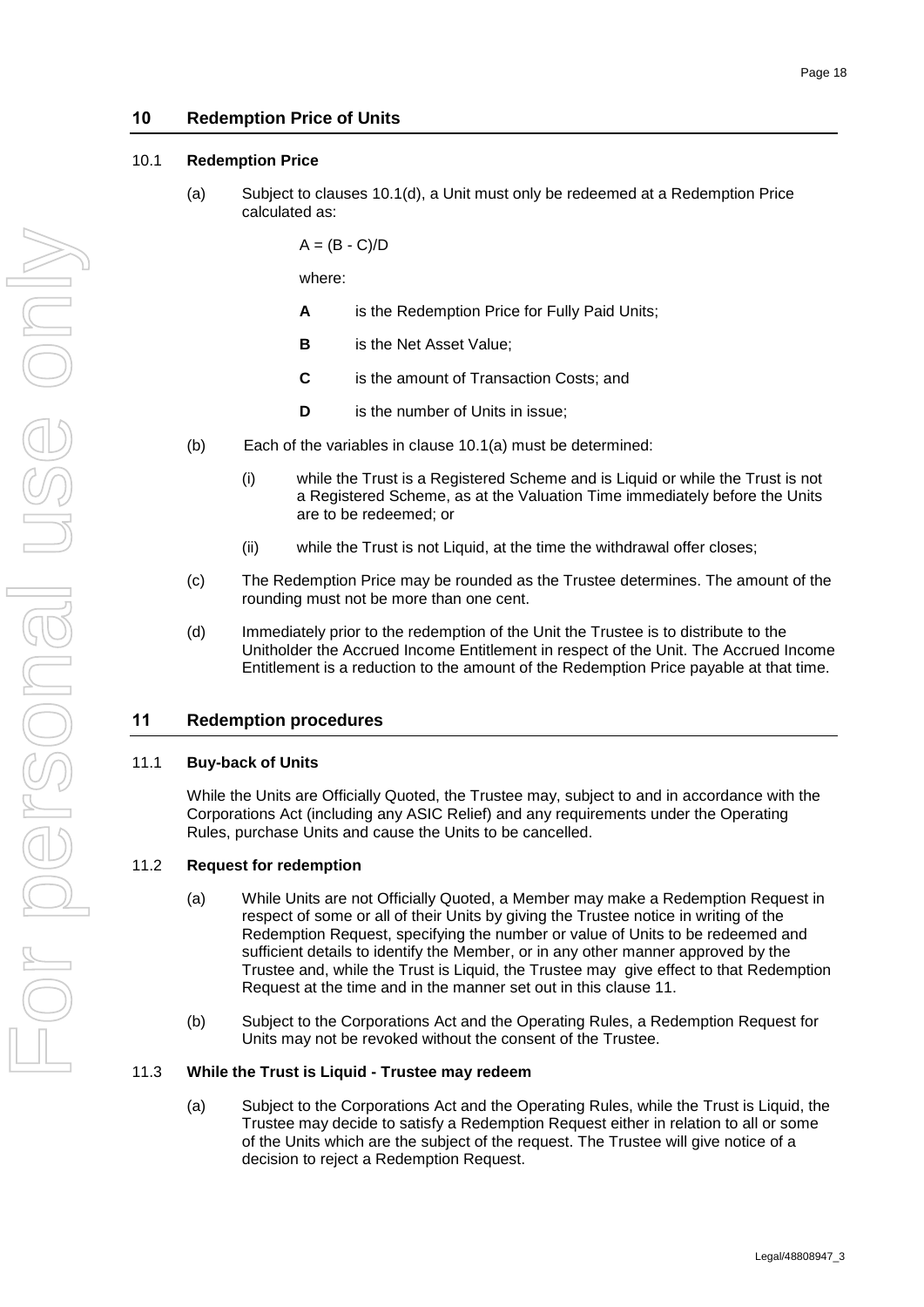### **10 Redemption Price of Units**

#### <span id="page-21-5"></span><span id="page-21-0"></span>10.1 **Redemption Price**

(a) Subject to clauses [10.1\(d\),](#page-21-4) a Unit must only be redeemed at a Redemption Price calculated as:

 $A = (B - C)/D$ 

where:

- **A** is the Redemption Price for Fully Paid Units;
- **B** is the Net Asset Value;
- **C** is the amount of Transaction Costs; and
- **D** is the number of Units in issue;
- (b) Each of the variables in clause [10.1\(a\)](#page-21-5) must be determined:
	- (i) while the Trust is a Registered Scheme and is Liquid or while the Trust is not a Registered Scheme, as at the Valuation Time immediately before the Units are to be redeemed; or
	- (ii) while the Trust is not Liquid, at the time the withdrawal offer closes;
- (c) The Redemption Price may be rounded as the Trustee determines. The amount of the rounding must not be more than one cent.
- <span id="page-21-4"></span>(d) Immediately prior to the redemption of the Unit the Trustee is to distribute to the Unitholder the Accrued Income Entitlement in respect of the Unit. The Accrued Income Entitlement is a reduction to the amount of the Redemption Price payable at that time.

### <span id="page-21-6"></span>**11 Redemption procedures**

#### <span id="page-21-1"></span>11.1 **Buy-back of Units**

While the Units are Officially Quoted, the Trustee may, subject to and in accordance with the Corporations Act (including any ASIC Relief) and any requirements under the Operating Rules, purchase Units and cause the Units to be cancelled.

#### <span id="page-21-2"></span>11.2 **Request for redemption**

- (a) While Units are not Officially Quoted, a Member may make a Redemption Request in respect of some or all of their Units by giving the Trustee notice in writing of the Redemption Request, specifying the number or value of Units to be redeemed and sufficient details to identify the Member, or in any other manner approved by the Trustee and, while the Trust is Liquid, the Trustee may give effect to that Redemption Request at the time and in the manner set out in this clause [11.](#page-21-6)
- (b) Subject to the Corporations Act and the Operating Rules, a Redemption Request for Units may not be revoked without the consent of the Trustee.

#### <span id="page-21-3"></span>11.3 **While the Trust is Liquid - Trustee may redeem**

(a) Subject to the Corporations Act and the Operating Rules, while the Trust is Liquid, the Trustee may decide to satisfy a Redemption Request either in relation to all or some of the Units which are the subject of the request. The Trustee will give notice of a decision to reject a Redemption Request.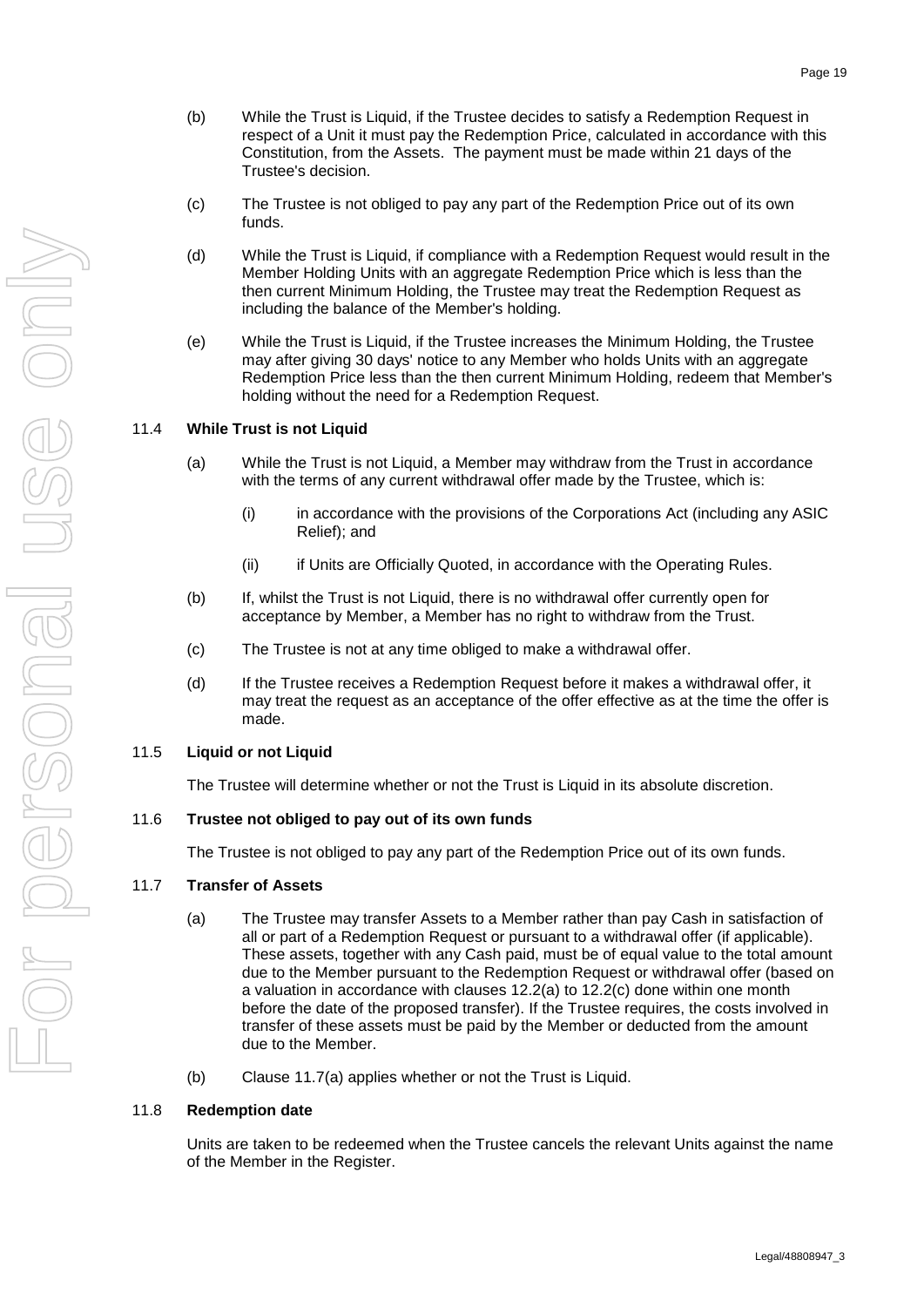- (b) While the Trust is Liquid, if the Trustee decides to satisfy a Redemption Request in respect of a Unit it must pay the Redemption Price, calculated in accordance with this Constitution, from the Assets. The payment must be made within 21 days of the Trustee's decision.
- (c) The Trustee is not obliged to pay any part of the Redemption Price out of its own funds.
- (d) While the Trust is Liquid, if compliance with a Redemption Request would result in the Member Holding Units with an aggregate Redemption Price which is less than the then current Minimum Holding, the Trustee may treat the Redemption Request as including the balance of the Member's holding.
- (e) While the Trust is Liquid, if the Trustee increases the Minimum Holding, the Trustee may after giving 30 days' notice to any Member who holds Units with an aggregate Redemption Price less than the then current Minimum Holding, redeem that Member's holding without the need for a Redemption Request.

### <span id="page-22-0"></span>11.4 **While Trust is not Liquid**

- (a) While the Trust is not Liquid, a Member may withdraw from the Trust in accordance with the terms of any current withdrawal offer made by the Trustee, which is:
	- (i) in accordance with the provisions of the Corporations Act (including any ASIC Relief); and
	- (ii) if Units are Officially Quoted, in accordance with the Operating Rules.
- (b) If, whilst the Trust is not Liquid, there is no withdrawal offer currently open for acceptance by Member, a Member has no right to withdraw from the Trust.
- (c) The Trustee is not at any time obliged to make a withdrawal offer.
- (d) If the Trustee receives a Redemption Request before it makes a withdrawal offer, it may treat the request as an acceptance of the offer effective as at the time the offer is made.

### <span id="page-22-1"></span>11.5 **Liquid or not Liquid**

The Trustee will determine whether or not the Trust is Liquid in its absolute discretion.

### <span id="page-22-2"></span>11.6 **Trustee not obliged to pay out of its own funds**

The Trustee is not obliged to pay any part of the Redemption Price out of its own funds.

#### <span id="page-22-5"></span><span id="page-22-3"></span>11.7 **Transfer of Assets**

- (a) The Trustee may transfer Assets to a Member rather than pay Cash in satisfaction of all or part of a Redemption Request or pursuant to a withdrawal offer (if applicable). These assets, together with any Cash paid, must be of equal value to the total amount due to the Member pursuant to the Redemption Request or withdrawal offer (based on a valuation in accordance with clauses [12.2\(a\)](#page-24-6) to [12.2\(c\)](#page-24-8) done within one month before the date of the proposed transfer). If the Trustee requires, the costs involved in transfer of these assets must be paid by the Member or deducted from the amount due to the Member.
- (b) Clause [11.7\(a\)](#page-22-5) applies whether or not the Trust is Liquid.

#### <span id="page-22-6"></span><span id="page-22-4"></span>11.8 **Redemption date**

Units are taken to be redeemed when the Trustee cancels the relevant Units against the name of the Member in the Register.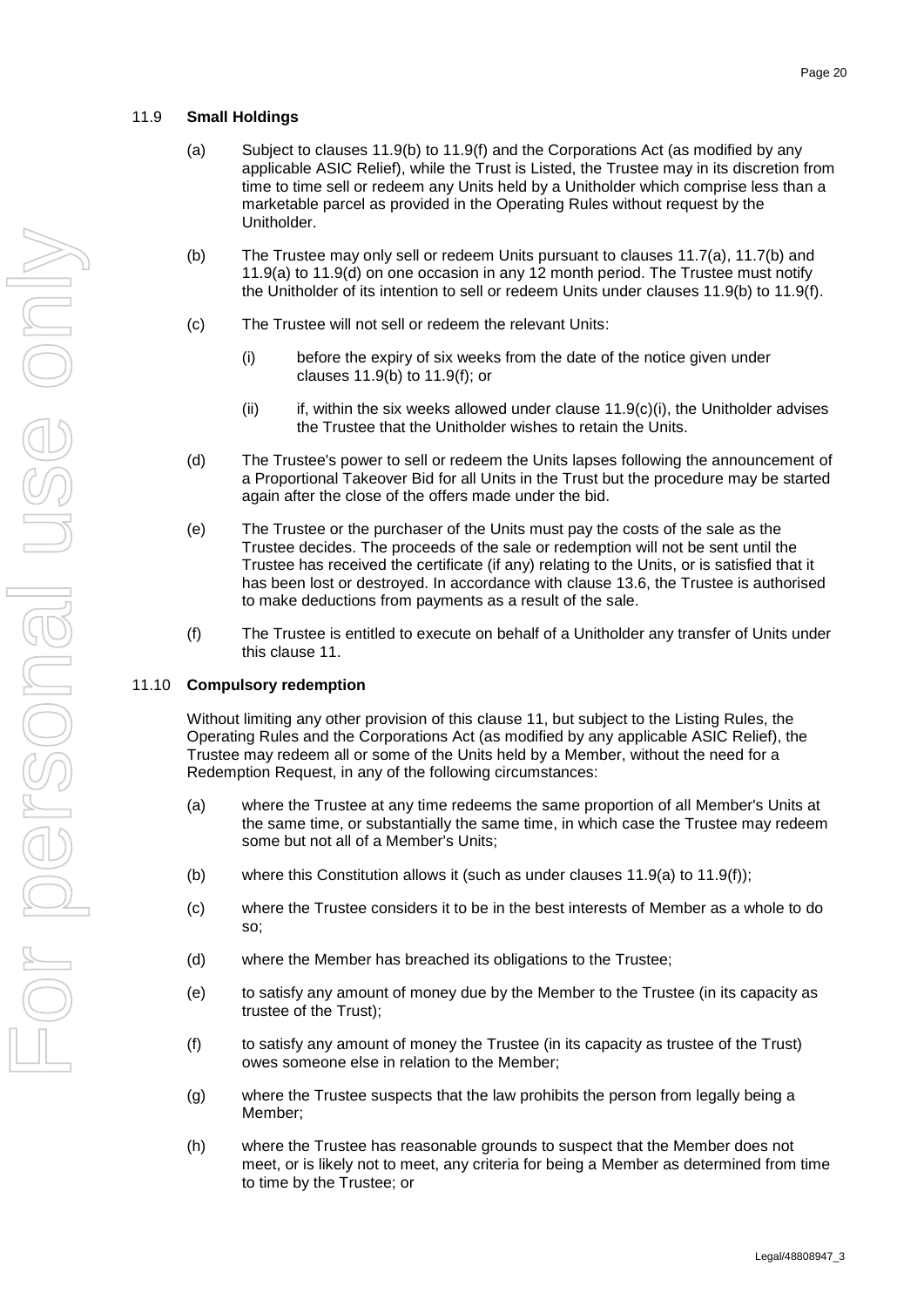### <span id="page-23-4"></span><span id="page-23-0"></span>11.9 **Small Holdings**

- (a) Subject to clauses [11.9\(b\)](#page-23-2) to [11.9\(f\)](#page-23-3) and the Corporations Act (as modified by any applicable ASIC Relief), while the Trust is Listed, the Trustee may in its discretion from time to time sell or redeem any Units held by a Unitholder which comprise less than a marketable parcel as provided in the Operating Rules without request by the Unitholder.
- <span id="page-23-2"></span>(b) The Trustee may only sell or redeem Units pursuant to clauses [11.7\(a\),](#page-22-5) [11.7\(b\)](#page-22-6) and [11.9\(a\)](#page-23-4) to [11.9\(d\)](#page-23-5) on one occasion in any 12 month period. The Trustee must notify the Unitholder of its intention to sell or redeem Units under clauses [11.9\(b\)](#page-23-2) to [11.9\(f\).](#page-23-3)
- <span id="page-23-6"></span>(c) The Trustee will not sell or redeem the relevant Units:
	- (i) before the expiry of six weeks from the date of the notice given under clauses 11.9(b) to [11.9\(f\);](#page-23-3) or
	- (ii) if, within the six weeks allowed under clause  $11.9(c)(i)$ , the Unitholder advises the Trustee that the Unitholder wishes to retain the Units.
- <span id="page-23-5"></span>(d) The Trustee's power to sell or redeem the Units lapses following the announcement of a Proportional Takeover Bid for all Units in the Trust but the procedure may be started again after the close of the offers made under the bid.
- (e) The Trustee or the purchaser of the Units must pay the costs of the sale as the Trustee decides. The proceeds of the sale or redemption will not be sent until the Trustee has received the certificate (if any) relating to the Units, or is satisfied that it has been lost or destroyed. In accordance with clause [13.6,](#page-25-3) the Trustee is authorised to make deductions from payments as a result of the sale.
- (f) The Trustee is entitled to execute on behalf of a Unitholder any transfer of Units under this clause [11.](#page-21-6)

### <span id="page-23-3"></span><span id="page-23-1"></span>11.10 **Compulsory redemption**

Without limiting any other provision of this clause [11,](#page-21-6) but subject to the Listing Rules, the Operating Rules and the Corporations Act (as modified by any applicable ASIC Relief), the Trustee may redeem all or some of the Units held by a Member, without the need for a Redemption Request, in any of the following circumstances:

- (a) where the Trustee at any time redeems the same proportion of all Member's Units at the same time, or substantially the same time, in which case the Trustee may redeem some but not all of a Member's Units;
- (b) where this Constitution allows it (such as under clauses [11.9\(a\)](#page-23-4) to [11.9\(f\)\)](#page-23-3);
- (c) where the Trustee considers it to be in the best interests of Member as a whole to do so;
- (d) where the Member has breached its obligations to the Trustee;
- (e) to satisfy any amount of money due by the Member to the Trustee (in its capacity as trustee of the Trust);
- (f) to satisfy any amount of money the Trustee (in its capacity as trustee of the Trust) owes someone else in relation to the Member;
- (g) where the Trustee suspects that the law prohibits the person from legally being a Member;
- (h) where the Trustee has reasonable grounds to suspect that the Member does not meet, or is likely not to meet, any criteria for being a Member as determined from time to time by the Trustee; or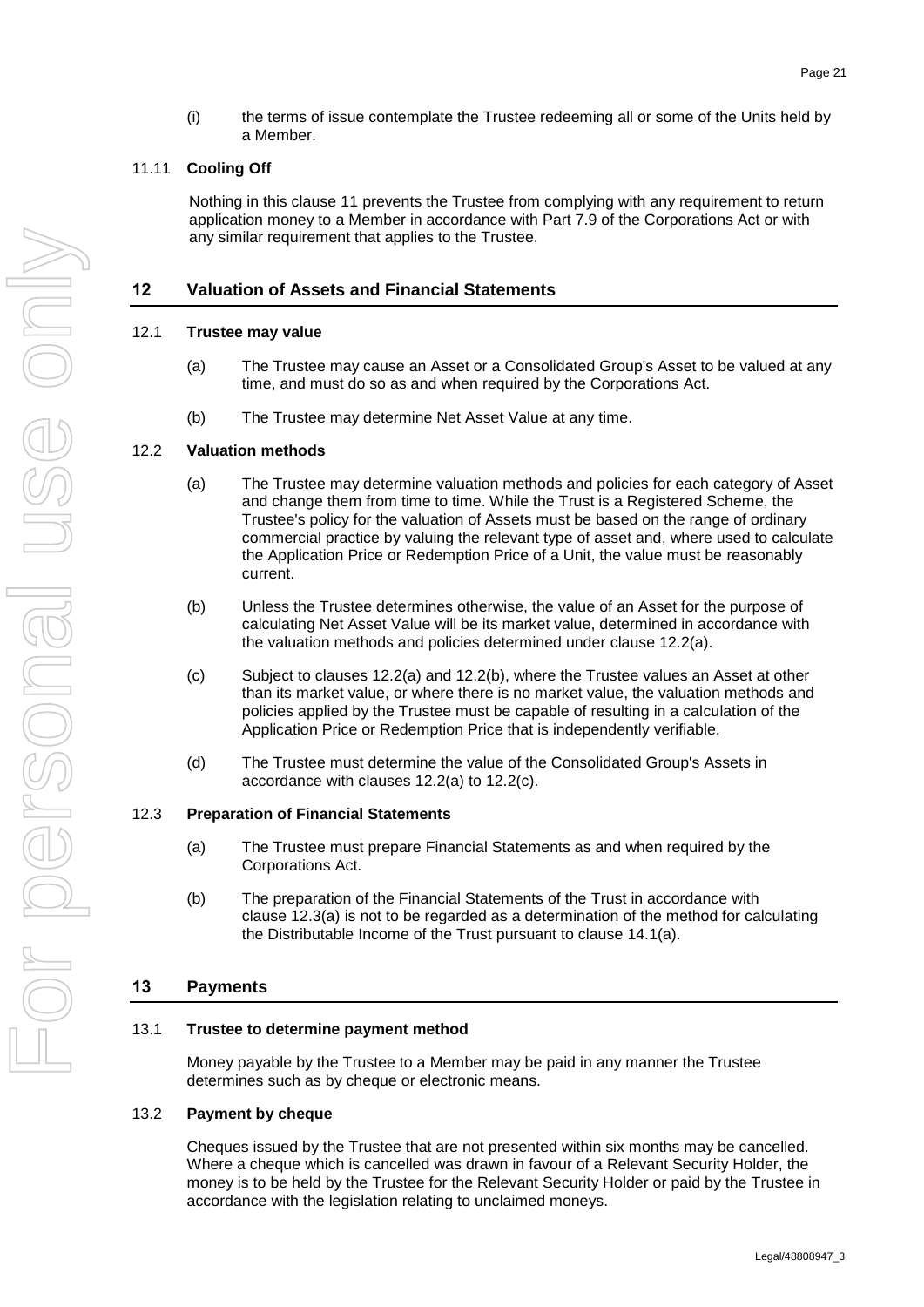(i) the terms of issue contemplate the Trustee redeeming all or some of the Units held by a Member.

### <span id="page-24-0"></span>11.11 **Cooling Off**

Nothing in this clause [11](#page-21-6) prevents the Trustee from complying with any requirement to return application money to a Member in accordance with Part 7.9 of the Corporations Act or with any similar requirement that applies to the Trustee.

### **12 Valuation of Assets and Financial Statements**

### <span id="page-24-1"></span>12.1 **Trustee may value**

- (a) The Trustee may cause an Asset or a Consolidated Group's Asset to be valued at any time, and must do so as and when required by the Corporations Act.
- (b) The Trustee may determine Net Asset Value at any time.

### <span id="page-24-6"></span><span id="page-24-2"></span>12.2 **Valuation methods**

- (a) The Trustee may determine valuation methods and policies for each category of Asset and change them from time to time. While the Trust is a Registered Scheme, the Trustee's policy for the valuation of Assets must be based on the range of ordinary commercial practice by valuing the relevant type of asset and, where used to calculate the Application Price or Redemption Price of a Unit, the value must be reasonably current.
- <span id="page-24-9"></span>(b) Unless the Trustee determines otherwise, the value of an Asset for the purpose of calculating Net Asset Value will be its market value, determined in accordance with the valuation methods and policies determined under clause [12.2\(a\).](#page-24-6)
- <span id="page-24-8"></span>(c) Subject to clauses [12.2\(a\)](#page-24-6) and [12.2\(b\),](#page-24-9) where the Trustee values an Asset at other than its market value, or where there is no market value, the valuation methods and policies applied by the Trustee must be capable of resulting in a calculation of the Application Price or Redemption Price that is independently verifiable.
- (d) The Trustee must determine the value of the Consolidated Group's Assets in accordance with clauses [12.2\(a\)](#page-24-6) to [12.2\(c\).](#page-24-8)

#### <span id="page-24-10"></span><span id="page-24-7"></span><span id="page-24-3"></span>12.3 **Preparation of Financial Statements**

- (a) The Trustee must prepare Financial Statements as and when required by the Corporations Act.
- (b) The preparation of the Financial Statements of the Trust in accordance with clause [12.3\(a\)](#page-24-10) is not to be regarded as a determination of the method for calculating the Distributable Income of the Trust pursuant to clause [14.1\(a\).](#page-25-8)

### **13 Payments**

### <span id="page-24-4"></span>13.1 **Trustee to determine payment method**

Money payable by the Trustee to a Member may be paid in any manner the Trustee determines such as by cheque or electronic means.

#### <span id="page-24-5"></span>13.2 **Payment by cheque**

Cheques issued by the Trustee that are not presented within six months may be cancelled. Where a cheque which is cancelled was drawn in favour of a Relevant Security Holder, the money is to be held by the Trustee for the Relevant Security Holder or paid by the Trustee in accordance with the legislation relating to unclaimed moneys.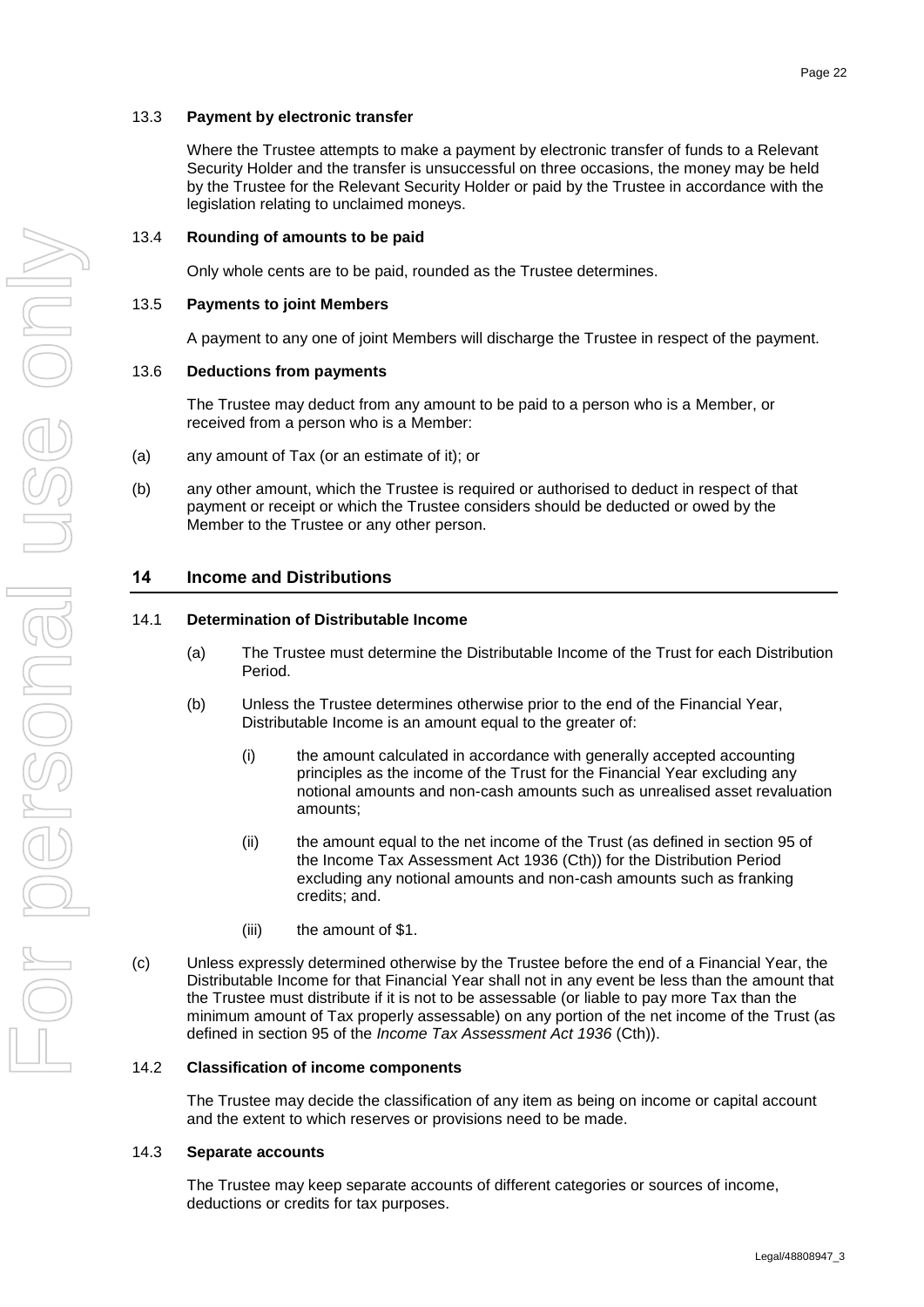<span id="page-25-0"></span>Where the Trustee attempts to make a payment by electronic transfer of funds to a Relevant Security Holder and the transfer is unsuccessful on three occasions, the money may be held by the Trustee for the Relevant Security Holder or paid by the Trustee in accordance with the legislation relating to unclaimed moneys.

Only whole cents are to be paid, rounded as the Trustee determines.

### <span id="page-25-2"></span><span id="page-25-1"></span>13.5 **Payments to joint Members**

A payment to any one of joint Members will discharge the Trustee in respect of the payment.

### <span id="page-25-3"></span>13.6 **Deductions from payments**

The Trustee may deduct from any amount to be paid to a person who is a Member, or received from a person who is a Member:

- (a) any amount of Tax (or an estimate of it); or
- (b) any other amount, which the Trustee is required or authorised to deduct in respect of that payment or receipt or which the Trustee considers should be deducted or owed by the Member to the Trustee or any other person.

# <span id="page-25-7"></span>**14 Income and Distributions**

### <span id="page-25-8"></span><span id="page-25-4"></span>14.1 **Determination of Distributable Income**

- (a) The Trustee must determine the Distributable Income of the Trust for each Distribution Period.
- (b) Unless the Trustee determines otherwise prior to the end of the Financial Year, Distributable Income is an amount equal to the greater of:
	- (i) the amount calculated in accordance with generally accepted accounting principles as the income of the Trust for the Financial Year excluding any notional amounts and non-cash amounts such as unrealised asset revaluation amounts;
	- (ii) the amount equal to the net income of the Trust (as defined in section 95 of the Income Tax Assessment Act 1936 (Cth)) for the Distribution Period excluding any notional amounts and non-cash amounts such as franking credits; and.
	- (iii) the amount of \$1.
- (c) Unless expressly determined otherwise by the Trustee before the end of a Financial Year, the Distributable Income for that Financial Year shall not in any event be less than the amount that the Trustee must distribute if it is not to be assessable (or liable to pay more Tax than the minimum amount of Tax properly assessable) on any portion of the net income of the Trust (as defined in section 95 of the *Income Tax Assessment Act 1936* (Cth)).

### <span id="page-25-5"></span>14.2 **Classification of income components**

The Trustee may decide the classification of any item as being on income or capital account and the extent to which reserves or provisions need to be made.

#### <span id="page-25-6"></span>14.3 **Separate accounts**

The Trustee may keep separate accounts of different categories or sources of income, deductions or credits for tax purposes.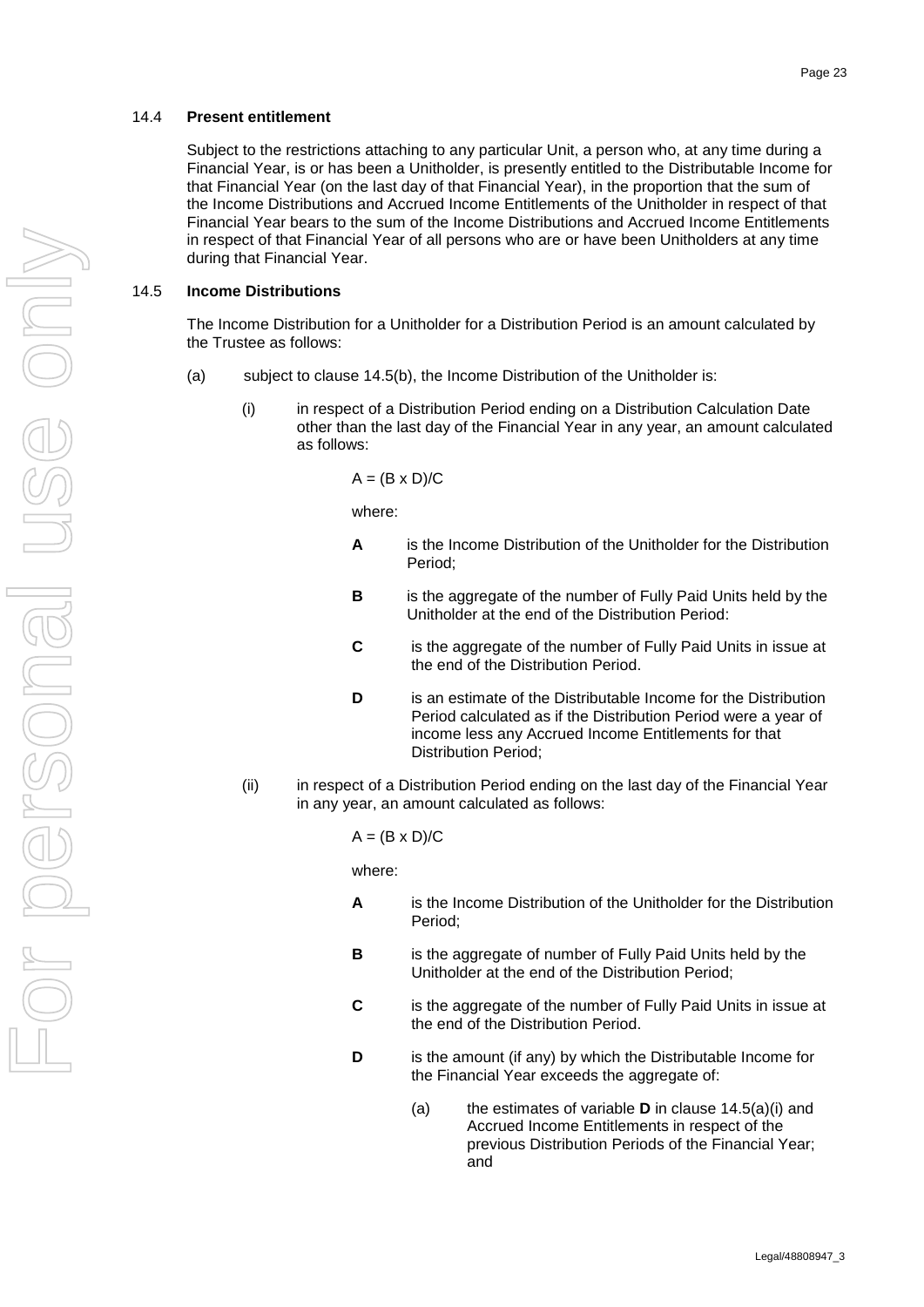#### <span id="page-26-0"></span>14.4 **Present entitlement**

Subject to the restrictions attaching to any particular Unit, a person who, at any time during a Financial Year, is or has been a Unitholder, is presently entitled to the Distributable Income for that Financial Year (on the last day of that Financial Year), in the proportion that the sum of the Income Distributions and Accrued Income Entitlements of the Unitholder in respect of that Financial Year bears to the sum of the Income Distributions and Accrued Income Entitlements in respect of that Financial Year of all persons who are or have been Unitholders at any time during that Financial Year.

#### <span id="page-26-1"></span>14.5 **Income Distributions**

The Income Distribution for a Unitholder for a Distribution Period is an amount calculated by the Trustee as follows:

- <span id="page-26-2"></span>(a) subject to clause [14.5\(b\),](#page-27-3) the Income Distribution of the Unitholder is:
	- (i) in respect of a Distribution Period ending on a Distribution Calculation Date other than the last day of the Financial Year in any year, an amount calculated as follows:

$$
A = (B \times D)/C
$$

where:

- **A** is the Income Distribution of the Unitholder for the Distribution Period;
- **B** is the aggregate of the number of Fully Paid Units held by the Unitholder at the end of the Distribution Period:
- **C** is the aggregate of the number of Fully Paid Units in issue at the end of the Distribution Period.
- **D** is an estimate of the Distributable Income for the Distribution Period calculated as if the Distribution Period were a year of income less any Accrued Income Entitlements for that Distribution Period;
- (ii) in respect of a Distribution Period ending on the last day of the Financial Year in any year, an amount calculated as follows:

 $A = (B \times D)/C$ 

where:

- **A** is the Income Distribution of the Unitholder for the Distribution Period;
- **B** is the aggregate of number of Fully Paid Units held by the Unitholder at the end of the Distribution Period;
- **C** is the aggregate of the number of Fully Paid Units in issue at the end of the Distribution Period.
- **D** is the amount (if any) by which the Distributable Income for the Financial Year exceeds the aggregate of:
	- (a) the estimates of variable **D** in clause [14.5\(a\)\(i\)](#page-26-2) and Accrued Income Entitlements in respect of the previous Distribution Periods of the Financial Year; and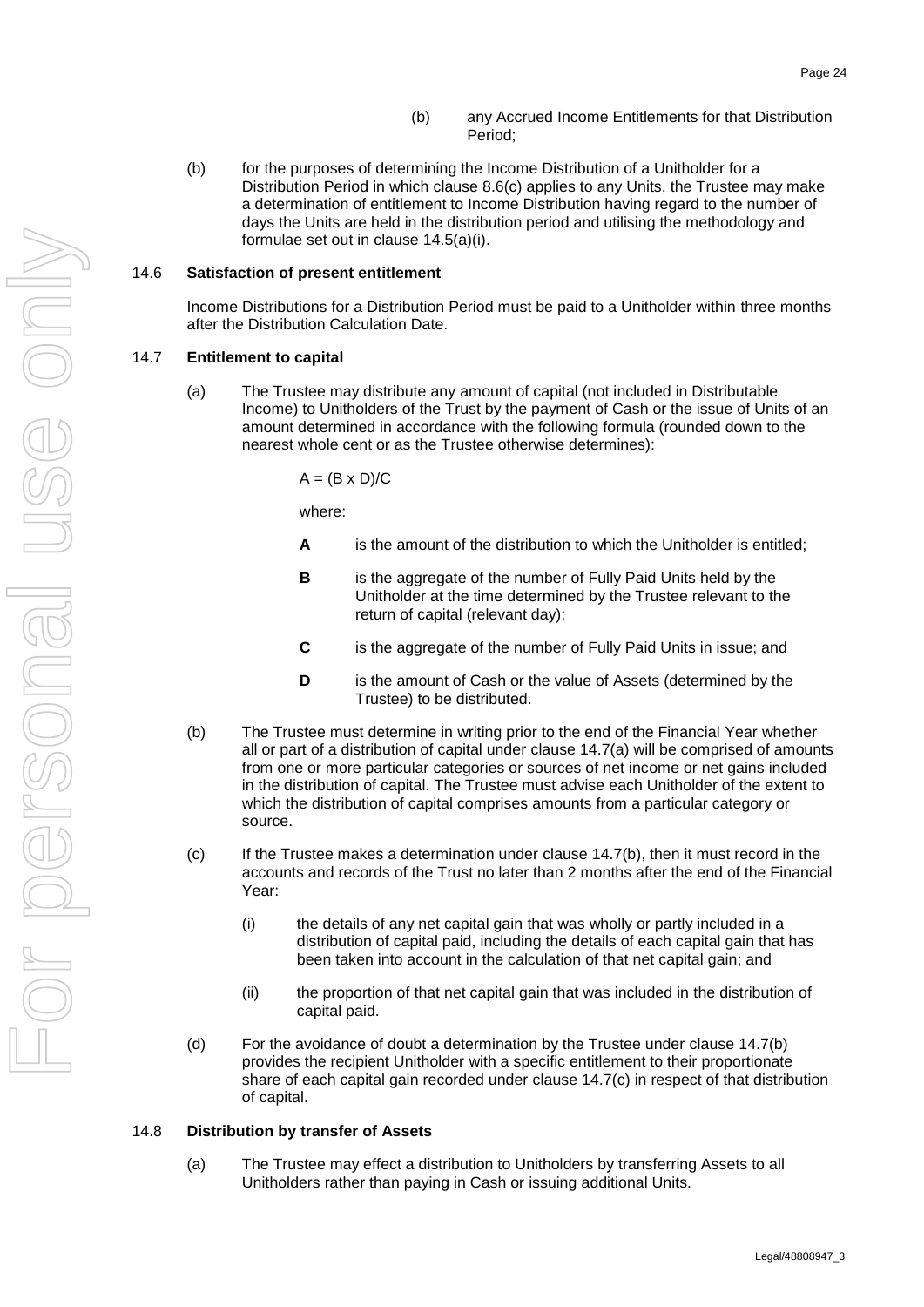- (b) any Accrued Income Entitlements for that Distribution Period;
- <span id="page-27-3"></span>(b) for the purposes of determining the Income Distribution of a Unitholder for a Distribution Period in which clause [8.6\(c\)](#page-19-7) applies to any Units, the Trustee may make a determination of entitlement to Income Distribution having regard to the number of days the Units are held in the distribution period and utilising the methodology and formulae set out in clause [14.5\(a\)\(i\).](#page-26-2)

### <span id="page-27-0"></span>14.6 **Satisfaction of present entitlement**

Income Distributions for a Distribution Period must be paid to a Unitholder within three months after the Distribution Calculation Date.

#### <span id="page-27-4"></span><span id="page-27-1"></span>14.7 **Entitlement to capital**

(a) The Trustee may distribute any amount of capital (not included in Distributable Income) to Unitholders of the Trust by the payment of Cash or the issue of Units of an amount determined in accordance with the following formula (rounded down to the nearest whole cent or as the Trustee otherwise determines):

 $A = (B \times D)/C$ 

where:

- **A** is the amount of the distribution to which the Unitholder is entitled;
- **B** is the aggregate of the number of Fully Paid Units held by the Unitholder at the time determined by the Trustee relevant to the return of capital (relevant day);
- **C** is the aggregate of the number of Fully Paid Units in issue; and
- **D** is the amount of Cash or the value of Assets (determined by the Trustee) to be distributed.
- <span id="page-27-5"></span>(b) The Trustee must determine in writing prior to the end of the Financial Year whether all or part of a distribution of capital under clause [14.7\(a\)](#page-27-4) will be comprised of amounts from one or more particular categories or sources of net income or net gains included in the distribution of capital. The Trustee must advise each Unitholder of the extent to which the distribution of capital comprises amounts from a particular category or source.
- <span id="page-27-6"></span>(c) If the Trustee makes a determination under clause [14.7\(b\),](#page-27-5) then it must record in the accounts and records of the Trust no later than 2 months after the end of the Financial Year:
	- (i) the details of any net capital gain that was wholly or partly included in a distribution of capital paid, including the details of each capital gain that has been taken into account in the calculation of that net capital gain; and
	- (ii) the proportion of that net capital gain that was included in the distribution of capital paid.
- (d) For the avoidance of doubt a determination by the Trustee under clause [14.7\(b\)](#page-27-5) provides the recipient Unitholder with a specific entitlement to their proportionate share of each capital gain recorded under clause [14.7\(c\)](#page-27-6) in respect of that distribution of capital.

#### <span id="page-27-2"></span>14.8 **Distribution by transfer of Assets**

(a) The Trustee may effect a distribution to Unitholders by transferring Assets to all Unitholders rather than paying in Cash or issuing additional Units.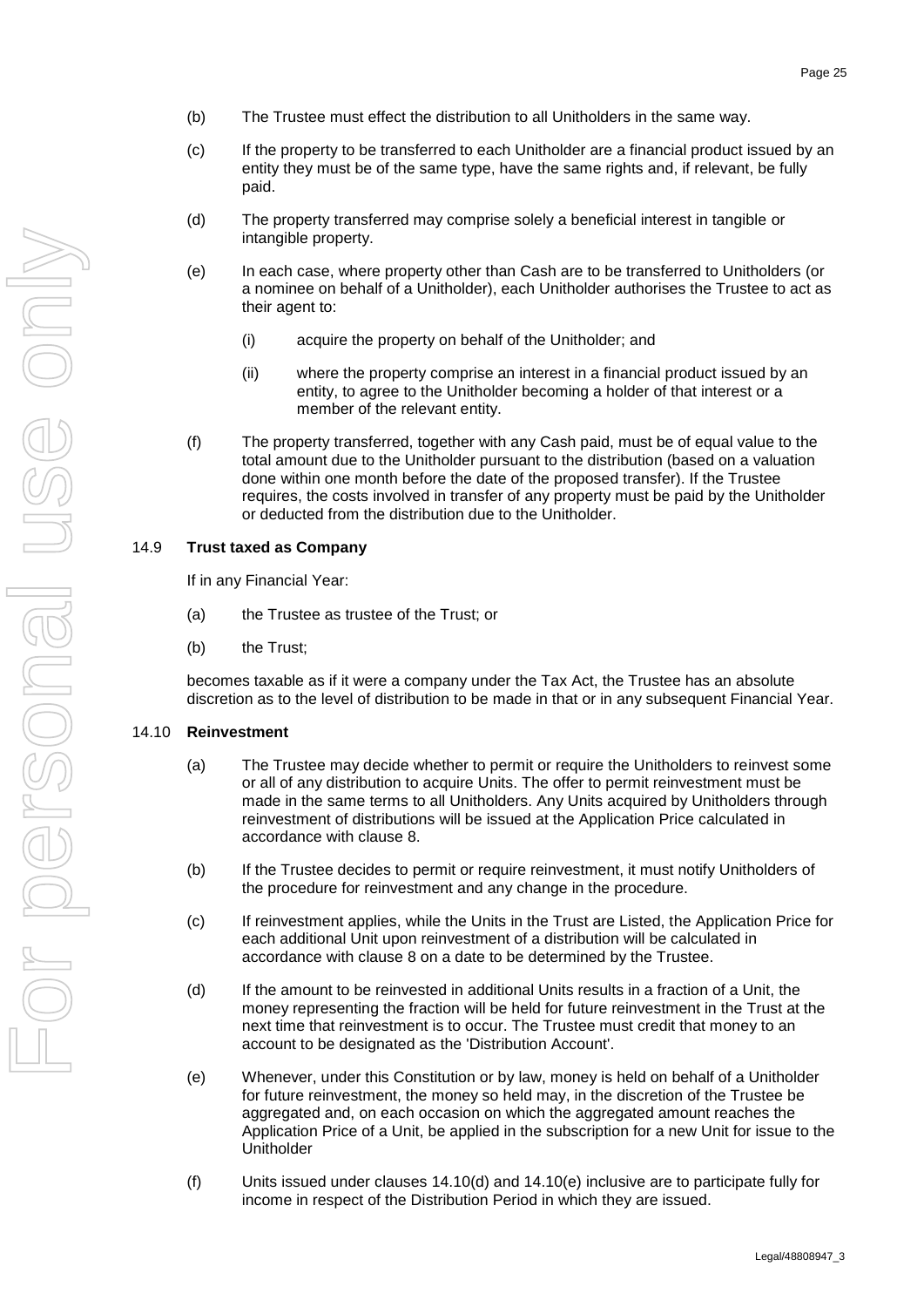- (b) The Trustee must effect the distribution to all Unitholders in the same way.
- (c) If the property to be transferred to each Unitholder are a financial product issued by an entity they must be of the same type, have the same rights and, if relevant, be fully paid.
- (d) The property transferred may comprise solely a beneficial interest in tangible or intangible property.
- (e) In each case, where property other than Cash are to be transferred to Unitholders (or a nominee on behalf of a Unitholder), each Unitholder authorises the Trustee to act as their agent to:
	- (i) acquire the property on behalf of the Unitholder; and
	- (ii) where the property comprise an interest in a financial product issued by an entity, to agree to the Unitholder becoming a holder of that interest or a member of the relevant entity.
- (f) The property transferred, together with any Cash paid, must be of equal value to the total amount due to the Unitholder pursuant to the distribution (based on a valuation done within one month before the date of the proposed transfer). If the Trustee requires, the costs involved in transfer of any property must be paid by the Unitholder or deducted from the distribution due to the Unitholder.

### <span id="page-28-0"></span>14.9 **Trust taxed as Company**

If in any Financial Year:

- (a) the Trustee as trustee of the Trust; or
- (b) the Trust;

becomes taxable as if it were a company under the Tax Act, the Trustee has an absolute discretion as to the level of distribution to be made in that or in any subsequent Financial Year.

### <span id="page-28-3"></span><span id="page-28-1"></span>14.10 **Reinvestment**

- (a) The Trustee may decide whether to permit or require the Unitholders to reinvest some or all of any distribution to acquire Units. The offer to permit reinvestment must be made in the same terms to all Unitholders. Any Units acquired by Unitholders through reinvestment of distributions will be issued at the Application Price calculated in accordance with clause 8.
- (b) If the Trustee decides to permit or require reinvestment, it must notify Unitholders of the procedure for reinvestment and any change in the procedure.
- (c) If reinvestment applies, while the Units in the Trust are Listed, the Application Price for each additional Unit upon reinvestment of a distribution will be calculated in accordance with clause [8](#page-17-1) on a date to be determined by the Trustee.
- <span id="page-28-2"></span>(d) If the amount to be reinvested in additional Units results in a fraction of a Unit, the money representing the fraction will be held for future reinvestment in the Trust at the next time that reinvestment is to occur. The Trustee must credit that money to an account to be designated as the 'Distribution Account'.
- <span id="page-28-4"></span>(e) Whenever, under this Constitution or by law, money is held on behalf of a Unitholder for future reinvestment, the money so held may, in the discretion of the Trustee be aggregated and, on each occasion on which the aggregated amount reaches the Application Price of a Unit, be applied in the subscription for a new Unit for issue to the **Unitholder**
- (f) Units issued under clauses [14.10\(d\)](#page-28-2) and [14.10\(e\)](#page-28-4) inclusive are to participate fully for income in respect of the Distribution Period in which they are issued.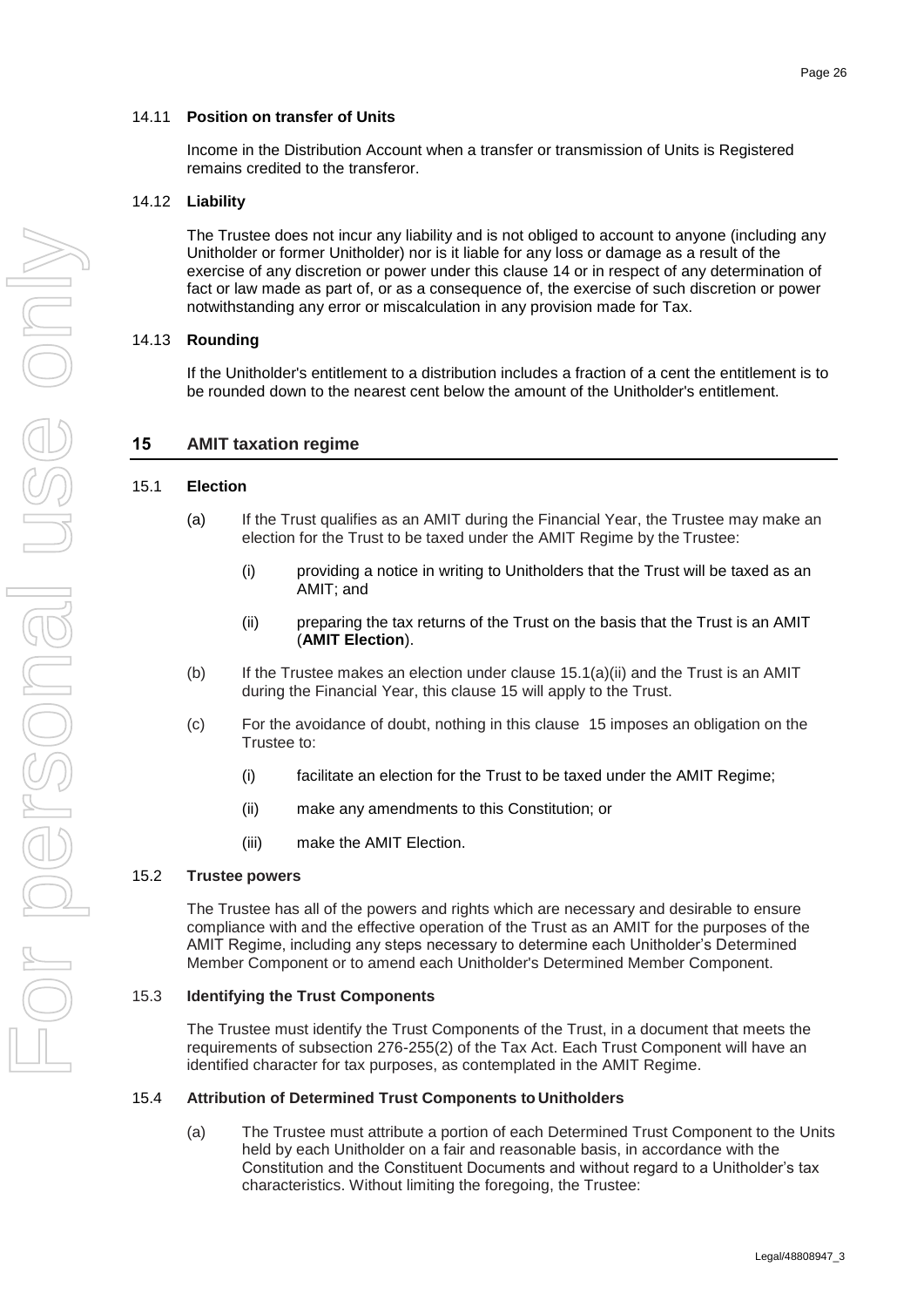### <span id="page-29-0"></span>14.11 **Position on transfer of Units**

Income in the Distribution Account when a transfer or transmission of Units is Registered remains credited to the transferor.

### <span id="page-29-1"></span>14.12 **Liability**

The Trustee does not incur any liability and is not obliged to account to anyone (including any Unitholder or former Unitholder) nor is it liable for any loss or damage as a result of the exercise of any discretion or power under this clause [14](#page-25-7) or in respect of any determination of fact or law made as part of, or as a consequence of, the exercise of such discretion or power notwithstanding any error or miscalculation in any provision made for Tax.

### <span id="page-29-2"></span>14.13 **Rounding**

If the Unitholder's entitlement to a distribution includes a fraction of a cent the entitlement is to be rounded down to the nearest cent below the amount of the Unitholder's entitlement.

### <span id="page-29-8"></span>**15 AMIT taxation regime**

### <span id="page-29-3"></span>15.1 **Election**

- (a) If the Trust qualifies as an AMIT during the Financial Year, the Trustee may make an election for the Trust to be taxed under the AMIT Regime by the Trustee:
	- (i) providing a notice in writing to Unitholders that the Trust will be taxed as an AMIT; and
	- (ii) preparing the tax returns of the Trust on the basis that the Trust is an AMIT (**AMIT Election**).
- <span id="page-29-7"></span>(b) If the Trustee makes an election under clause  $15.1(a)(ii)$  and the Trust is an AMIT during the Financial Year, this clause [15](#page-29-8) will apply to the Trust.
- (c) For the avoidance of doubt, nothing in this clause [15](#page-29-8) imposes an obligation on the Trustee to:
	- (i) facilitate an election for the Trust to be taxed under the AMIT Regime;
	- (ii) make any amendments to this Constitution; or
	- (iii) make the AMIT Election.

### <span id="page-29-4"></span>15.2 **Trustee powers**

The Trustee has all of the powers and rights which are necessary and desirable to ensure compliance with and the effective operation of the Trust as an AMIT for the purposes of the AMIT Regime, including any steps necessary to determine each Unitholder's Determined Member Component or to amend each Unitholder's Determined Member Component.

### <span id="page-29-5"></span>15.3 **Identifying the Trust Components**

The Trustee must identify the Trust Components of the Trust, in a document that meets the requirements of subsection 276-255(2) of the Tax Act. Each Trust Component will have an identified character for tax purposes, as contemplated in the AMIT Regime.

#### <span id="page-29-9"></span><span id="page-29-6"></span>15.4 **Attribution of Determined Trust Components to Unitholders**

(a) The Trustee must attribute a portion of each Determined Trust Component to the Units held by each Unitholder on a fair and reasonable basis, in accordance with the Constitution and the Constituent Documents and without regard to a Unitholder's tax characteristics. Without limiting the foregoing, the Trustee: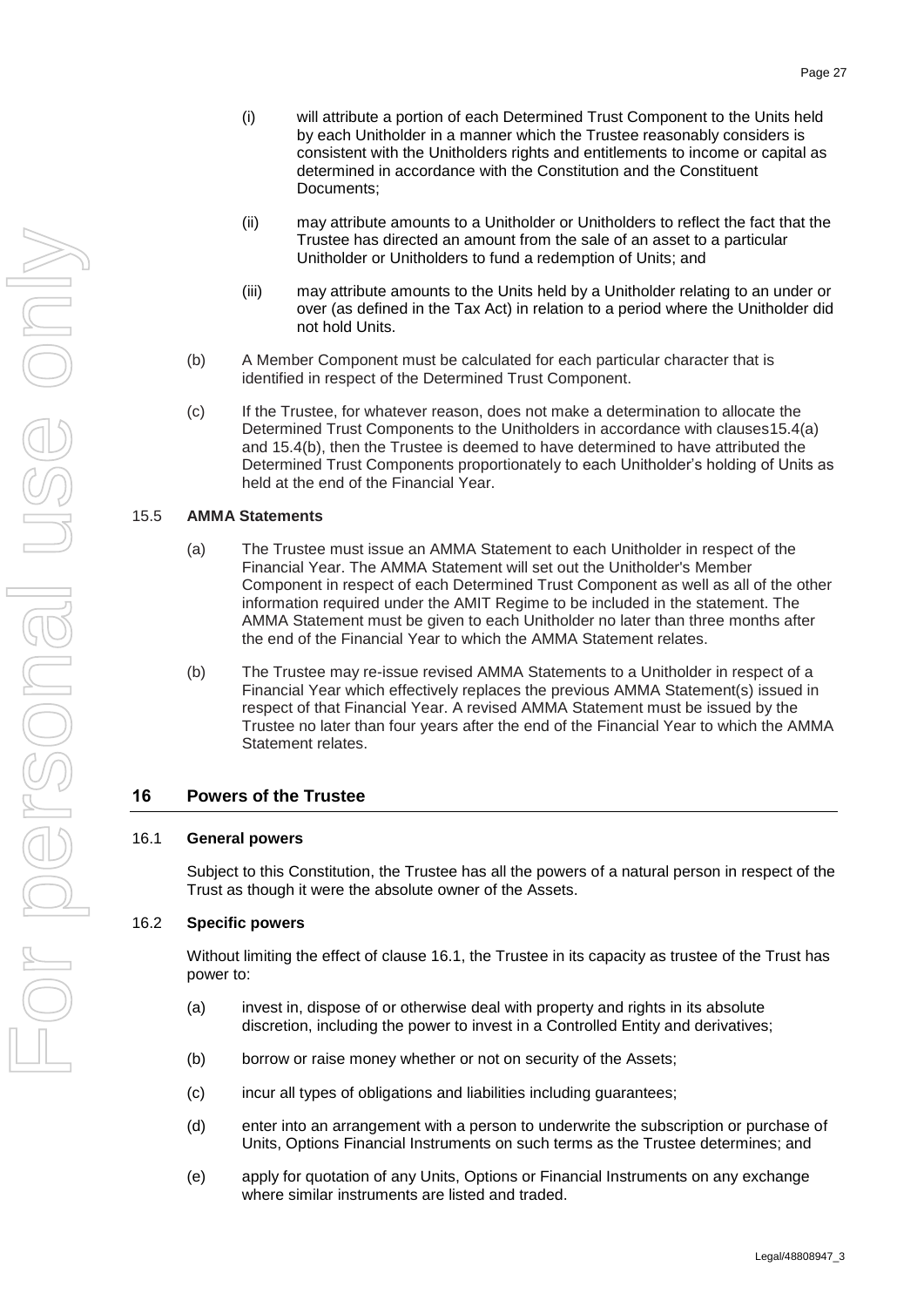- (i) will attribute a portion of each Determined Trust Component to the Units held by each Unitholder in a manner which the Trustee reasonably considers is consistent with the Unitholders rights and entitlements to income or capital as determined in accordance with the Constitution and the Constituent Documents;
- (ii) may attribute amounts to a Unitholder or Unitholders to reflect the fact that the Trustee has directed an amount from the sale of an asset to a particular Unitholder or Unitholders to fund a redemption of Units; and
- (iii) may attribute amounts to the Units held by a Unitholder relating to an under or over (as defined in the Tax Act) in relation to a period where the Unitholder did not hold Units.
- <span id="page-30-3"></span>(b) A Member Component must be calculated for each particular character that is identified in respect of the Determined Trust Component.
- (c) If the Trustee, for whatever reason, does not make a determination to allocate the Determined Trust Components to the Unitholders in accordance with clause[s15.4\(a\)](#page-29-9) and [15.4\(b\),](#page-30-3) then the Trustee is deemed to have determined to have attributed the Determined Trust Components proportionately to each Unitholder's holding of Units as held at the end of the Financial Year.

#### <span id="page-30-0"></span>15.5 **AMMA Statements**

- (a) The Trustee must issue an AMMA Statement to each Unitholder in respect of the Financial Year. The AMMA Statement will set out the Unitholder's Member Component in respect of each Determined Trust Component as well as all of the other information required under the AMIT Regime to be included in the statement. The AMMA Statement must be given to each Unitholder no later than three months after the end of the Financial Year to which the AMMA Statement relates.
- (b) The Trustee may re-issue revised AMMA Statements to a Unitholder in respect of a Financial Year which effectively replaces the previous AMMA Statement(s) issued in respect of that Financial Year. A revised AMMA Statement must be issued by the Trustee no later than four years after the end of the Financial Year to which the AMMA Statement relates.

# **16 Powers of the Trustee**

#### <span id="page-30-1"></span>16.1 **General powers**

Subject to this Constitution, the Trustee has all the powers of a natural person in respect of the Trust as though it were the absolute owner of the Assets.

### <span id="page-30-2"></span>16.2 **Specific powers**

Without limiting the effect of clause [16.1,](#page-30-1) the Trustee in its capacity as trustee of the Trust has power to:

- (a) invest in, dispose of or otherwise deal with property and rights in its absolute discretion, including the power to invest in a Controlled Entity and derivatives;
- (b) borrow or raise money whether or not on security of the Assets;
- (c) incur all types of obligations and liabilities including guarantees;
- (d) enter into an arrangement with a person to underwrite the subscription or purchase of Units, Options Financial Instruments on such terms as the Trustee determines; and
- (e) apply for quotation of any Units, Options or Financial Instruments on any exchange where similar instruments are listed and traded.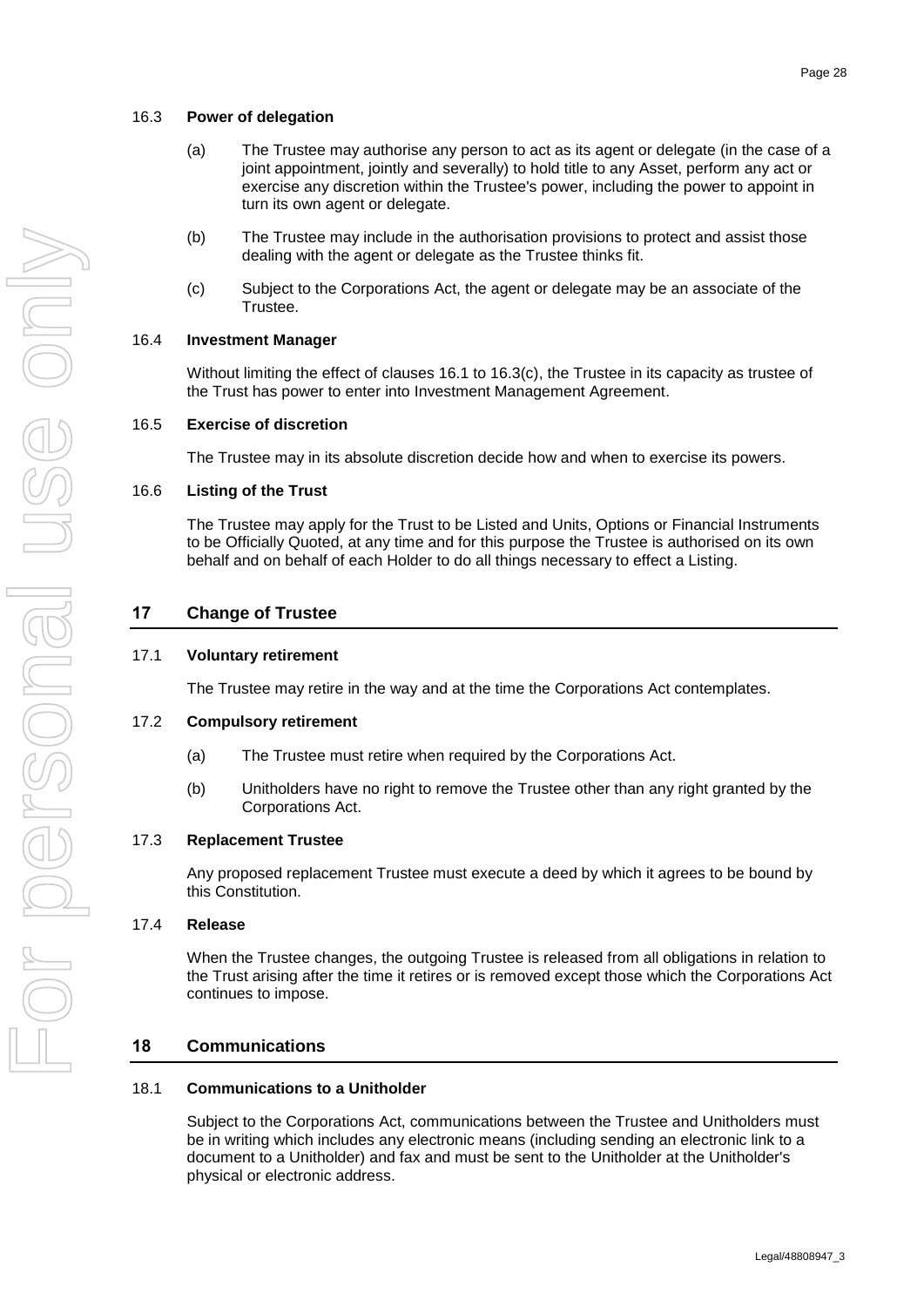- <span id="page-31-0"></span>(a) The Trustee may authorise any person to act as its agent or delegate (in the case of a joint appointment, jointly and severally) to hold title to any Asset, perform any act or exercise any discretion within the Trustee's power, including the power to appoint in turn its own agent or delegate.
- (b) The Trustee may include in the authorisation provisions to protect and assist those dealing with the agent or delegate as the Trustee thinks fit.
- (c) Subject to the Corporations Act, the agent or delegate may be an associate of the Trustee.

### <span id="page-31-9"></span><span id="page-31-1"></span>16.4 **Investment Manager**

Without limiting the effect of clauses [16.1](#page-30-1) to [16.3\(c\),](#page-31-9) the Trustee in its capacity as trustee of the Trust has power to enter into Investment Management Agreement.

### <span id="page-31-2"></span>16.5 **Exercise of discretion**

The Trustee may in its absolute discretion decide how and when to exercise its powers.

#### <span id="page-31-3"></span>16.6 **Listing of the Trust**

The Trustee may apply for the Trust to be Listed and Units, Options or Financial Instruments to be Officially Quoted, at any time and for this purpose the Trustee is authorised on its own behalf and on behalf of each Holder to do all things necessary to effect a Listing.

# **17 Change of Trustee**

### <span id="page-31-4"></span>17.1 **Voluntary retirement**

The Trustee may retire in the way and at the time the Corporations Act contemplates.

#### <span id="page-31-5"></span>17.2 **Compulsory retirement**

- (a) The Trustee must retire when required by the Corporations Act.
- (b) Unitholders have no right to remove the Trustee other than any right granted by the Corporations Act.

#### <span id="page-31-6"></span>17.3 **Replacement Trustee**

Any proposed replacement Trustee must execute a deed by which it agrees to be bound by this Constitution.

#### <span id="page-31-7"></span>17.4 **Release**

When the Trustee changes, the outgoing Trustee is released from all obligations in relation to the Trust arising after the time it retires or is removed except those which the Corporations Act continues to impose.

### **18 Communications**

### <span id="page-31-8"></span>18.1 **Communications to a Unitholder**

Subject to the Corporations Act, communications between the Trustee and Unitholders must be in writing which includes any electronic means (including sending an electronic link to a document to a Unitholder) and fax and must be sent to the Unitholder at the Unitholder's physical or electronic address.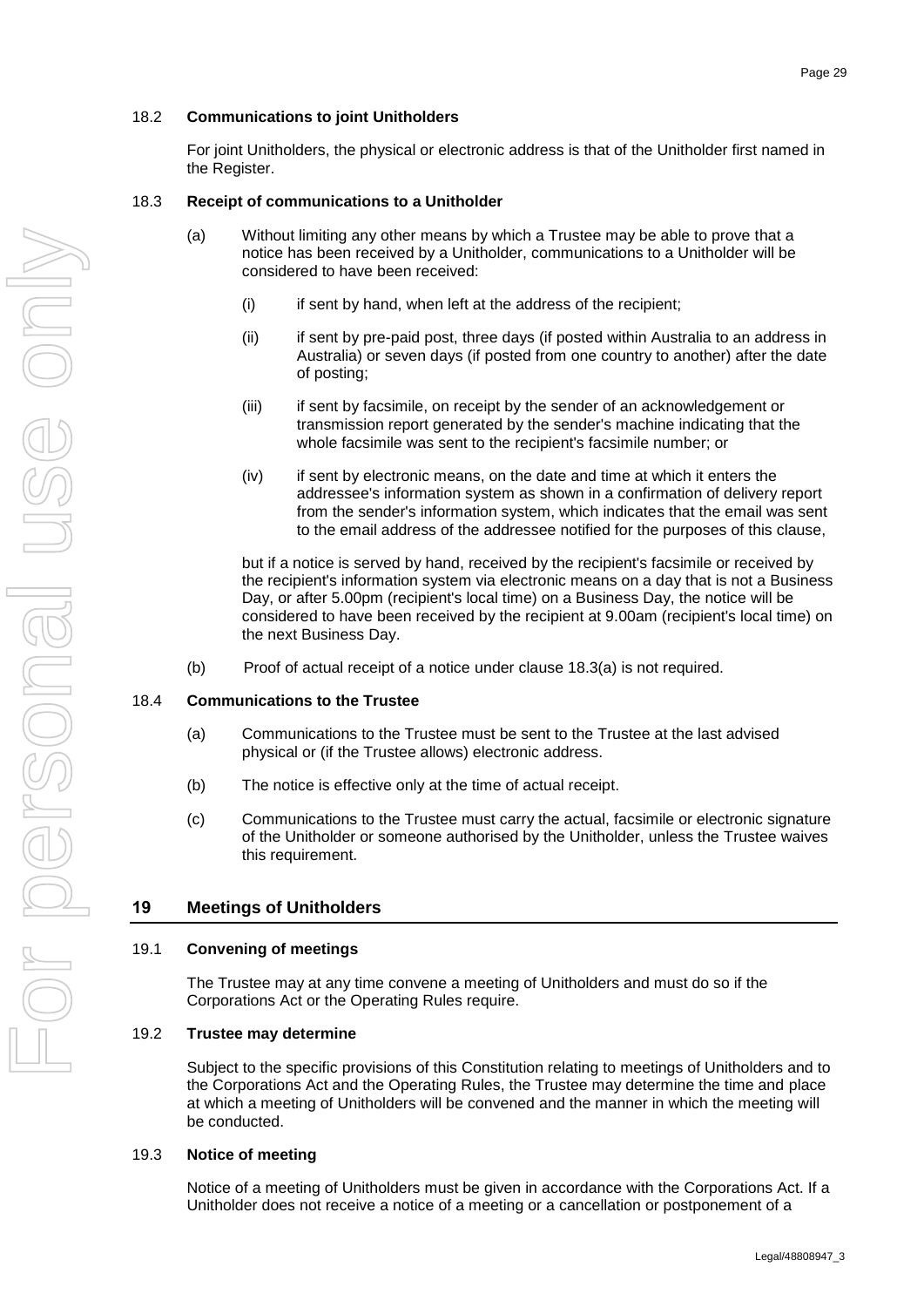### <span id="page-32-0"></span>18.2 **Communications to joint Unitholders**

For joint Unitholders, the physical or electronic address is that of the Unitholder first named in the Register.

### <span id="page-32-6"></span><span id="page-32-1"></span>18.3 **Receipt of communications to a Unitholder**

- (a) Without limiting any other means by which a Trustee may be able to prove that a notice has been received by a Unitholder, communications to a Unitholder will be considered to have been received:
	- (i) if sent by hand, when left at the address of the recipient;
	- (ii) if sent by pre-paid post, three days (if posted within Australia to an address in Australia) or seven days (if posted from one country to another) after the date of posting;
	- (iii) if sent by facsimile, on receipt by the sender of an acknowledgement or transmission report generated by the sender's machine indicating that the whole facsimile was sent to the recipient's facsimile number; or
	- (iv) if sent by electronic means, on the date and time at which it enters the addressee's information system as shown in a confirmation of delivery report from the sender's information system, which indicates that the email was sent to the email address of the addressee notified for the purposes of this clause,

but if a notice is served by hand, received by the recipient's facsimile or received by the recipient's information system via electronic means on a day that is not a Business Day, or after 5.00pm (recipient's local time) on a Business Day, the notice will be considered to have been received by the recipient at 9.00am (recipient's local time) on the next Business Day.

(b) Proof of actual receipt of a notice under clause [18.3\(a\)](#page-32-6) is not required.

### <span id="page-32-2"></span>18.4 **Communications to the Trustee**

- (a) Communications to the Trustee must be sent to the Trustee at the last advised physical or (if the Trustee allows) electronic address.
- (b) The notice is effective only at the time of actual receipt.
- (c) Communications to the Trustee must carry the actual, facsimile or electronic signature of the Unitholder or someone authorised by the Unitholder, unless the Trustee waives this requirement.

## <span id="page-32-7"></span>**19 Meetings of Unitholders**

### <span id="page-32-3"></span>19.1 **Convening of meetings**

The Trustee may at any time convene a meeting of Unitholders and must do so if the Corporations Act or the Operating Rules require.

### <span id="page-32-4"></span>19.2 **Trustee may determine**

Subject to the specific provisions of this Constitution relating to meetings of Unitholders and to the Corporations Act and the Operating Rules, the Trustee may determine the time and place at which a meeting of Unitholders will be convened and the manner in which the meeting will be conducted.

### <span id="page-32-5"></span>19.3 **Notice of meeting**

Notice of a meeting of Unitholders must be given in accordance with the Corporations Act. If a Unitholder does not receive a notice of a meeting or a cancellation or postponement of a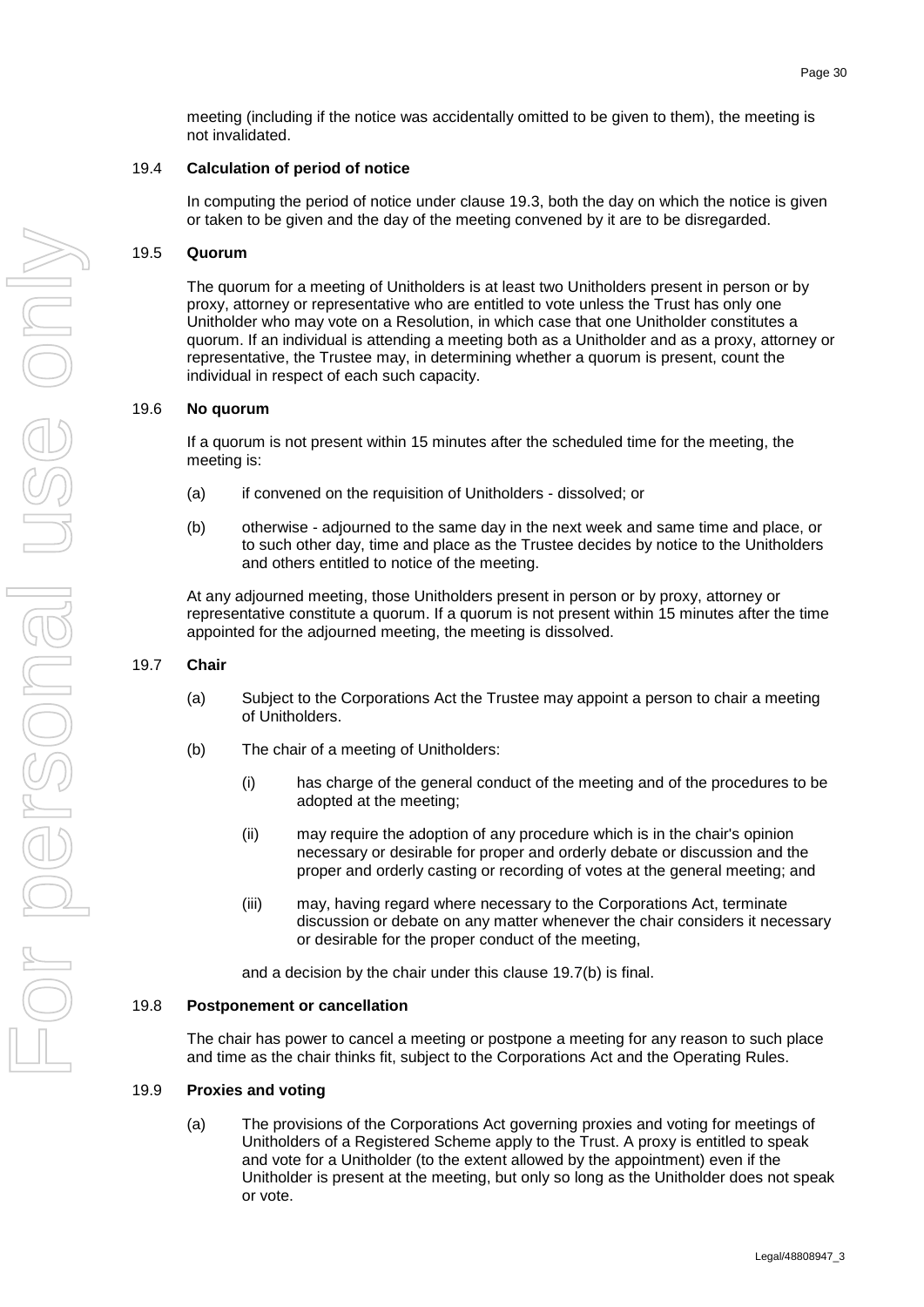meeting (including if the notice was accidentally omitted to be given to them), the meeting is not invalidated.

### <span id="page-33-0"></span>19.4 **Calculation of period of notice**

In computing the period of notice under clause [19.3,](#page-32-5) both the day on which the notice is given or taken to be given and the day of the meeting convened by it are to be disregarded.

### <span id="page-33-1"></span>19.5 **Quorum**

The quorum for a meeting of Unitholders is at least two Unitholders present in person or by proxy, attorney or representative who are entitled to vote unless the Trust has only one Unitholder who may vote on a Resolution, in which case that one Unitholder constitutes a quorum. If an individual is attending a meeting both as a Unitholder and as a proxy, attorney or representative, the Trustee may, in determining whether a quorum is present, count the individual in respect of each such capacity.

### <span id="page-33-2"></span>19.6 **No quorum**

If a quorum is not present within 15 minutes after the scheduled time for the meeting, the meeting is:

- (a) if convened on the requisition of Unitholders dissolved; or
- (b) otherwise adjourned to the same day in the next week and same time and place, or to such other day, time and place as the Trustee decides by notice to the Unitholders and others entitled to notice of the meeting.

At any adjourned meeting, those Unitholders present in person or by proxy, attorney or representative constitute a quorum. If a quorum is not present within 15 minutes after the time appointed for the adjourned meeting, the meeting is dissolved.

### <span id="page-33-3"></span>19.7 **Chair**

- (a) Subject to the Corporations Act the Trustee may appoint a person to chair a meeting of Unitholders.
- <span id="page-33-6"></span>(b) The chair of a meeting of Unitholders:
	- (i) has charge of the general conduct of the meeting and of the procedures to be adopted at the meeting;
	- (ii) may require the adoption of any procedure which is in the chair's opinion necessary or desirable for proper and orderly debate or discussion and the proper and orderly casting or recording of votes at the general meeting; and
	- (iii) may, having regard where necessary to the Corporations Act, terminate discussion or debate on any matter whenever the chair considers it necessary or desirable for the proper conduct of the meeting,

and a decision by the chair under this clause [19.7\(b\)](#page-33-6) is final.

### <span id="page-33-4"></span>19.8 **Postponement or cancellation**

The chair has power to cancel a meeting or postpone a meeting for any reason to such place and time as the chair thinks fit, subject to the Corporations Act and the Operating Rules.

### <span id="page-33-5"></span>19.9 **Proxies and voting**

(a) The provisions of the Corporations Act governing proxies and voting for meetings of Unitholders of a Registered Scheme apply to the Trust. A proxy is entitled to speak and vote for a Unitholder (to the extent allowed by the appointment) even if the Unitholder is present at the meeting, but only so long as the Unitholder does not speak or vote.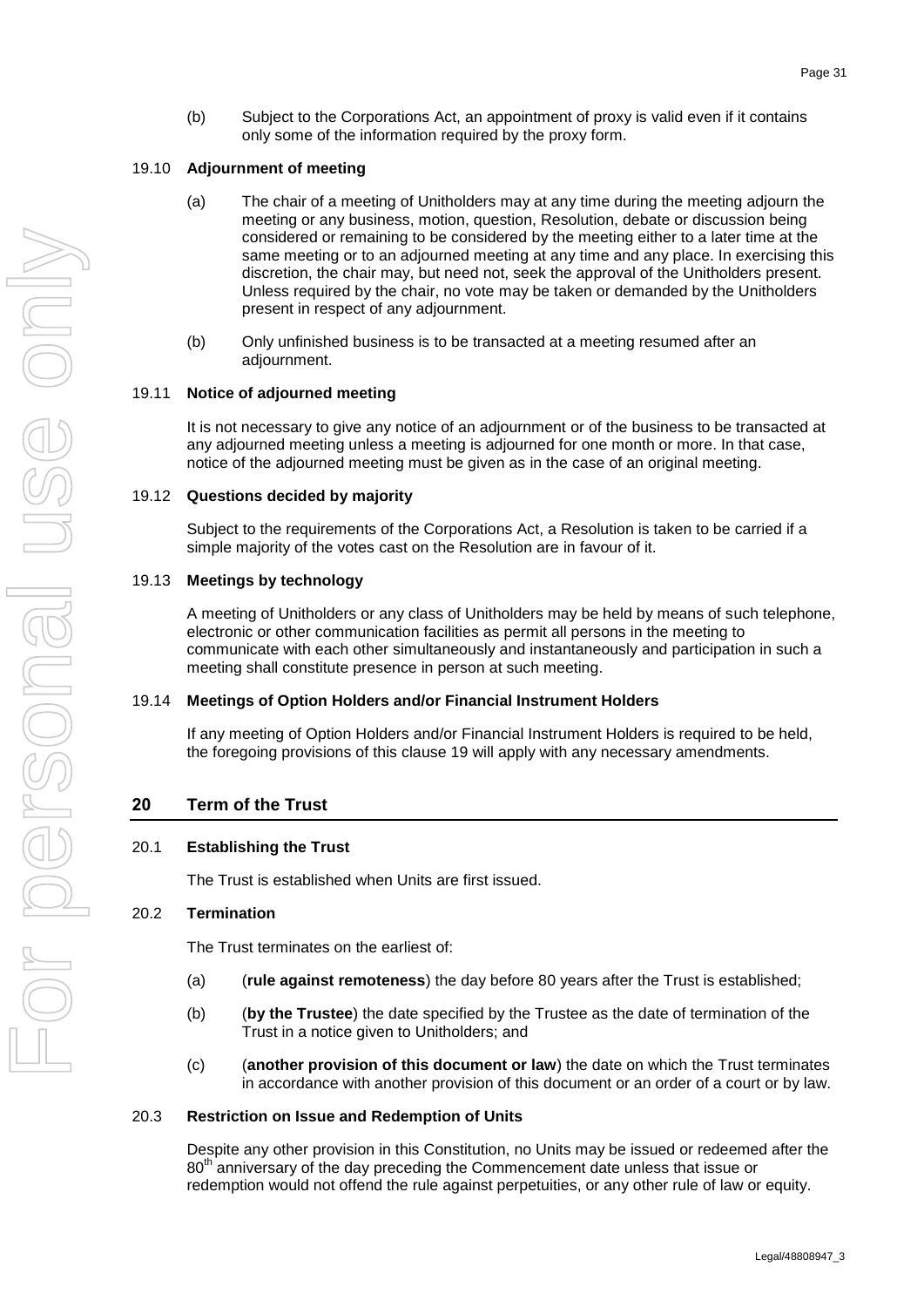(b) Subject to the Corporations Act, an appointment of proxy is valid even if it contains only some of the information required by the proxy form.

#### <span id="page-34-0"></span>19.10 **Adjournment of meeting**

- (a) The chair of a meeting of Unitholders may at any time during the meeting adjourn the meeting or any business, motion, question, Resolution, debate or discussion being considered or remaining to be considered by the meeting either to a later time at the same meeting or to an adjourned meeting at any time and any place. In exercising this discretion, the chair may, but need not, seek the approval of the Unitholders present. Unless required by the chair, no vote may be taken or demanded by the Unitholders present in respect of any adjournment.
- (b) Only unfinished business is to be transacted at a meeting resumed after an adjournment.

#### <span id="page-34-1"></span>19.11 **Notice of adjourned meeting**

It is not necessary to give any notice of an adjournment or of the business to be transacted at any adjourned meeting unless a meeting is adjourned for one month or more. In that case, notice of the adjourned meeting must be given as in the case of an original meeting.

#### <span id="page-34-2"></span>19.12 **Questions decided by majority**

Subject to the requirements of the Corporations Act, a Resolution is taken to be carried if a simple majority of the votes cast on the Resolution are in favour of it.

#### <span id="page-34-3"></span>19.13 **Meetings by technology**

A meeting of Unitholders or any class of Unitholders may be held by means of such telephone, electronic or other communication facilities as permit all persons in the meeting to communicate with each other simultaneously and instantaneously and participation in such a meeting shall constitute presence in person at such meeting.

#### <span id="page-34-4"></span>19.14 **Meetings of Option Holders and/or Financial Instrument Holders**

If any meeting of Option Holders and/or Financial Instrument Holders is required to be held, the foregoing provisions of this clause [19](#page-32-7) will apply with any necessary amendments.

### <span id="page-34-8"></span>**20 Term of the Trust**

#### <span id="page-34-5"></span>20.1 **Establishing the Trust**

The Trust is established when Units are first issued.

#### <span id="page-34-6"></span>20.2 **Termination**

The Trust terminates on the earliest of:

- (a) (**rule against remoteness**) the day before 80 years after the Trust is established;
- (b) (**by the Trustee**) the date specified by the Trustee as the date of termination of the Trust in a notice given to Unitholders; and
- (c) (**another provision of this document or law**) the date on which the Trust terminates in accordance with another provision of this document or an order of a court or by law.

#### <span id="page-34-7"></span>20.3 **Restriction on Issue and Redemption of Units**

Despite any other provision in this Constitution, no Units may be issued or redeemed after the  $80<sup>th</sup>$  anniversary of the day preceding the Commencement date unless that issue or redemption would not offend the rule against perpetuities, or any other rule of law or equity.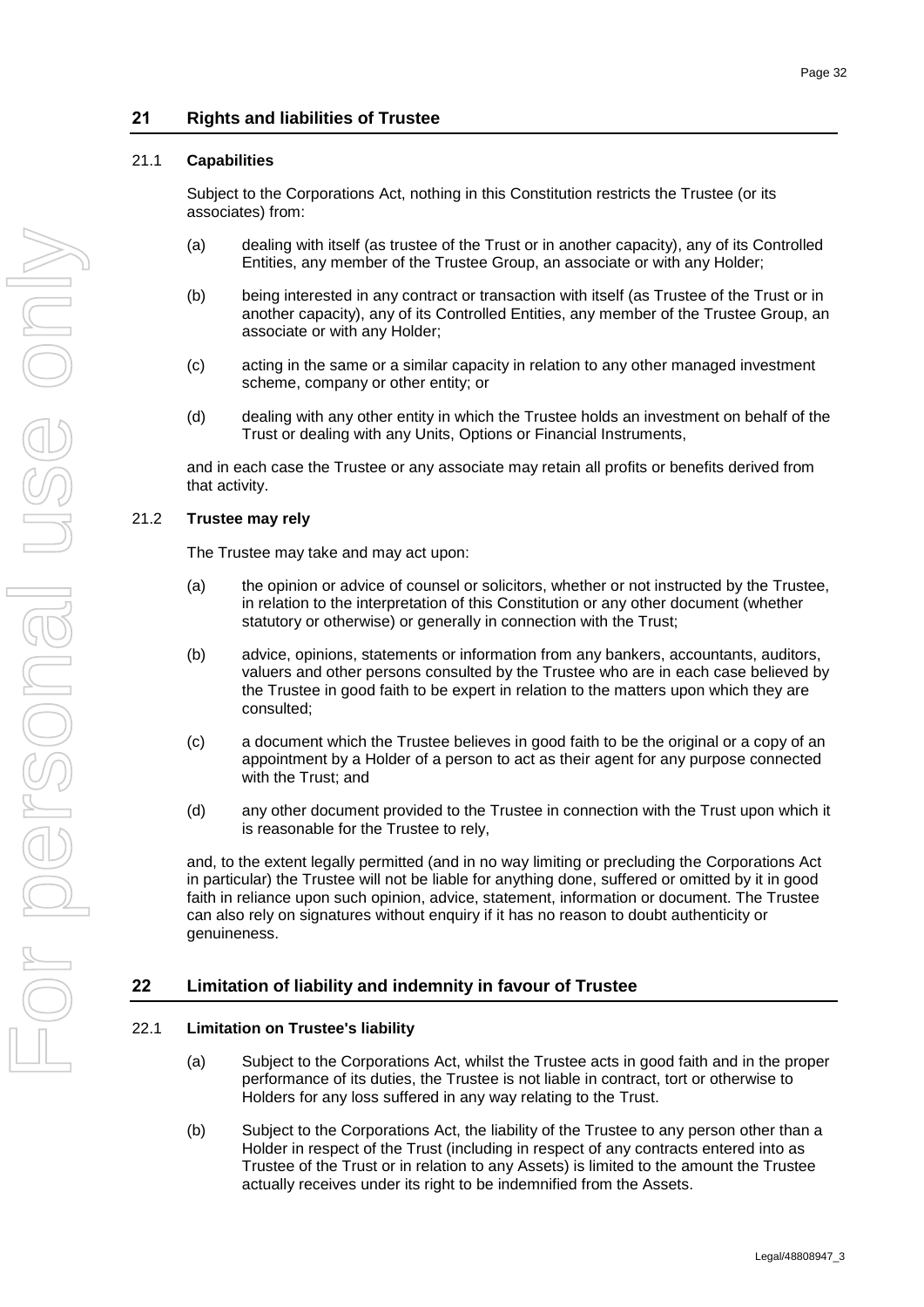# **21 Rights and liabilities of Trustee**

### <span id="page-35-0"></span>21.1 **Capabilities**

Subject to the Corporations Act, nothing in this Constitution restricts the Trustee (or its associates) from:

- (a) dealing with itself (as trustee of the Trust or in another capacity), any of its Controlled Entities, any member of the Trustee Group, an associate or with any Holder;
- (b) being interested in any contract or transaction with itself (as Trustee of the Trust or in another capacity), any of its Controlled Entities, any member of the Trustee Group, an associate or with any Holder;
- (c) acting in the same or a similar capacity in relation to any other managed investment scheme, company or other entity; or
- (d) dealing with any other entity in which the Trustee holds an investment on behalf of the Trust or dealing with any Units, Options or Financial Instruments,

and in each case the Trustee or any associate may retain all profits or benefits derived from that activity.

### <span id="page-35-1"></span>21.2 **Trustee may rely**

The Trustee may take and may act upon:

- (a) the opinion or advice of counsel or solicitors, whether or not instructed by the Trustee, in relation to the interpretation of this Constitution or any other document (whether statutory or otherwise) or generally in connection with the Trust;
- (b) advice, opinions, statements or information from any bankers, accountants, auditors, valuers and other persons consulted by the Trustee who are in each case believed by the Trustee in good faith to be expert in relation to the matters upon which they are consulted;
- (c) a document which the Trustee believes in good faith to be the original or a copy of an appointment by a Holder of a person to act as their agent for any purpose connected with the Trust; and
- (d) any other document provided to the Trustee in connection with the Trust upon which it is reasonable for the Trustee to rely,

and, to the extent legally permitted (and in no way limiting or precluding the Corporations Act in particular) the Trustee will not be liable for anything done, suffered or omitted by it in good faith in reliance upon such opinion, advice, statement, information or document. The Trustee can also rely on signatures without enquiry if it has no reason to doubt authenticity or genuineness.

# **22 Limitation of liability and indemnity in favour of Trustee**

### <span id="page-35-2"></span>22.1 **Limitation on Trustee's liability**

- (a) Subject to the Corporations Act, whilst the Trustee acts in good faith and in the proper performance of its duties, the Trustee is not liable in contract, tort or otherwise to Holders for any loss suffered in any way relating to the Trust.
- (b) Subject to the Corporations Act, the liability of the Trustee to any person other than a Holder in respect of the Trust (including in respect of any contracts entered into as Trustee of the Trust or in relation to any Assets) is limited to the amount the Trustee actually receives under its right to be indemnified from the Assets.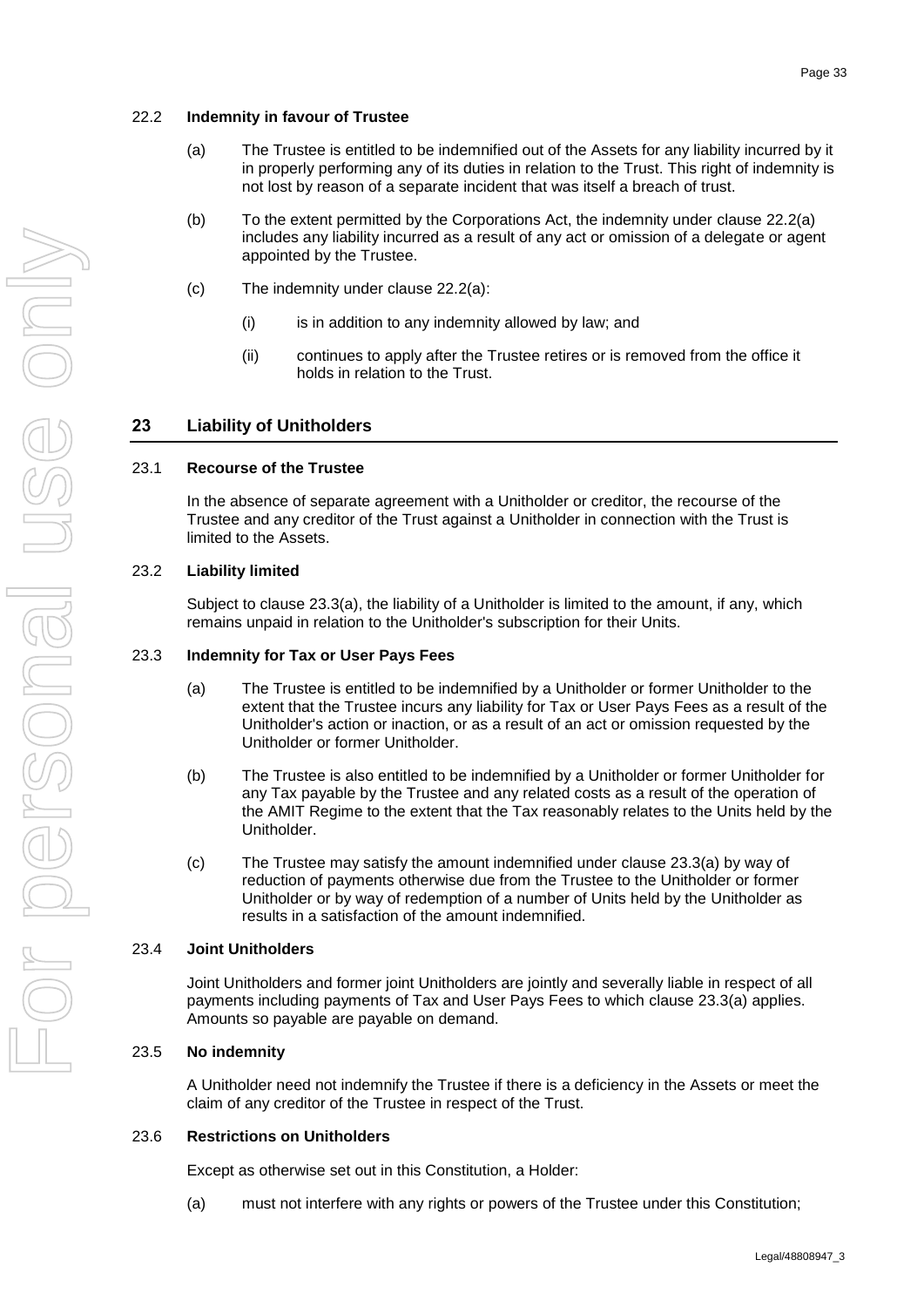### <span id="page-36-7"></span><span id="page-36-0"></span>22.2 **Indemnity in favour of Trustee**

- (a) The Trustee is entitled to be indemnified out of the Assets for any liability incurred by it in properly performing any of its duties in relation to the Trust. This right of indemnity is not lost by reason of a separate incident that was itself a breach of trust.
- (b) To the extent permitted by the Corporations Act, the indemnity under clause [22.2\(a\)](#page-36-7) includes any liability incurred as a result of any act or omission of a delegate or agent appointed by the Trustee.
- (c) The indemnity under clause [22.2\(a\):](#page-36-7)
	- (i) is in addition to any indemnity allowed by law; and
	- (ii) continues to apply after the Trustee retires or is removed from the office it holds in relation to the Trust.

### **23 Liability of Unitholders**

### <span id="page-36-1"></span>23.1 **Recourse of the Trustee**

In the absence of separate agreement with a Unitholder or creditor, the recourse of the Trustee and any creditor of the Trust against a Unitholder in connection with the Trust is limited to the Assets.

#### <span id="page-36-2"></span>23.2 **Liability limited**

Subject to clause [23.3\(a\),](#page-36-8) the liability of a Unitholder is limited to the amount, if any, which remains unpaid in relation to the Unitholder's subscription for their Units.

#### <span id="page-36-8"></span><span id="page-36-3"></span>23.3 **Indemnity for Tax or User Pays Fees**

- (a) The Trustee is entitled to be indemnified by a Unitholder or former Unitholder to the extent that the Trustee incurs any liability for Tax or User Pays Fees as a result of the Unitholder's action or inaction, or as a result of an act or omission requested by the Unitholder or former Unitholder.
- (b) The Trustee is also entitled to be indemnified by a Unitholder or former Unitholder for any Tax payable by the Trustee and any related costs as a result of the operation of the AMIT Regime to the extent that the Tax reasonably relates to the Units held by the Unitholder.
- (c) The Trustee may satisfy the amount indemnified under clause [23.3\(a\)](#page-36-8) by way of reduction of payments otherwise due from the Trustee to the Unitholder or former Unitholder or by way of redemption of a number of Units held by the Unitholder as results in a satisfaction of the amount indemnified.

#### <span id="page-36-4"></span>23.4 **Joint Unitholders**

Joint Unitholders and former joint Unitholders are jointly and severally liable in respect of all payments including payments of Tax and User Pays Fees to which clause [23.3\(a\)](#page-36-8) applies. Amounts so payable are payable on demand.

#### <span id="page-36-5"></span>23.5 **No indemnity**

A Unitholder need not indemnify the Trustee if there is a deficiency in the Assets or meet the claim of any creditor of the Trustee in respect of the Trust.

#### <span id="page-36-6"></span>23.6 **Restrictions on Unitholders**

Except as otherwise set out in this Constitution, a Holder:

(a) must not interfere with any rights or powers of the Trustee under this Constitution;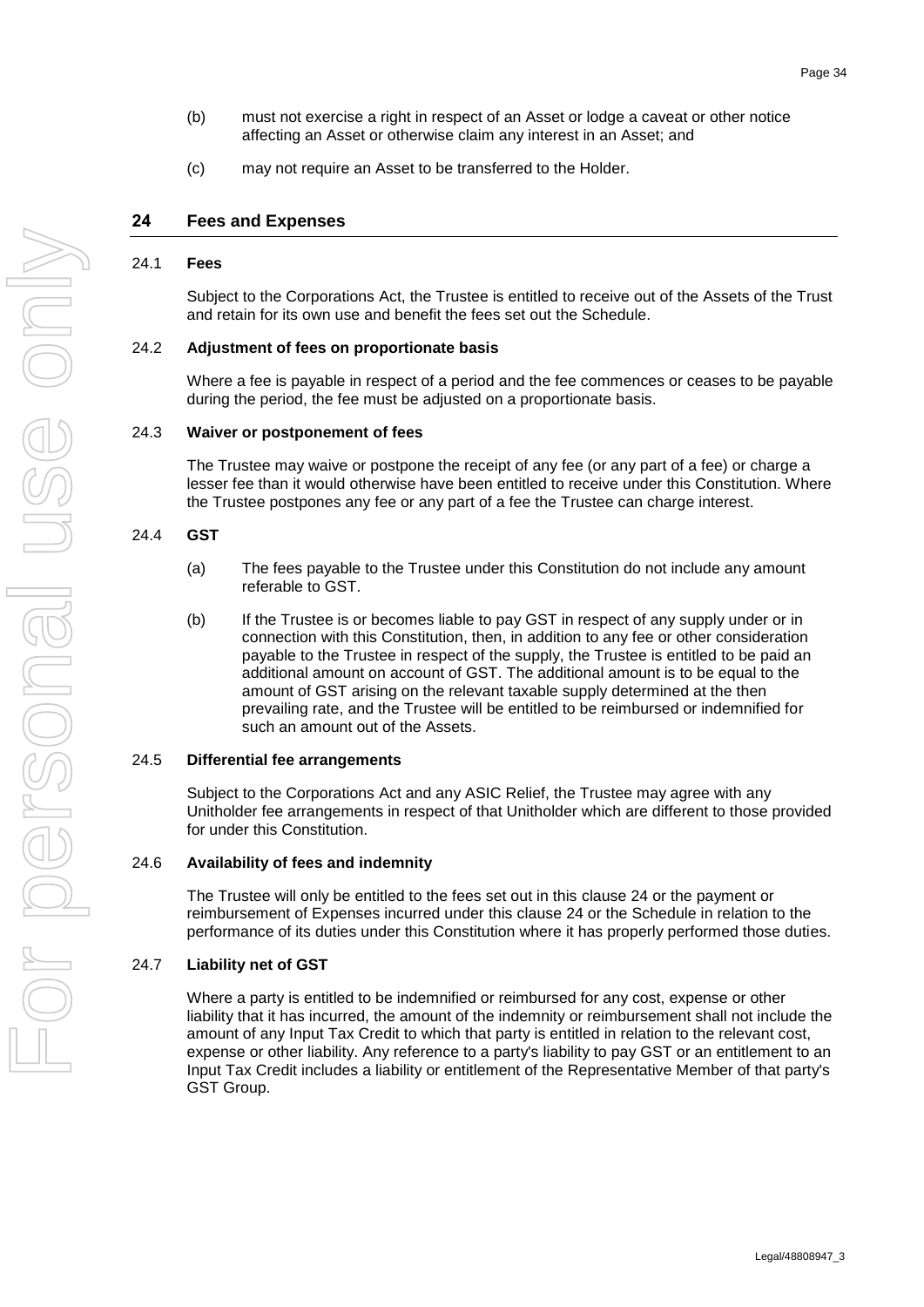- (b) must not exercise a right in respect of an Asset or lodge a caveat or other notice affecting an Asset or otherwise claim any interest in an Asset; and
- (c) may not require an Asset to be transferred to the Holder.

### <span id="page-37-7"></span>**24 Fees and Expenses**

### <span id="page-37-0"></span>24.1 **Fees**

Subject to the Corporations Act, the Trustee is entitled to receive out of the Assets of the Trust and retain for its own use and benefit the fees set out the Schedule.

#### <span id="page-37-1"></span>24.2 **Adjustment of fees on proportionate basis**

Where a fee is payable in respect of a period and the fee commences or ceases to be payable during the period, the fee must be adjusted on a proportionate basis.

### <span id="page-37-2"></span>24.3 **Waiver or postponement of fees**

The Trustee may waive or postpone the receipt of any fee (or any part of a fee) or charge a lesser fee than it would otherwise have been entitled to receive under this Constitution. Where the Trustee postpones any fee or any part of a fee the Trustee can charge interest.

### <span id="page-37-3"></span>24.4 **GST**

- (a) The fees payable to the Trustee under this Constitution do not include any amount referable to GST.
- (b) If the Trustee is or becomes liable to pay GST in respect of any supply under or in connection with this Constitution, then, in addition to any fee or other consideration payable to the Trustee in respect of the supply, the Trustee is entitled to be paid an additional amount on account of GST. The additional amount is to be equal to the amount of GST arising on the relevant taxable supply determined at the then prevailing rate, and the Trustee will be entitled to be reimbursed or indemnified for such an amount out of the Assets.

#### <span id="page-37-4"></span>24.5 **Differential fee arrangements**

Subject to the Corporations Act and any ASIC Relief, the Trustee may agree with any Unitholder fee arrangements in respect of that Unitholder which are different to those provided for under this Constitution.

#### <span id="page-37-5"></span>24.6 **Availability of fees and indemnity**

The Trustee will only be entitled to the fees set out in this clause [24](#page-37-7) or the payment or reimbursement of Expenses incurred under this clause [24](#page-37-7) or the Schedule in relation to the performance of its duties under this Constitution where it has properly performed those duties.

#### <span id="page-37-6"></span>24.7 **Liability net of GST**

Where a party is entitled to be indemnified or reimbursed for any cost, expense or other liability that it has incurred, the amount of the indemnity or reimbursement shall not include the amount of any Input Tax Credit to which that party is entitled in relation to the relevant cost, expense or other liability. Any reference to a party's liability to pay GST or an entitlement to an Input Tax Credit includes a liability or entitlement of the Representative Member of that party's GST Group.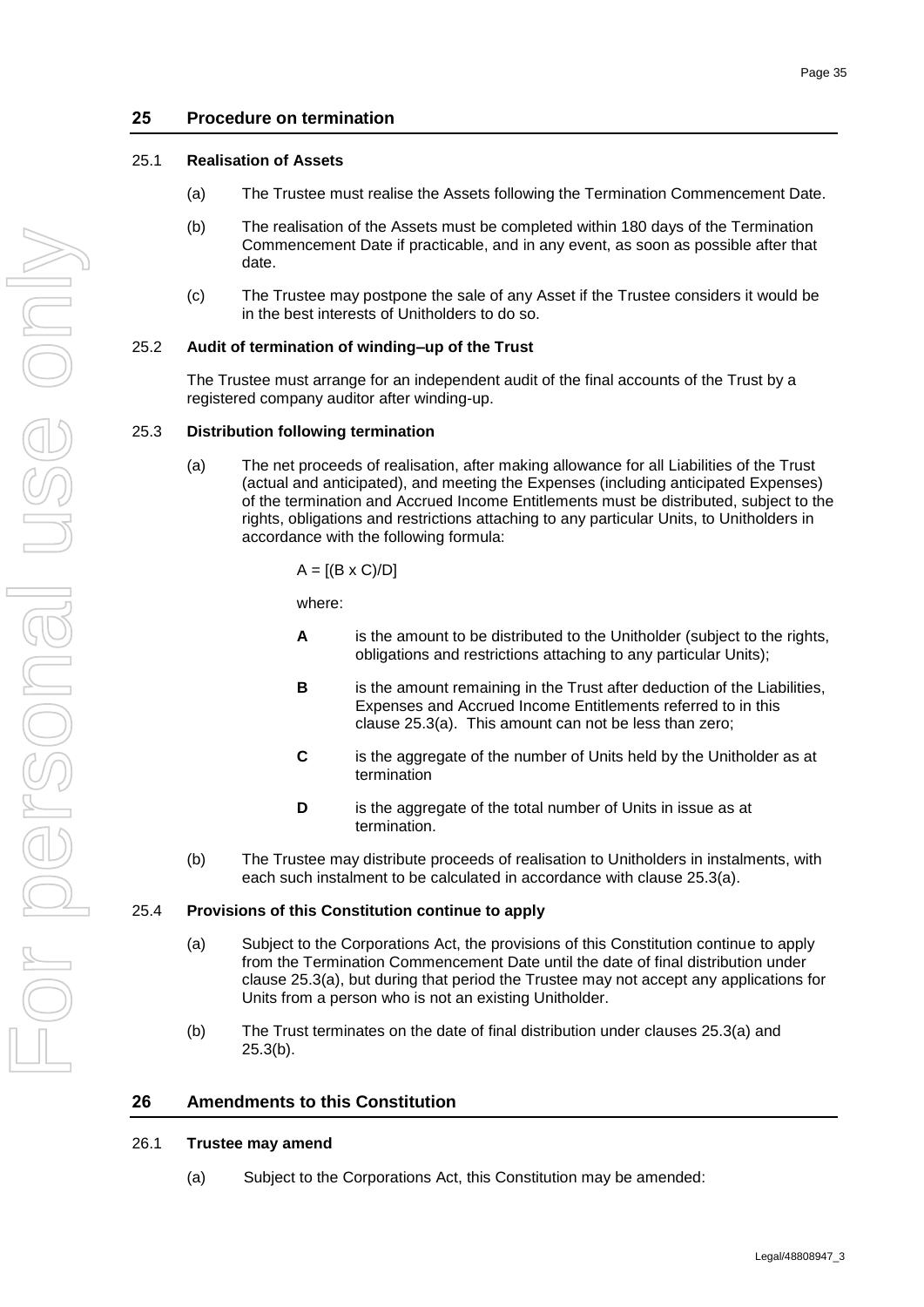### <span id="page-38-0"></span>25.1 **Realisation of Assets**

- (a) The Trustee must realise the Assets following the Termination Commencement Date.
- (b) The realisation of the Assets must be completed within 180 days of the Termination Commencement Date if practicable, and in any event, as soon as possible after that date.
- (c) The Trustee may postpone the sale of any Asset if the Trustee considers it would be in the best interests of Unitholders to do so.

### <span id="page-38-1"></span>25.2 **Audit of termination of winding–up of the Trust**

The Trustee must arrange for an independent audit of the final accounts of the Trust by a registered company auditor after winding-up.

### <span id="page-38-6"></span><span id="page-38-2"></span>25.3 **Distribution following termination**

(a) The net proceeds of realisation, after making allowance for all Liabilities of the Trust (actual and anticipated), and meeting the Expenses (including anticipated Expenses) of the termination and Accrued Income Entitlements must be distributed, subject to the rights, obligations and restrictions attaching to any particular Units, to Unitholders in accordance with the following formula:

$$
A = [(B \times C)/D]
$$

where:

- **A** is the amount to be distributed to the Unitholder (subject to the rights, obligations and restrictions attaching to any particular Units);
- **B** is the amount remaining in the Trust after deduction of the Liabilities, Expenses and Accrued Income Entitlements referred to in this clause [25.3\(a\).](#page-38-6) This amount can not be less than zero;
- **C** is the aggregate of the number of Units held by the Unitholder as at termination
- **D** is the aggregate of the total number of Units in issue as at termination.
- (b) The Trustee may distribute proceeds of realisation to Unitholders in instalments, with each such instalment to be calculated in accordance with clause [25.3\(a\).](#page-38-6)

### <span id="page-38-7"></span><span id="page-38-3"></span>25.4 **Provisions of this Constitution continue to apply**

- (a) Subject to the Corporations Act, the provisions of this Constitution continue to apply from the Termination Commencement Date until the date of final distribution under clause [25.3\(a\),](#page-38-6) but during that period the Trustee may not accept any applications for Units from a person who is not an existing Unitholder.
- (b) The Trust terminates on the date of final distribution under clauses [25.3\(a\)](#page-38-6) and [25.3\(b\).](#page-38-7)

### <span id="page-38-8"></span>**26 Amendments to this Constitution**

### <span id="page-38-5"></span><span id="page-38-4"></span>26.1 **Trustee may amend**

(a) Subject to the Corporations Act, this Constitution may be amended: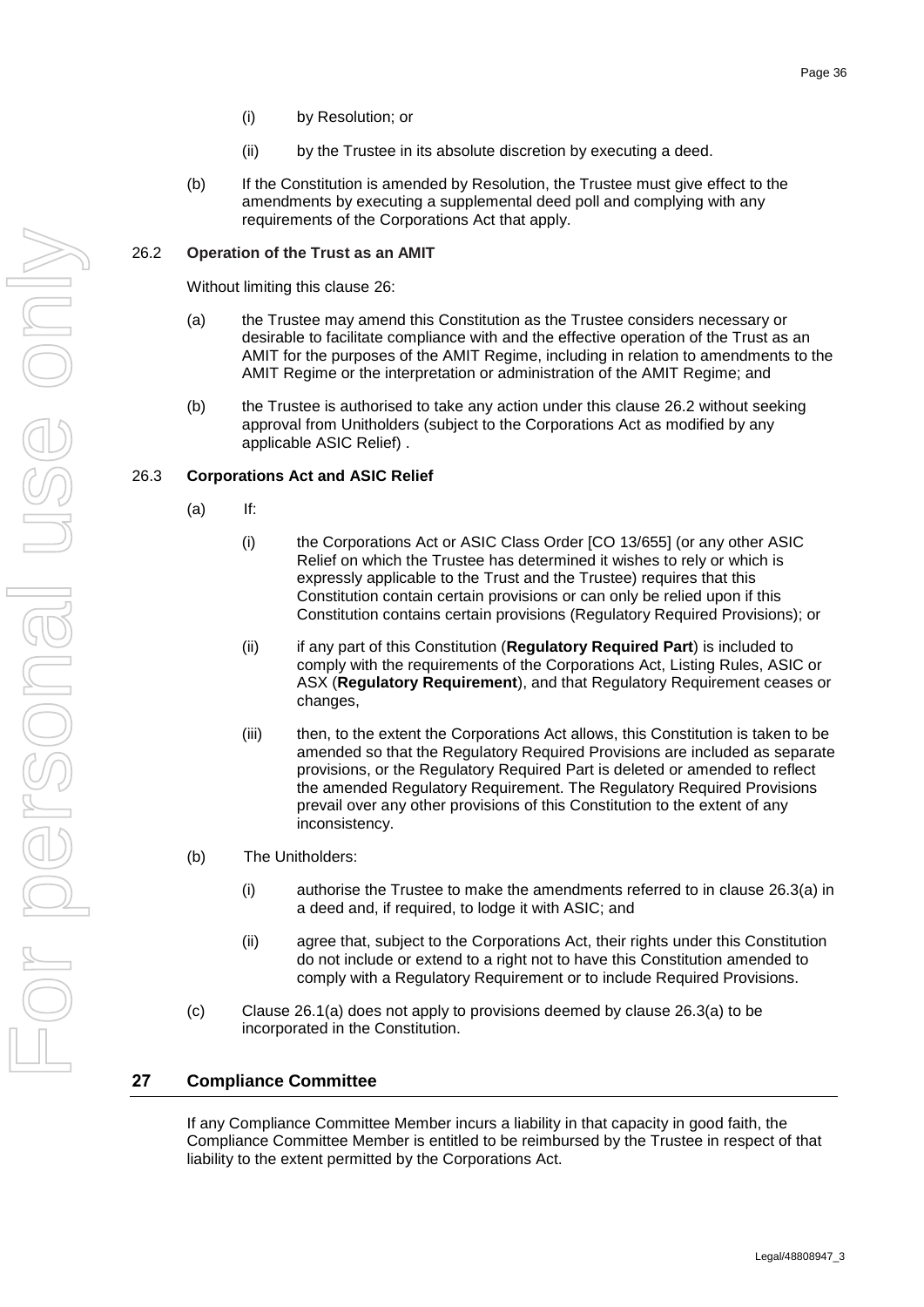- (ii) by the Trustee in its absolute discretion by executing a deed.
- (b) If the Constitution is amended by Resolution, the Trustee must give effect to the amendments by executing a supplemental deed poll and complying with any requirements of the Corporations Act that apply.

### <span id="page-39-0"></span>26.2 **Operation of the Trust as an AMIT**

Without limiting this clause [26:](#page-38-8)

- (a) the Trustee may amend this Constitution as the Trustee considers necessary or desirable to facilitate compliance with and the effective operation of the Trust as an AMIT for the purposes of the AMIT Regime, including in relation to amendments to the AMIT Regime or the interpretation or administration of the AMIT Regime; and
- (b) the Trustee is authorised to take any action under this clause [26.2](#page-39-0) without seeking approval from Unitholders (subject to the Corporations Act as modified by any applicable ASIC Relief) .

### <span id="page-39-4"></span><span id="page-39-3"></span><span id="page-39-1"></span>26.3 **Corporations Act and ASIC Relief**

- <span id="page-39-2"></span>(a) If:
	- (i) the Corporations Act or ASIC Class Order [CO 13/655] (or any other ASIC Relief on which the Trustee has determined it wishes to rely or which is expressly applicable to the Trust and the Trustee) requires that this Constitution contain certain provisions or can only be relied upon if this Constitution contains certain provisions (Regulatory Required Provisions); or
	- (ii) if any part of this Constitution (**Regulatory Required Part**) is included to comply with the requirements of the Corporations Act, Listing Rules, ASIC or ASX (**Regulatory Requirement**), and that Regulatory Requirement ceases or changes,
	- (iii) then, to the extent the Corporations Act allows, this Constitution is taken to be amended so that the Regulatory Required Provisions are included as separate provisions, or the Regulatory Required Part is deleted or amended to reflect the amended Regulatory Requirement. The Regulatory Required Provisions prevail over any other provisions of this Constitution to the extent of any inconsistency.
- (b) The Unitholders:
	- (i) authorise the Trustee to make the amendments referred to in clause [26.3\(a\)](#page-39-4) in a deed and, if required, to lodge it with ASIC; and
	- (ii) agree that, subject to the Corporations Act, their rights under this Constitution do not include or extend to a right not to have this Constitution amended to comply with a Regulatory Requirement or to include Required Provisions.
- (c) Clause [26.1\(a\)](#page-38-5) does not apply to provisions deemed by clause [26.3\(a\)](#page-39-4) to be incorporated in the Constitution.

# **27 Compliance Committee**

If any Compliance Committee Member incurs a liability in that capacity in good faith, the Compliance Committee Member is entitled to be reimbursed by the Trustee in respect of that liability to the extent permitted by the Corporations Act.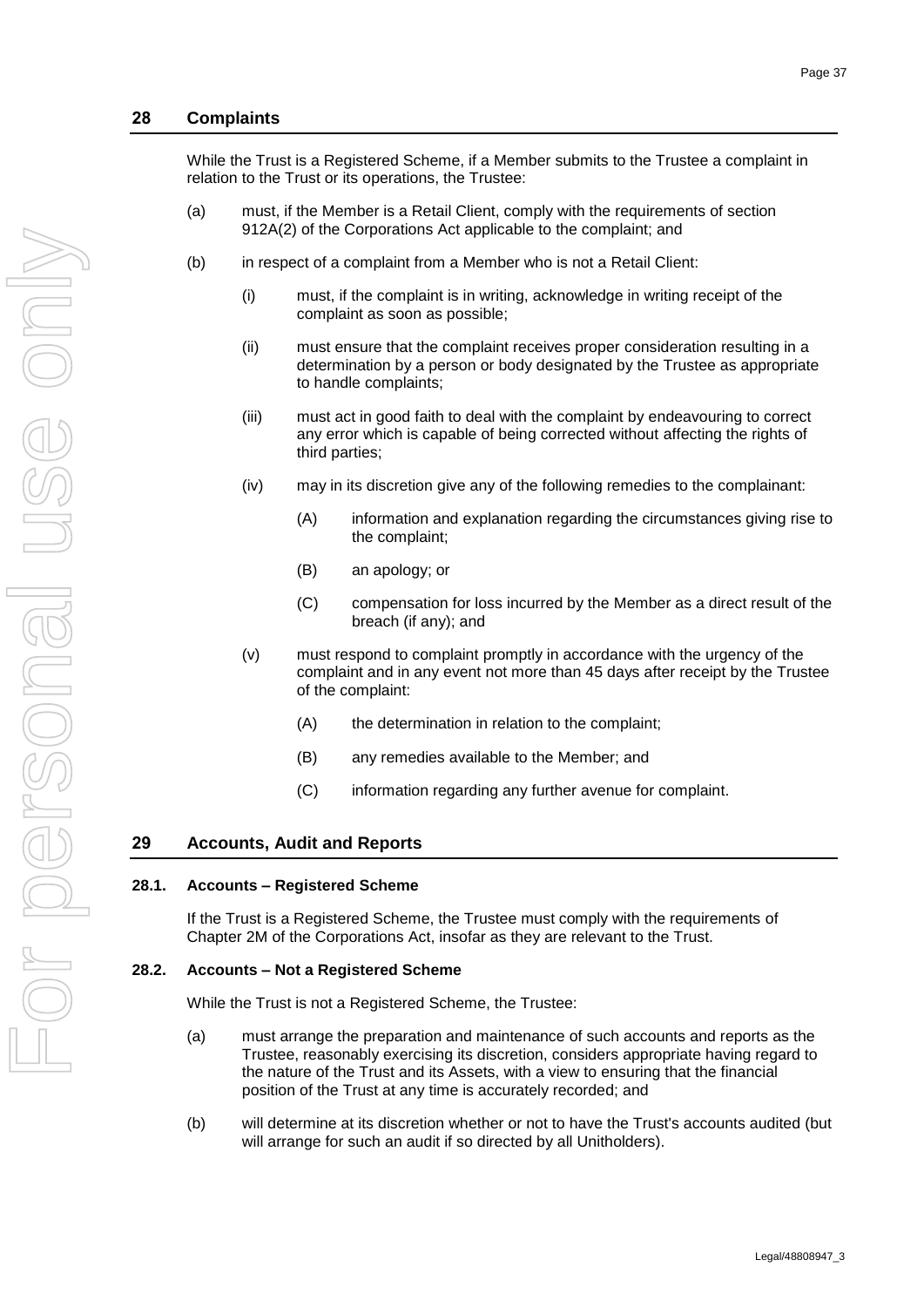#### **28 Complaints**

While the Trust is a Registered Scheme, if a Member submits to the Trustee a complaint in relation to the Trust or its operations, the Trustee:

- (a) must, if the Member is a Retail Client, comply with the requirements of section 912A(2) of the Corporations Act applicable to the complaint; and
- (b) in respect of a complaint from a Member who is not a Retail Client:
	- (i) must, if the complaint is in writing, acknowledge in writing receipt of the complaint as soon as possible;
	- (ii) must ensure that the complaint receives proper consideration resulting in a determination by a person or body designated by the Trustee as appropriate to handle complaints;
	- (iii) must act in good faith to deal with the complaint by endeavouring to correct any error which is capable of being corrected without affecting the rights of third parties;
	- (iv) may in its discretion give any of the following remedies to the complainant:
		- (A) information and explanation regarding the circumstances giving rise to the complaint;
		- (B) an apology; or
		- (C) compensation for loss incurred by the Member as a direct result of the breach (if any); and
	- (v) must respond to complaint promptly in accordance with the urgency of the complaint and in any event not more than 45 days after receipt by the Trustee of the complaint:
		- (A) the determination in relation to the complaint;
		- (B) any remedies available to the Member; and
		- (C) information regarding any further avenue for complaint.

#### **29 Accounts, Audit and Reports**

#### **28.1. Accounts – Registered Scheme**

If the Trust is a Registered Scheme, the Trustee must comply with the requirements of Chapter 2M of the Corporations Act, insofar as they are relevant to the Trust.

#### **28.2. Accounts – Not a Registered Scheme**

While the Trust is not a Registered Scheme, the Trustee:

- (a) must arrange the preparation and maintenance of such accounts and reports as the Trustee, reasonably exercising its discretion, considers appropriate having regard to the nature of the Trust and its Assets, with a view to ensuring that the financial position of the Trust at any time is accurately recorded; and
- (b) will determine at its discretion whether or not to have the Trust's accounts audited (but will arrange for such an audit if so directed by all Unitholders).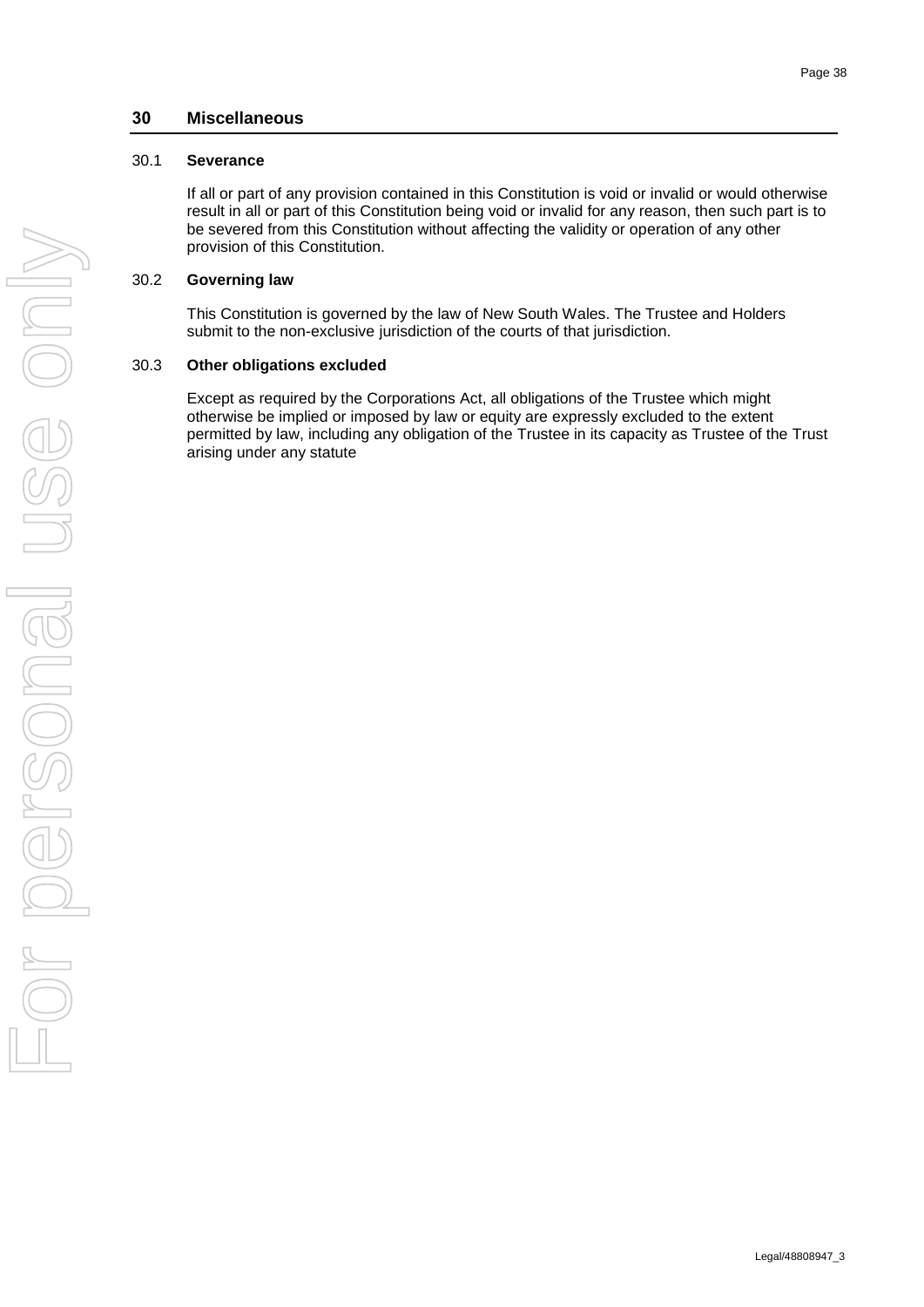## **30 Miscellaneous**

### <span id="page-41-0"></span>30.1 **Severance**

If all or part of any provision contained in this Constitution is void or invalid or would otherwise result in all or part of this Constitution being void or invalid for any reason, then such part is to be severed from this Constitution without affecting the validity or operation of any other provision of this Constitution.

## <span id="page-41-1"></span>30.2 **Governing law**

This Constitution is governed by the law of New South Wales. The Trustee and Holders submit to the non-exclusive jurisdiction of the courts of that jurisdiction.

### <span id="page-41-2"></span>30.3 **Other obligations excluded**

Except as required by the Corporations Act, all obligations of the Trustee which might otherwise be implied or imposed by law or equity are expressly excluded to the extent permitted by law, including any obligation of the Trustee in its capacity as Trustee of the Trust arising under any statute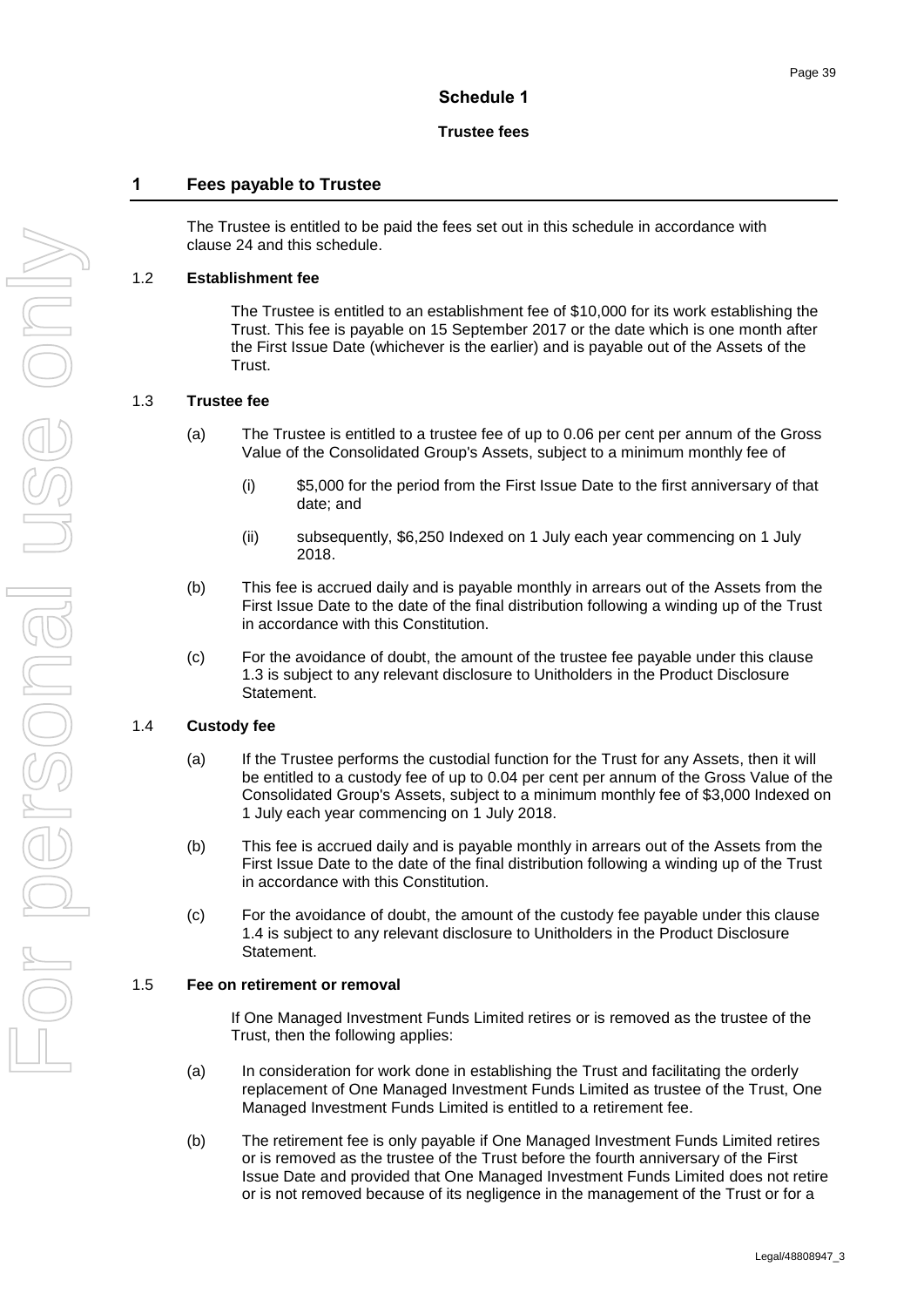### **Schedule 1**

#### **Trustee fees**

# <span id="page-42-0"></span>**1 Fees payable to Trustee**

The Trustee is entitled to be paid the fees set out in this schedule in accordance with clause [24](#page-37-7) and this schedule.

#### <span id="page-42-1"></span>1.2 **Establishment fee**

The Trustee is entitled to an establishment fee of \$10,000 for its work establishing the Trust. This fee is payable on 15 September 2017 or the date which is one month after the First Issue Date (whichever is the earlier) and is payable out of the Assets of the Trust.

#### <span id="page-42-2"></span>1.3 **Trustee fee**

- (a) The Trustee is entitled to a trustee fee of up to 0.06 per cent per annum of the Gross Value of the Consolidated Group's Assets, subject to a minimum monthly fee of
	- (i) \$5,000 for the period from the First Issue Date to the first anniversary of that date; and
	- (ii) subsequently, \$6,250 Indexed on 1 July each year commencing on 1 July 2018.
- (b) This fee is accrued daily and is payable monthly in arrears out of the Assets from the First Issue Date to the date of the final distribution following a winding up of the Trust in accordance with this Constitution.
- (c) For the avoidance of doubt, the amount of the trustee fee payable under this clause [1.3](#page-42-2) is subject to any relevant disclosure to Unitholders in the Product Disclosure Statement.

#### <span id="page-42-3"></span>1.4 **Custody fee**

- (a) If the Trustee performs the custodial function for the Trust for any Assets, then it will be entitled to a custody fee of up to 0.04 per cent per annum of the Gross Value of the Consolidated Group's Assets, subject to a minimum monthly fee of \$3,000 Indexed on 1 July each year commencing on 1 July 2018.
- (b) This fee is accrued daily and is payable monthly in arrears out of the Assets from the First Issue Date to the date of the final distribution following a winding up of the Trust in accordance with this Constitution.
- (c) For the avoidance of doubt, the amount of the custody fee payable under this clause [1.4](#page-42-3) is subject to any relevant disclosure to Unitholders in the Product Disclosure Statement.

#### <span id="page-42-4"></span>1.5 **Fee on retirement or removal**

If One Managed Investment Funds Limited retires or is removed as the trustee of the Trust, then the following applies:

- <span id="page-42-6"></span>(a) In consideration for work done in establishing the Trust and facilitating the orderly replacement of One Managed Investment Funds Limited as trustee of the Trust, One Managed Investment Funds Limited is entitled to a retirement fee.
- <span id="page-42-5"></span>(b) The retirement fee is only payable if One Managed Investment Funds Limited retires or is removed as the trustee of the Trust before the fourth anniversary of the First Issue Date and provided that One Managed Investment Funds Limited does not retire or is not removed because of its negligence in the management of the Trust or for a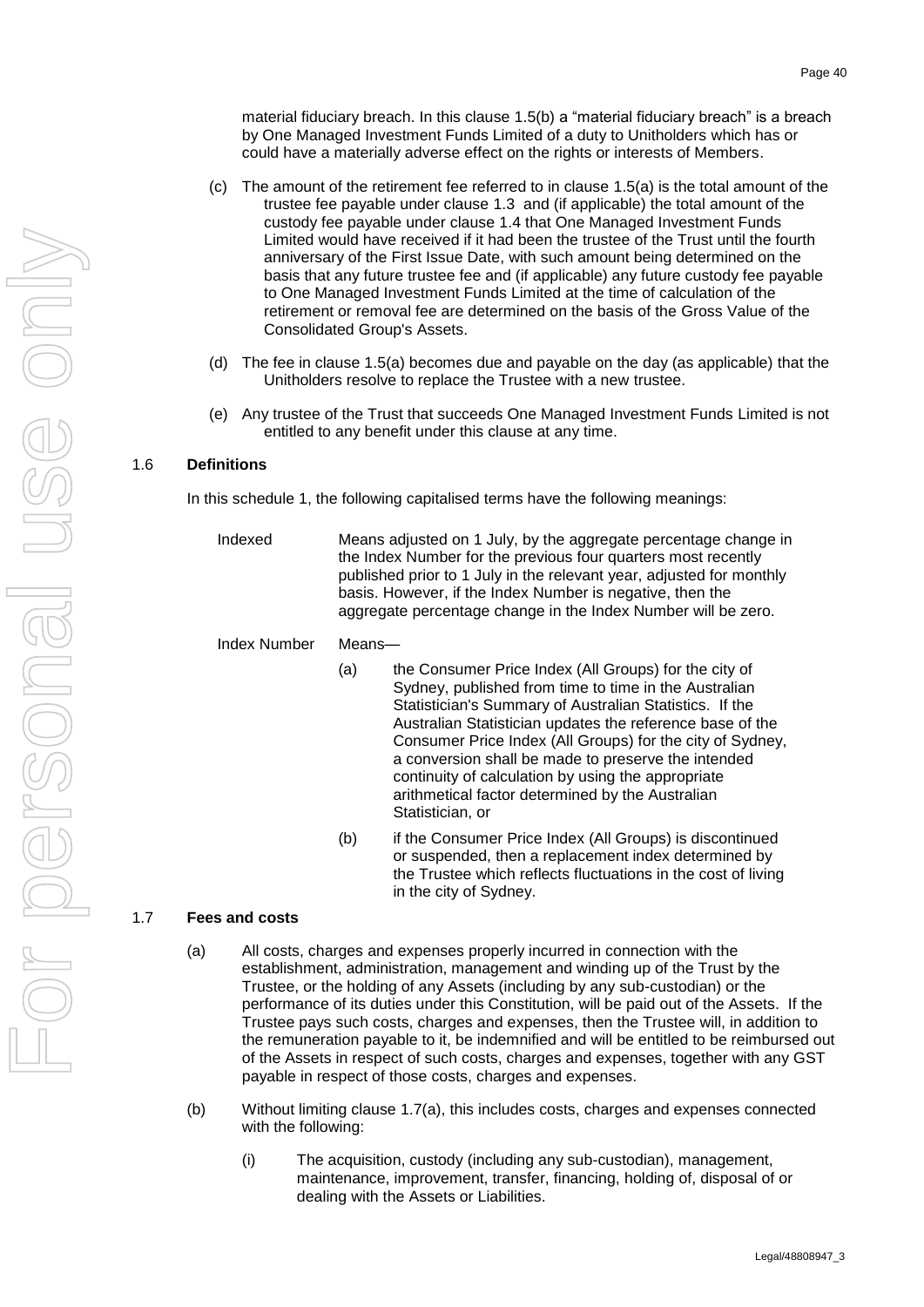material fiduciary breach. In this clause [1.5\(b\)](#page-42-5) a "material fiduciary breach" is a breach by One Managed Investment Funds Limited of a duty to Unitholders which has or could have a materially adverse effect on the rights or interests of Members.

- (c) The amount of the retirement fee referred to in clause [1.5\(a\)](#page-42-6) is the total amount of the trustee fee payable under clause [1.3](#page-42-2) and (if applicable) the total amount of the custody fee payable under clause [1.4](#page-42-3) that One Managed Investment Funds Limited would have received if it had been the trustee of the Trust until the fourth anniversary of the First Issue Date, with such amount being determined on the basis that any future trustee fee and (if applicable) any future custody fee payable to One Managed Investment Funds Limited at the time of calculation of the retirement or removal fee are determined on the basis of the Gross Value of the Consolidated Group's Assets.
- (d) The fee in clause [1.5\(a\)](#page-42-6) becomes due and payable on the day (as applicable) that the Unitholders resolve to replace the Trustee with a new trustee.
- (e) Any trustee of the Trust that succeeds One Managed Investment Funds Limited is not entitled to any benefit under this clause at any time.

#### <span id="page-43-0"></span>1.6 **Definitions**

In this schedule 1, the following capitalised terms have the following meanings:

Indexed Means adjusted on 1 July, by the aggregate percentage change in the Index Number for the previous four quarters most recently published prior to 1 July in the relevant year, adjusted for monthly basis. However, if the Index Number is negative, then the aggregate percentage change in the Index Number will be zero.

Index Number Means—

- (a) the Consumer Price Index (All Groups) for the city of Sydney, published from time to time in the Australian Statistician's Summary of Australian Statistics. If the Australian Statistician updates the reference base of the Consumer Price Index (All Groups) for the city of Sydney, a conversion shall be made to preserve the intended continuity of calculation by using the appropriate arithmetical factor determined by the Australian Statistician, or
- (b) if the Consumer Price Index (All Groups) is discontinued or suspended, then a replacement index determined by the Trustee which reflects fluctuations in the cost of living in the city of Sydney.

#### <span id="page-43-2"></span><span id="page-43-1"></span>1.7 **Fees and costs**

- (a) All costs, charges and expenses properly incurred in connection with the establishment, administration, management and winding up of the Trust by the Trustee, or the holding of any Assets (including by any sub-custodian) or the performance of its duties under this Constitution, will be paid out of the Assets. If the Trustee pays such costs, charges and expenses, then the Trustee will, in addition to the remuneration payable to it, be indemnified and will be entitled to be reimbursed out of the Assets in respect of such costs, charges and expenses, together with any GST payable in respect of those costs, charges and expenses.
- (b) Without limiting clause [1.7\(a\),](#page-43-2) this includes costs, charges and expenses connected with the following:
	- (i) The acquisition, custody (including any sub-custodian), management, maintenance, improvement, transfer, financing, holding of, disposal of or dealing with the Assets or Liabilities.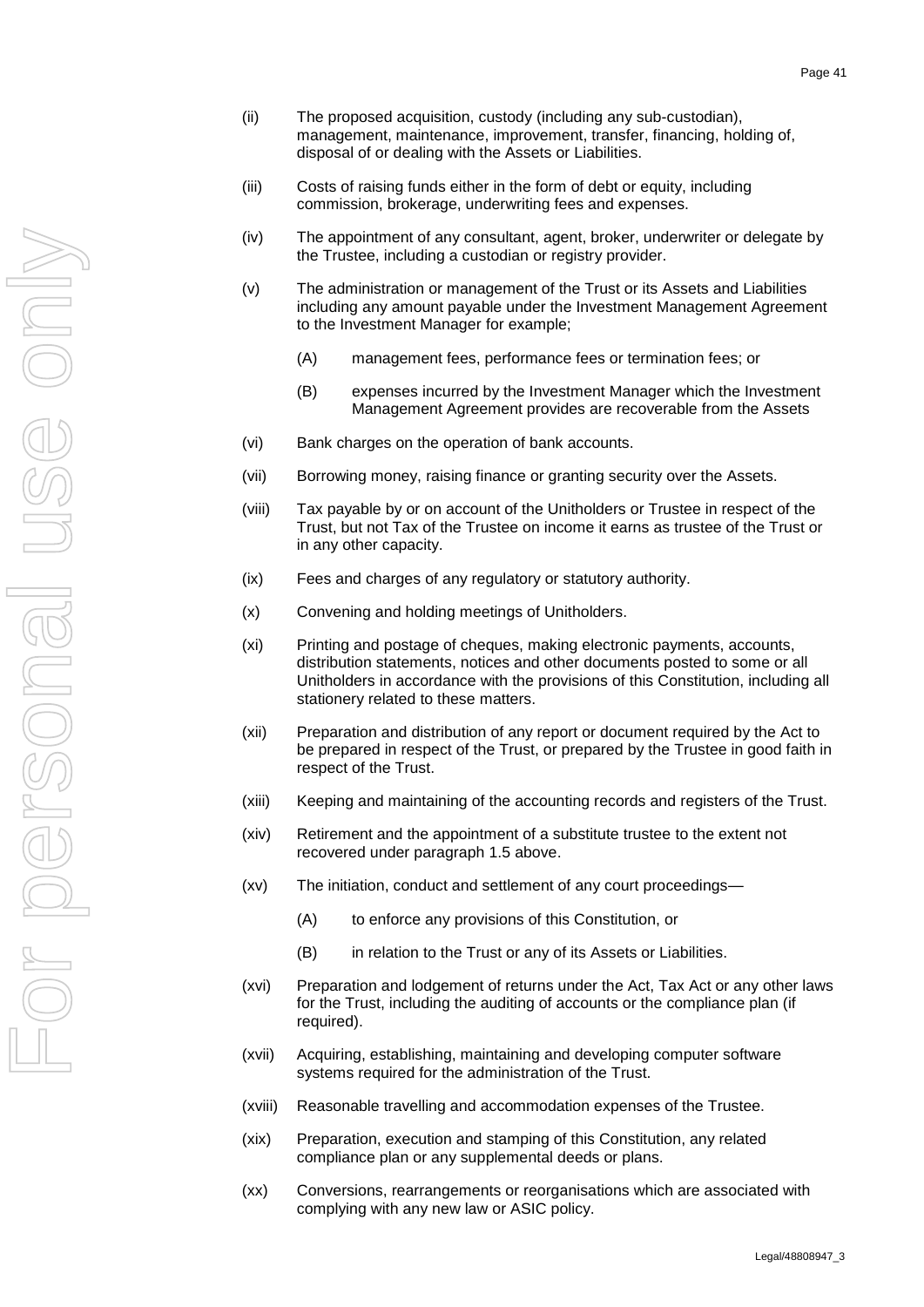- (ii) The proposed acquisition, custody (including any sub-custodian), management, maintenance, improvement, transfer, financing, holding of, disposal of or dealing with the Assets or Liabilities.
- (iii) Costs of raising funds either in the form of debt or equity, including commission, brokerage, underwriting fees and expenses.
- (iv) The appointment of any consultant, agent, broker, underwriter or delegate by the Trustee, including a custodian or registry provider.
- (v) The administration or management of the Trust or its Assets and Liabilities including any amount payable under the Investment Management Agreement to the Investment Manager for example;
	- (A) management fees, performance fees or termination fees; or
	- (B) expenses incurred by the Investment Manager which the Investment Management Agreement provides are recoverable from the Assets
- (vi) Bank charges on the operation of bank accounts.
- (vii) Borrowing money, raising finance or granting security over the Assets.
- (viii) Tax payable by or on account of the Unitholders or Trustee in respect of the Trust, but not Tax of the Trustee on income it earns as trustee of the Trust or in any other capacity.
- (ix) Fees and charges of any regulatory or statutory authority.
- (x) Convening and holding meetings of Unitholders.
- (xi) Printing and postage of cheques, making electronic payments, accounts, distribution statements, notices and other documents posted to some or all Unitholders in accordance with the provisions of this Constitution, including all stationery related to these matters.
- (xii) Preparation and distribution of any report or document required by the Act to be prepared in respect of the Trust, or prepared by the Trustee in good faith in respect of the Trust.
- (xiii) Keeping and maintaining of the accounting records and registers of the Trust.
- (xiv) Retirement and the appointment of a substitute trustee to the extent not recovered under paragraph 1.5 above.
- (xv) The initiation, conduct and settlement of any court proceedings—
	- (A) to enforce any provisions of this Constitution, or
	- (B) in relation to the Trust or any of its Assets or Liabilities.
- (xvi) Preparation and lodgement of returns under the Act, Tax Act or any other laws for the Trust, including the auditing of accounts or the compliance plan (if required).
- (xvii) Acquiring, establishing, maintaining and developing computer software systems required for the administration of the Trust.
- (xviii) Reasonable travelling and accommodation expenses of the Trustee.
- (xix) Preparation, execution and stamping of this Constitution, any related compliance plan or any supplemental deeds or plans.
- (xx) Conversions, rearrangements or reorganisations which are associated with complying with any new law or ASIC policy.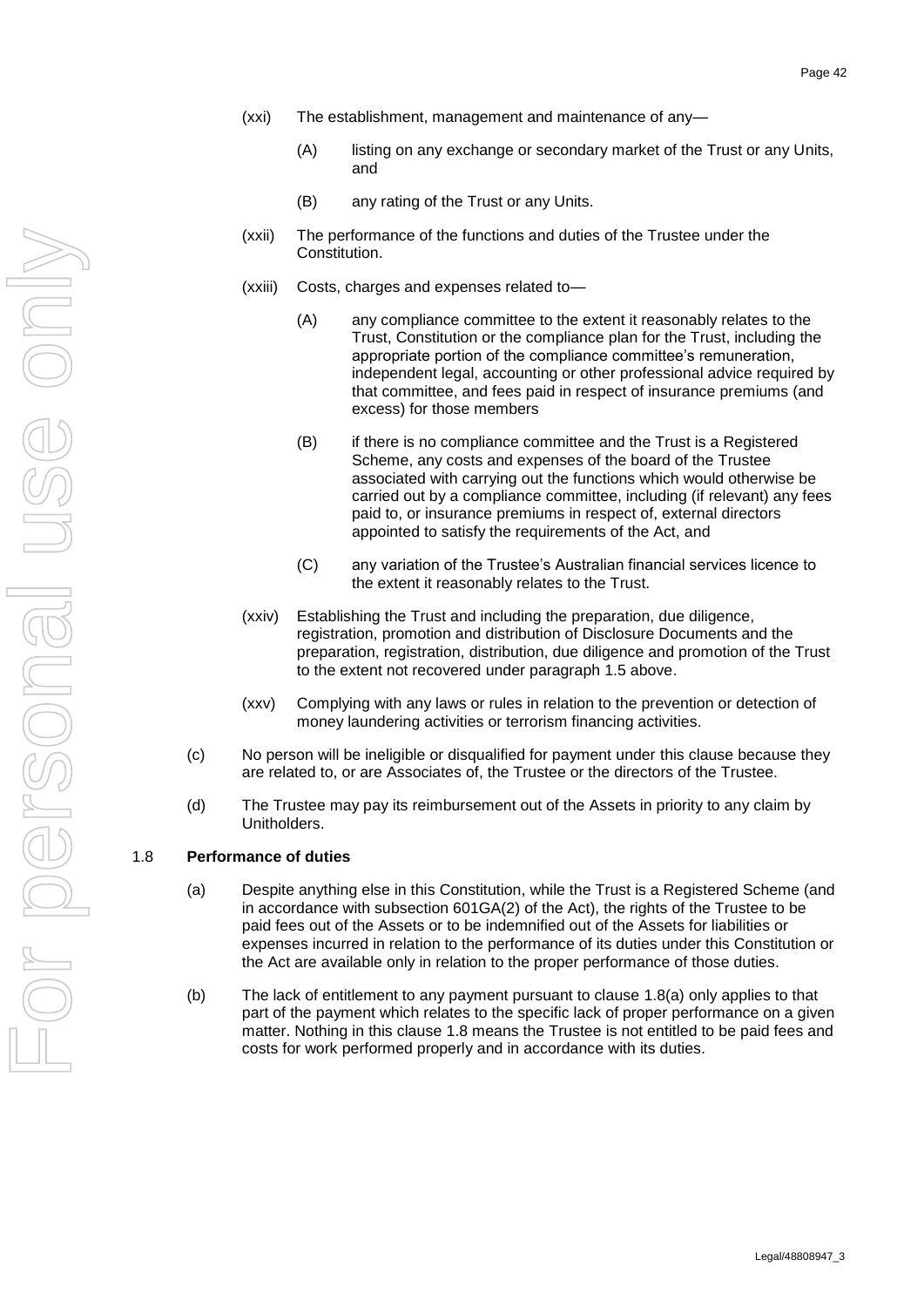- (xxi) The establishment, management and maintenance of any—
	- (A) listing on any exchange or secondary market of the Trust or any Units, and
	- (B) any rating of the Trust or any Units.
- (xxii) The performance of the functions and duties of the Trustee under the Constitution.
- (xxiii) Costs, charges and expenses related to—
	- (A) any compliance committee to the extent it reasonably relates to the Trust, Constitution or the compliance plan for the Trust, including the appropriate portion of the compliance committee's remuneration, independent legal, accounting or other professional advice required by that committee, and fees paid in respect of insurance premiums (and excess) for those members
	- (B) if there is no compliance committee and the Trust is a Registered Scheme, any costs and expenses of the board of the Trustee associated with carrying out the functions which would otherwise be carried out by a compliance committee, including (if relevant) any fees paid to, or insurance premiums in respect of, external directors appointed to satisfy the requirements of the Act, and
	- (C) any variation of the Trustee's Australian financial services licence to the extent it reasonably relates to the Trust.
- (xxiv) Establishing the Trust and including the preparation, due diligence, registration, promotion and distribution of Disclosure Documents and the preparation, registration, distribution, due diligence and promotion of the Trust to the extent not recovered under paragraph 1.5 above.
- (xxv) Complying with any laws or rules in relation to the prevention or detection of money laundering activities or terrorism financing activities.
- (c) No person will be ineligible or disqualified for payment under this clause because they are related to, or are Associates of, the Trustee or the directors of the Trustee.
- (d) The Trustee may pay its reimbursement out of the Assets in priority to any claim by Unitholders.

### <span id="page-45-1"></span><span id="page-45-0"></span>1.8 **Performance of duties**

- (a) Despite anything else in this Constitution, while the Trust is a Registered Scheme (and in accordance with subsection 601GA(2) of the Act), the rights of the Trustee to be paid fees out of the Assets or to be indemnified out of the Assets for liabilities or expenses incurred in relation to the performance of its duties under this Constitution or the Act are available only in relation to the proper performance of those duties.
- (b) The lack of entitlement to any payment pursuant to clause [1.8\(a\)](#page-45-1) only applies to that part of the payment which relates to the specific lack of proper performance on a given matter. Nothing in this clause [1.8](#page-45-0) means the Trustee is not entitled to be paid fees and costs for work performed properly and in accordance with its duties.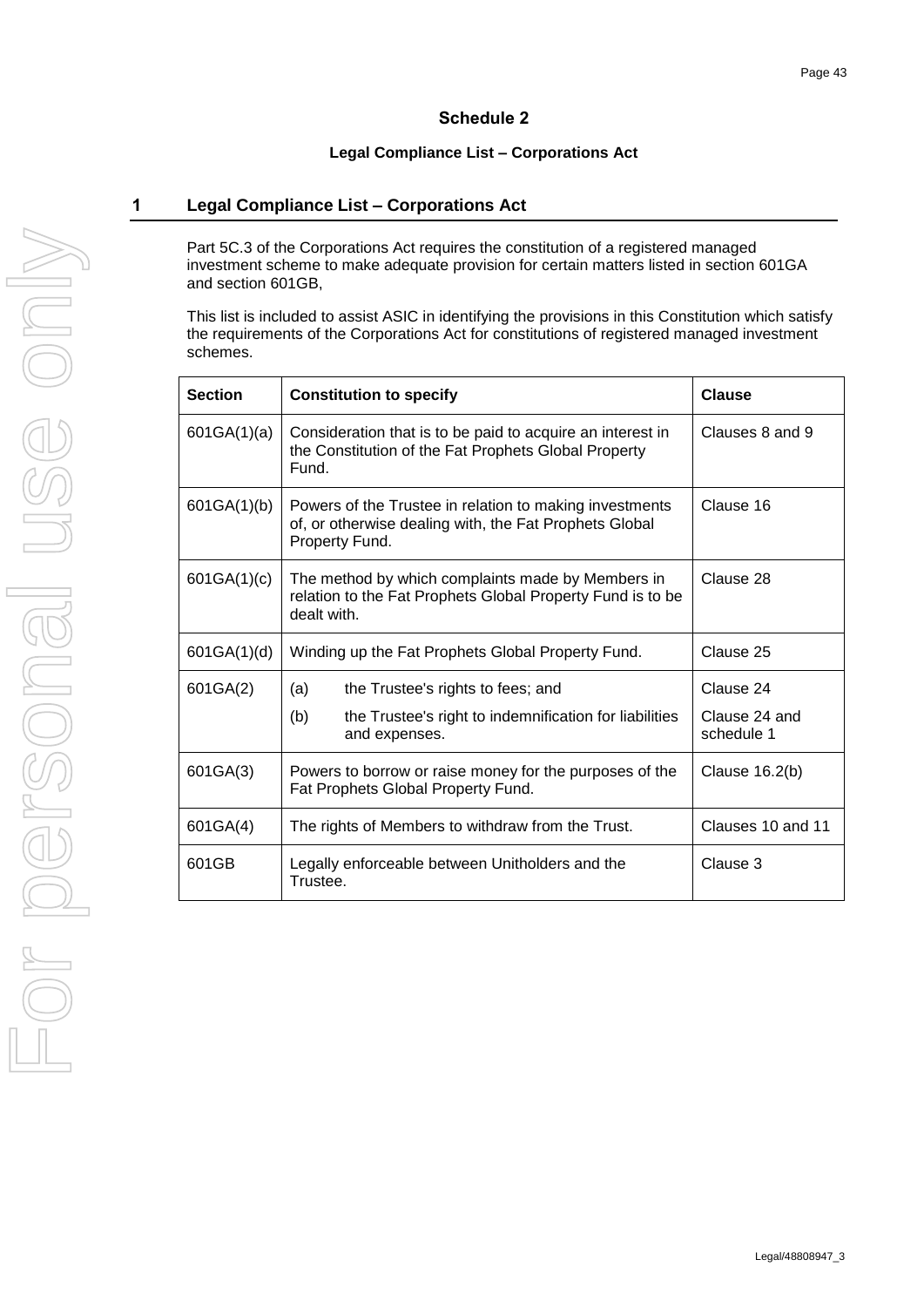# **Schedule 2**

# **Legal Compliance List – Corporations Act**

# <span id="page-46-0"></span>**1 Legal Compliance List – Corporations Act**

Part 5C.3 of the Corporations Act requires the constitution of a registered managed investment scheme to make adequate provision for certain matters listed in section 601GA and section 601GB,

This list is included to assist ASIC in identifying the provisions in this Constitution which satisfy the requirements of the Corporations Act for constitutions of registered managed investment schemes.

| <b>Section</b> | <b>Constitution to specify</b>                                                                                                      | <b>Clause</b>              |
|----------------|-------------------------------------------------------------------------------------------------------------------------------------|----------------------------|
| 601GA(1)(a)    | Consideration that is to be paid to acquire an interest in<br>the Constitution of the Fat Prophets Global Property<br>Fund.         | Clauses 8 and 9            |
| 601GA(1)(b)    | Powers of the Trustee in relation to making investments<br>of, or otherwise dealing with, the Fat Prophets Global<br>Property Fund. | Clause 16                  |
| 601GA(1)(c)    | The method by which complaints made by Members in<br>relation to the Fat Prophets Global Property Fund is to be<br>dealt with.      | Clause 28                  |
| 601GA(1)(d)    | Winding up the Fat Prophets Global Property Fund.                                                                                   | Clause 25                  |
| 601GA(2)       | (a)<br>the Trustee's rights to fees; and<br>(b)<br>the Trustee's right to indemnification for liabilities                           | Clause 24<br>Clause 24 and |
|                | and expenses.                                                                                                                       | schedule 1                 |
| 601GA(3)       | Powers to borrow or raise money for the purposes of the<br>Fat Prophets Global Property Fund.                                       | Clause 16.2(b)             |
| 601GA(4)       | The rights of Members to withdraw from the Trust.                                                                                   | Clauses 10 and 11          |
| 601GB          | Legally enforceable between Unitholders and the<br>Trustee.                                                                         | Clause 3                   |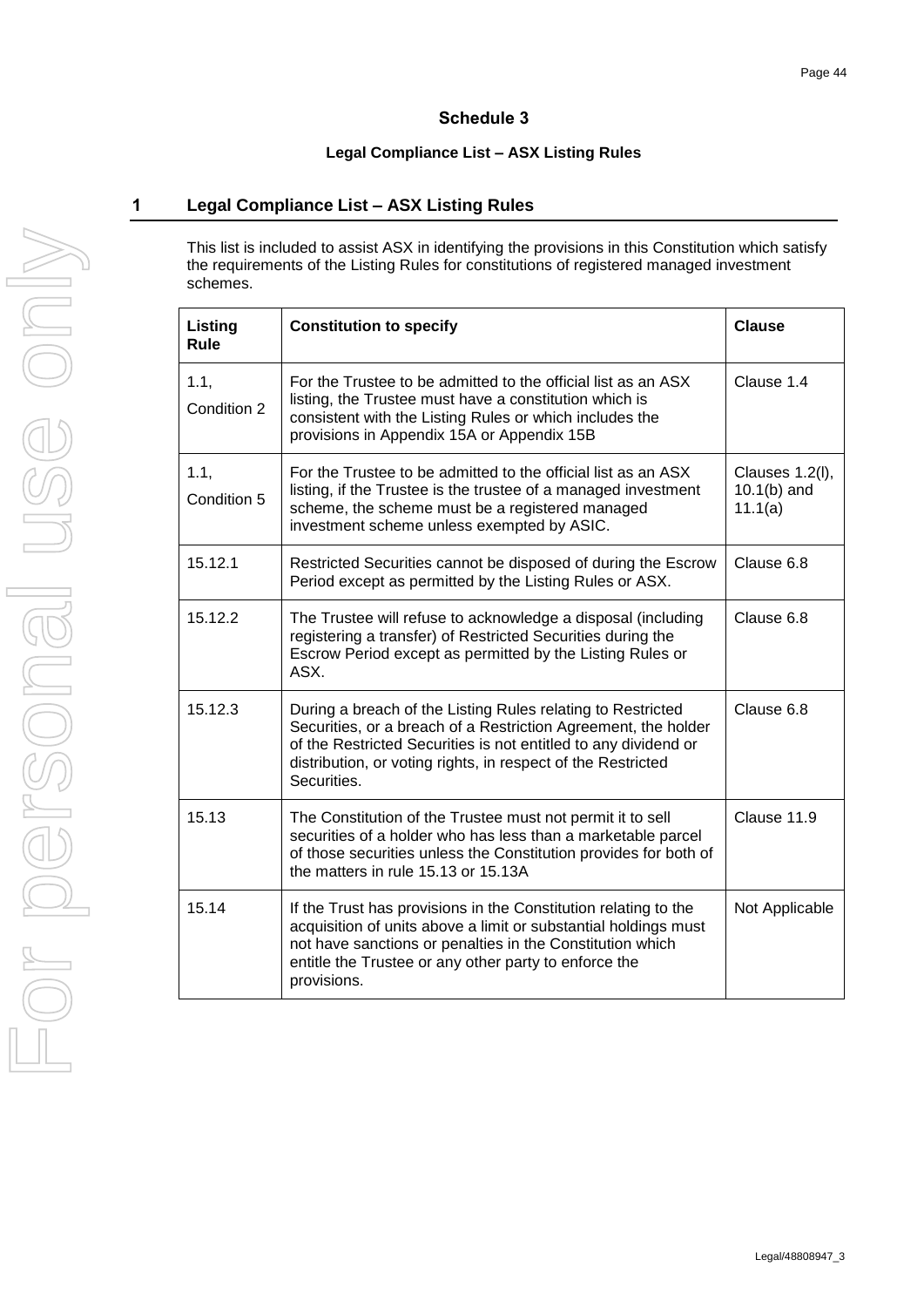# **Schedule 3**

# **Legal Compliance List – ASX Listing Rules**

# <span id="page-47-0"></span>**1 Legal Compliance List – ASX Listing Rules**

This list is included to assist ASX in identifying the provisions in this Constitution which satisfy the requirements of the Listing Rules for constitutions of registered managed investment schemes.

| Listing<br>Rule     | <b>Constitution to specify</b>                                                                                                                                                                                                                                                  | <b>Clause</b>                               |
|---------------------|---------------------------------------------------------------------------------------------------------------------------------------------------------------------------------------------------------------------------------------------------------------------------------|---------------------------------------------|
| 1.1,<br>Condition 2 | For the Trustee to be admitted to the official list as an ASX<br>listing, the Trustee must have a constitution which is<br>consistent with the Listing Rules or which includes the<br>provisions in Appendix 15A or Appendix 15B                                                | Clause 1.4                                  |
| 1.1,<br>Condition 5 | For the Trustee to be admitted to the official list as an ASX<br>listing, if the Trustee is the trustee of a managed investment<br>scheme, the scheme must be a registered managed<br>investment scheme unless exempted by ASIC.                                                | Clauses 1.2(I),<br>$10.1(b)$ and<br>11.1(a) |
| 15.12.1             | Restricted Securities cannot be disposed of during the Escrow<br>Period except as permitted by the Listing Rules or ASX.                                                                                                                                                        | Clause 6.8                                  |
| 15.12.2             | The Trustee will refuse to acknowledge a disposal (including<br>registering a transfer) of Restricted Securities during the<br>Escrow Period except as permitted by the Listing Rules or<br>ASX.                                                                                | Clause 6.8                                  |
| 15.12.3             | During a breach of the Listing Rules relating to Restricted<br>Securities, or a breach of a Restriction Agreement, the holder<br>of the Restricted Securities is not entitled to any dividend or<br>distribution, or voting rights, in respect of the Restricted<br>Securities. | Clause 6.8                                  |
| 15.13               | The Constitution of the Trustee must not permit it to sell<br>securities of a holder who has less than a marketable parcel<br>of those securities unless the Constitution provides for both of<br>the matters in rule 15.13 or 15.13A                                           | Clause 11.9                                 |
| 15.14               | If the Trust has provisions in the Constitution relating to the<br>acquisition of units above a limit or substantial holdings must<br>not have sanctions or penalties in the Constitution which<br>entitle the Trustee or any other party to enforce the<br>provisions.         | Not Applicable                              |